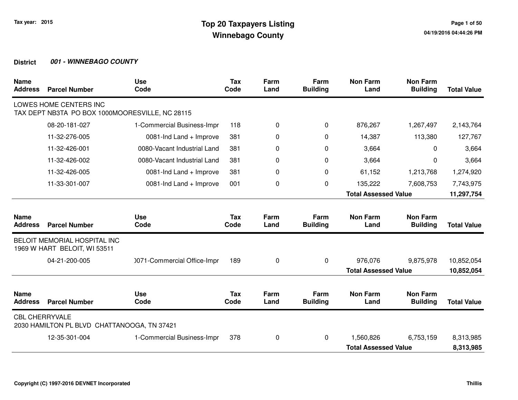| <b>Name</b><br><b>Address</b> | <b>Parcel Number</b>                                                      | <b>Use</b><br>Code          | <b>Tax</b><br>Code | Farm<br>Land | Farm<br><b>Building</b> | <b>Non Farm</b><br>Land     | <b>Non Farm</b><br><b>Building</b> | <b>Total Value</b> |
|-------------------------------|---------------------------------------------------------------------------|-----------------------------|--------------------|--------------|-------------------------|-----------------------------|------------------------------------|--------------------|
|                               | LOWES HOME CENTERS INC<br>TAX DEPT NB3TA PO BOX 1000MOORESVILLE, NC 28115 |                             |                    |              |                         |                             |                                    |                    |
|                               | 08-20-181-027                                                             | 1-Commercial Business-Impr  | 118                | 0            | 0                       | 876,267                     | 1,267,497                          | 2,143,764          |
|                               | 11-32-276-005                                                             | 0081-Ind Land + Improve     | 381                | 0            | 0                       | 14,387                      | 113,380                            | 127,767            |
|                               | 11-32-426-001                                                             | 0080-Vacant Industrial Land | 381                | 0            | $\Omega$                | 3,664                       | $\Omega$                           | 3,664              |
|                               | 11-32-426-002                                                             | 0080-Vacant Industrial Land | 381                | 0            | $\Omega$                | 3,664                       | $\Omega$                           | 3,664              |
|                               | 11-32-426-005                                                             | 0081-Ind Land + Improve     | 381                | 0            | 0                       | 61,152                      | 1,213,768                          | 1,274,920          |
|                               | 11-33-301-007                                                             | 0081-Ind Land + Improve     | 001                | 0            | 0                       | 135,222                     | 7,608,753                          | 7,743,975          |
|                               |                                                                           |                             |                    |              |                         | <b>Total Assessed Value</b> |                                    | 11,297,754         |
| <b>Name</b><br><b>Address</b> | <b>Parcel Number</b>                                                      | <b>Use</b><br>Code          | <b>Tax</b><br>Code | Farm<br>Land | Farm<br><b>Building</b> | <b>Non Farm</b><br>Land     | <b>Non Farm</b><br><b>Building</b> | <b>Total Value</b> |
|                               | BELOIT MEMORIAL HOSPITAL INC<br>1969 W HART BELOIT, WI 53511              |                             |                    |              |                         |                             |                                    |                    |
|                               | 04-21-200-005                                                             | 0071-Commercial Office-Impr | 189                | 0            | 0                       | 976,076                     | 9,875,978                          | 10,852,054         |
|                               |                                                                           |                             |                    |              |                         | <b>Total Assessed Value</b> |                                    | 10,852,054         |
| <b>Name</b><br><b>Address</b> | <b>Parcel Number</b>                                                      | <b>Use</b><br>Code          | <b>Tax</b><br>Code | Farm<br>Land | Farm<br><b>Building</b> | <b>Non Farm</b><br>Land     | <b>Non Farm</b><br><b>Building</b> | <b>Total Value</b> |
| <b>CBL CHERRYVALE</b>         | 2030 HAMILTON PL BLVD CHATTANOOGA, TN 37421                               |                             |                    |              |                         |                             |                                    |                    |
|                               | 12-35-301-004                                                             | 1-Commercial Business-Impr  | 378                | 0            | 0                       | 1,560,826                   | 6,753,159                          | 8,313,985          |
|                               |                                                                           |                             |                    |              |                         | <b>Total Assessed Value</b> |                                    | 8,313,985          |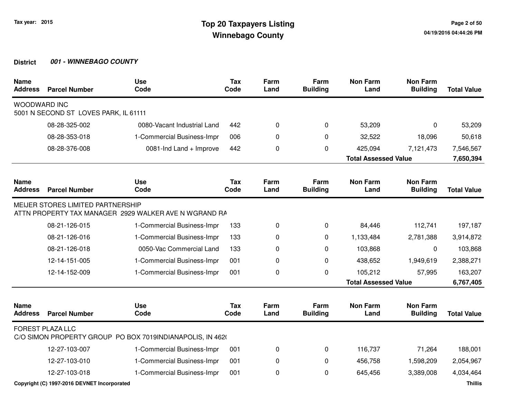| <b>Name</b><br><b>Address</b> | <b>Parcel Number</b>                        | <b>Use</b><br>Code                                        | <b>Tax</b><br>Code | Farm<br>Land | Farm<br><b>Building</b> | <b>Non Farm</b><br>Land     | <b>Non Farm</b><br><b>Building</b> | <b>Total Value</b> |
|-------------------------------|---------------------------------------------|-----------------------------------------------------------|--------------------|--------------|-------------------------|-----------------------------|------------------------------------|--------------------|
| <b>WOODWARD INC</b>           | 5001 N SECOND ST LOVES PARK, IL 61111       |                                                           |                    |              |                         |                             |                                    |                    |
|                               | 08-28-325-002                               | 0080-Vacant Industrial Land                               | 442                | 0            | 0                       | 53,209                      | 0                                  | 53,209             |
|                               | 08-28-353-018                               | 1-Commercial Business-Impr                                | 006                | 0            | $\Omega$                | 32,522                      | 18,096                             | 50,618             |
|                               | 08-28-376-008                               | 0081-Ind Land + Improve                                   | 442                | 0            | 0                       | 425,094                     | 7,121,473                          | 7,546,567          |
|                               |                                             |                                                           |                    |              |                         | <b>Total Assessed Value</b> |                                    | 7,650,394          |
| <b>Name</b><br><b>Address</b> | <b>Parcel Number</b>                        | <b>Use</b><br>Code                                        | <b>Tax</b><br>Code | Farm<br>Land | Farm<br><b>Building</b> | <b>Non Farm</b><br>Land     | <b>Non Farm</b><br><b>Building</b> | <b>Total Value</b> |
|                               | MEIJER STORES LIMITED PARTNERSHIP           | ATTN PROPERTY TAX MANAGER 2929 WALKER AVE N WGRAND RA     |                    |              |                         |                             |                                    |                    |
|                               | 08-21-126-015                               | 1-Commercial Business-Impr                                | 133                | 0            | 0                       | 84,446                      | 112,741                            | 197,187            |
|                               | 08-21-126-016                               | 1-Commercial Business-Impr                                | 133                | 0            | 0                       | 1,133,484                   | 2,781,388                          | 3,914,872          |
|                               | 08-21-126-018                               | 0050-Vac Commercial Land                                  | 133                | 0            | 0                       | 103,868                     | 0                                  | 103,868            |
|                               | 12-14-151-005                               | 1-Commercial Business-Impr                                | 001                | 0            | $\mathbf 0$             | 438,652                     | 1,949,619                          | 2,388,271          |
|                               | 12-14-152-009                               | 1-Commercial Business-Impr                                | 001                | 0            | $\pmb{0}$               | 105,212                     | 57,995                             | 163,207            |
|                               |                                             |                                                           |                    |              |                         | <b>Total Assessed Value</b> |                                    | 6,767,405          |
| <b>Name</b><br><b>Address</b> | <b>Parcel Number</b>                        | <b>Use</b><br>Code                                        | <b>Tax</b><br>Code | Farm<br>Land | Farm<br><b>Building</b> | <b>Non Farm</b><br>Land     | <b>Non Farm</b><br><b>Building</b> | <b>Total Value</b> |
|                               | <b>FOREST PLAZA LLC</b>                     | C/O SIMON PROPERTY GROUP PO BOX 7019INDIANAPOLIS, IN 4620 |                    |              |                         |                             |                                    |                    |
|                               | 12-27-103-007                               | 1-Commercial Business-Impr                                | 001                | 0            | $\Omega$                | 116,737                     | 71,264                             | 188,001            |
|                               | 12-27-103-010                               | 1-Commercial Business-Impr                                | 001                | 0            | $\mathbf 0$             | 456,758                     | 1,598,209                          | 2,054,967          |
|                               | 12-27-103-018                               | 1-Commercial Business-Impr                                | 001                | 0            | 0                       | 645,456                     | 3,389,008                          | 4,034,464          |
|                               | Copyright (C) 1997-2016 DEVNET Incorporated |                                                           |                    |              |                         |                             |                                    | <b>Thillis</b>     |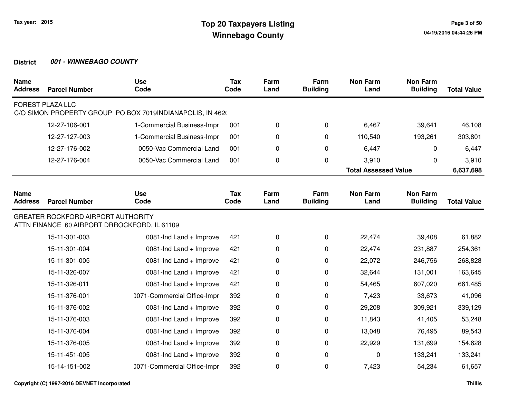| <b>Name</b><br><b>Address</b> | <b>Parcel Number</b>                                                                      | <b>Use</b><br>Code                                        | <b>Tax</b><br>Code | Farm<br>Land | Farm<br><b>Building</b> | <b>Non Farm</b><br>Land     | <b>Non Farm</b><br><b>Building</b> | <b>Total Value</b> |
|-------------------------------|-------------------------------------------------------------------------------------------|-----------------------------------------------------------|--------------------|--------------|-------------------------|-----------------------------|------------------------------------|--------------------|
|                               | <b>FOREST PLAZA LLC</b>                                                                   | C/O SIMON PROPERTY GROUP PO BOX 7019INDIANAPOLIS, IN 4620 |                    |              |                         |                             |                                    |                    |
|                               | 12-27-106-001                                                                             | 1-Commercial Business-Impr                                | 001                | $\pmb{0}$    | $\pmb{0}$               | 6,467                       | 39,641                             | 46,108             |
|                               | 12-27-127-003                                                                             | 1-Commercial Business-Impr                                | 001                | 0            | $\Omega$                | 110,540                     | 193,261                            | 303,801            |
|                               | 12-27-176-002                                                                             | 0050-Vac Commercial Land                                  | 001                | 0            | 0                       | 6,447                       | 0                                  | 6,447              |
|                               | 12-27-176-004                                                                             | 0050-Vac Commercial Land                                  | 001                | $\pmb{0}$    | 0                       | 3,910                       | $\mathbf{0}$                       | 3,910              |
|                               |                                                                                           |                                                           |                    |              |                         | <b>Total Assessed Value</b> |                                    | 6,637,698          |
| <b>Name</b><br><b>Address</b> | <b>Parcel Number</b>                                                                      | <b>Use</b><br>Code                                        | <b>Tax</b><br>Code | Farm<br>Land | Farm<br><b>Building</b> | <b>Non Farm</b><br>Land     | <b>Non Farm</b><br><b>Building</b> | <b>Total Value</b> |
|                               | <b>GREATER ROCKFORD AIRPORT AUTHORITY</b><br>ATTN FINANCE 60 AIRPORT DRROCKFORD, IL 61109 |                                                           |                    |              |                         |                             |                                    |                    |
|                               | 15-11-301-003                                                                             | 0081-Ind Land + Improve                                   | 421                | $\pmb{0}$    | 0                       | 22,474                      | 39,408                             | 61,882             |
|                               | 15-11-301-004                                                                             | 0081-Ind Land + Improve                                   | 421                | 0            | 0                       | 22,474                      | 231,887                            | 254,361            |
|                               | 15-11-301-005                                                                             | 0081-Ind Land + Improve                                   | 421                | 0            | 0                       | 22,072                      | 246,756                            | 268,828            |
|                               | 15-11-326-007                                                                             | 0081-Ind Land + Improve                                   | 421                | 0            | 0                       | 32,644                      | 131,001                            | 163,645            |
|                               | 15-11-326-011                                                                             | 0081-Ind Land + Improve                                   | 421                | 0            | 0                       | 54,465                      | 607,020                            | 661,485            |
|                               | 15-11-376-001                                                                             | 0071-Commercial Office-Impr                               | 392                | 0            | 0                       | 7,423                       | 33,673                             | 41,096             |
|                               | 15-11-376-002                                                                             | 0081-Ind Land + Improve                                   | 392                | 0            | 0                       | 29,208                      | 309,921                            | 339,129            |
|                               | 15-11-376-003                                                                             | 0081-Ind Land + Improve                                   | 392                | 0            | 0                       | 11,843                      | 41,405                             | 53,248             |
|                               | 15-11-376-004                                                                             | 0081-Ind Land + Improve                                   | 392                | 0            | 0                       | 13,048                      | 76,495                             | 89,543             |
|                               | 15-11-376-005                                                                             | 0081-Ind Land + Improve                                   | 392                | 0            | 0                       | 22,929                      | 131,699                            | 154,628            |
|                               | 15-11-451-005                                                                             | 0081-Ind Land + Improve                                   | 392                | $\pmb{0}$    | 0                       | 0                           | 133,241                            | 133,241            |
|                               | 15-14-151-002                                                                             | 0071-Commercial Office-Impr                               | 392                | 0            | 0                       | 7,423                       | 54,234                             | 61,657             |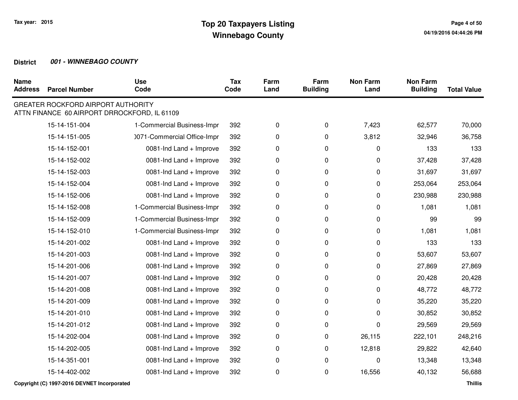| <b>Name</b><br><b>Address</b> | <b>Parcel Number</b>                      | <b>Use</b><br>Code                           | <b>Tax</b><br>Code | Farm<br>Land | Farm<br><b>Building</b> | <b>Non Farm</b><br>Land | <b>Non Farm</b><br><b>Building</b> | <b>Total Value</b> |
|-------------------------------|-------------------------------------------|----------------------------------------------|--------------------|--------------|-------------------------|-------------------------|------------------------------------|--------------------|
|                               | <b>GREATER ROCKFORD AIRPORT AUTHORITY</b> | ATTN FINANCE 60 AIRPORT DRROCKFORD, IL 61109 |                    |              |                         |                         |                                    |                    |
|                               | 15-14-151-004                             | 1-Commercial Business-Impr                   | 392                | 0            | 0                       | 7,423                   | 62,577                             | 70,000             |
|                               | 15-14-151-005                             | 0071-Commercial Office-Impr                  | 392                | 0            | 0                       | 3,812                   | 32,946                             | 36,758             |
|                               | 15-14-152-001                             | 0081-Ind Land + Improve                      | 392                | 0            | 0                       | 0                       | 133                                | 133                |
|                               | 15-14-152-002                             | 0081-Ind Land + Improve                      | 392                | 0            | 0                       | 0                       | 37,428                             | 37,428             |
|                               | 15-14-152-003                             | 0081-Ind Land + Improve                      | 392                | 0            | 0                       | 0                       | 31,697                             | 31,697             |
|                               | 15-14-152-004                             | 0081-Ind Land + Improve                      | 392                | 0            | 0                       | 0                       | 253,064                            | 253,064            |
|                               | 15-14-152-006                             | 0081-Ind Land + Improve                      | 392                | 0            | 0                       | 0                       | 230,988                            | 230,988            |
|                               | 15-14-152-008                             | 1-Commercial Business-Impr                   | 392                | 0            | 0                       | 0                       | 1,081                              | 1,081              |
|                               | 15-14-152-009                             | 1-Commercial Business-Impr                   | 392                | 0            | 0                       | 0                       | 99                                 | 99                 |
|                               | 15-14-152-010                             | 1-Commercial Business-Impr                   | 392                | 0            | 0                       | 0                       | 1,081                              | 1,081              |
|                               | 15-14-201-002                             | 0081-Ind Land + Improve                      | 392                | 0            | 0                       | 0                       | 133                                | 133                |
|                               | 15-14-201-003                             | 0081-Ind Land + Improve                      | 392                | 0            | 0                       | 0                       | 53,607                             | 53,607             |
|                               | 15-14-201-006                             | 0081-Ind Land + Improve                      | 392                | 0            | 0                       | 0                       | 27,869                             | 27,869             |
|                               | 15-14-201-007                             | 0081-Ind Land + Improve                      | 392                | 0            | 0                       | 0                       | 20,428                             | 20,428             |
|                               | 15-14-201-008                             | 0081-Ind Land + Improve                      | 392                | 0            | 0                       | 0                       | 48,772                             | 48,772             |
|                               | 15-14-201-009                             | 0081-Ind Land + Improve                      | 392                | 0            | 0                       | 0                       | 35,220                             | 35,220             |
|                               | 15-14-201-010                             | 0081-Ind Land + Improve                      | 392                | 0            | 0                       | 0                       | 30,852                             | 30,852             |
|                               | 15-14-201-012                             | 0081-Ind Land + Improve                      | 392                | 0            | 0                       | 0                       | 29,569                             | 29,569             |
|                               | 15-14-202-004                             | 0081-Ind Land + Improve                      | 392                | 0            | 0                       | 26,115                  | 222,101                            | 248,216            |
|                               | 15-14-202-005                             | 0081-Ind Land + Improve                      | 392                | 0            | 0                       | 12,818                  | 29,822                             | 42,640             |
|                               | 15-14-351-001                             | 0081-Ind Land + Improve                      | 392                | 0            | 0                       | 0                       | 13,348                             | 13,348             |
|                               | 15-14-402-002                             | 0081-Ind Land + Improve                      | 392                | 0            | 0                       | 16,556                  | 40,132                             | 56,688             |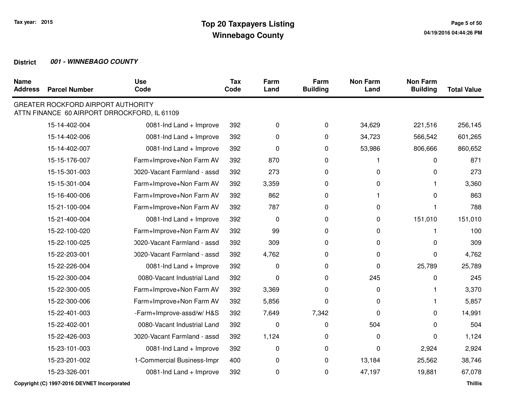| <b>Name</b><br><b>Address</b> | <b>Parcel Number</b>                      | <b>Use</b><br>Code                           | <b>Tax</b><br>Code | Farm<br>Land | Farm<br><b>Building</b> | <b>Non Farm</b><br>Land | <b>Non Farm</b><br><b>Building</b> | <b>Total Value</b> |
|-------------------------------|-------------------------------------------|----------------------------------------------|--------------------|--------------|-------------------------|-------------------------|------------------------------------|--------------------|
|                               | <b>GREATER ROCKFORD AIRPORT AUTHORITY</b> | ATTN FINANCE 60 AIRPORT DRROCKFORD, IL 61109 |                    |              |                         |                         |                                    |                    |
|                               | 15-14-402-004                             | 0081-Ind Land + Improve                      | 392                | 0            | $\mathbf 0$             | 34,629                  | 221,516                            | 256,145            |
|                               | 15-14-402-006                             | 0081-Ind Land + Improve                      | 392                | 0            | $\pmb{0}$               | 34,723                  | 566,542                            | 601,265            |
|                               | 15-14-402-007                             | 0081-Ind Land + Improve                      | 392                | 0            | $\pmb{0}$               | 53,986                  | 806,666                            | 860,652            |
|                               | 15-15-176-007                             | Farm+Improve+Non Farm AV                     | 392                | 870          | $\pmb{0}$               |                         | 0                                  | 871                |
|                               | 15-15-301-003                             | 0020-Vacant Farmland - assd                  | 392                | 273          | 0                       | 0                       | 0                                  | 273                |
|                               | 15-15-301-004                             | Farm+Improve+Non Farm AV                     | 392                | 3,359        | 0                       | 0                       |                                    | 3,360              |
|                               | 15-16-400-006                             | Farm+Improve+Non Farm AV                     | 392                | 862          | 0                       |                         | 0                                  | 863                |
|                               | 15-21-100-004                             | Farm+Improve+Non Farm AV                     | 392                | 787          | 0                       | 0                       |                                    | 788                |
|                               | 15-21-400-004                             | 0081-Ind Land + Improve                      | 392                | 0            | $\Omega$                | 0                       | 151,010                            | 151,010            |
|                               | 15-22-100-020                             | Farm+Improve+Non Farm AV                     | 392                | 99           | 0                       | 0                       |                                    | 100                |
|                               | 15-22-100-025                             | 0020-Vacant Farmland - assd                  | 392                | 309          | 0                       | 0                       | 0                                  | 309                |
|                               | 15-22-203-001                             | 0020-Vacant Farmland - assd                  | 392                | 4,762        | $\pmb{0}$               | 0                       | 0                                  | 4,762              |
|                               | 15-22-226-004                             | 0081-Ind Land + Improve                      | 392                | $\pmb{0}$    | $\mathbf 0$             | $\mathbf 0$             | 25,789                             | 25,789             |
|                               | 15-22-300-004                             | 0080-Vacant Industrial Land                  | 392                | 0            | $\pmb{0}$               | 245                     | 0                                  | 245                |
|                               | 15-22-300-005                             | Farm+Improve+Non Farm AV                     | 392                | 3,369        | 0                       | 0                       |                                    | 3,370              |
|                               | 15-22-300-006                             | Farm+Improve+Non Farm AV                     | 392                | 5,856        | 0                       | 0                       |                                    | 5,857              |
|                               | 15-22-401-003                             | -Farm+Improve-assd/w/H&S                     | 392                | 7,649        | 7,342                   | $\Omega$                | 0                                  | 14,991             |
|                               | 15-22-402-001                             | 0080-Vacant Industrial Land                  | 392                | 0            | 0                       | 504                     | 0                                  | 504                |
|                               | 15-22-426-003                             | 0020-Vacant Farmland - assd                  | 392                | 1,124        | 0                       | 0                       | 0                                  | 1,124              |
|                               | 15-23-101-003                             | 0081-Ind Land + Improve                      | 392                | 0            | 0                       | 0                       | 2,924                              | 2,924              |
|                               | 15-23-201-002                             | 1-Commercial Business-Impr                   | 400                | 0            | 0                       | 13,184                  | 25,562                             | 38,746             |
|                               | 15-23-326-001                             | 0081-Ind Land + Improve                      | 392                | 0            | 0                       | 47,197                  | 19,881                             | 67,078             |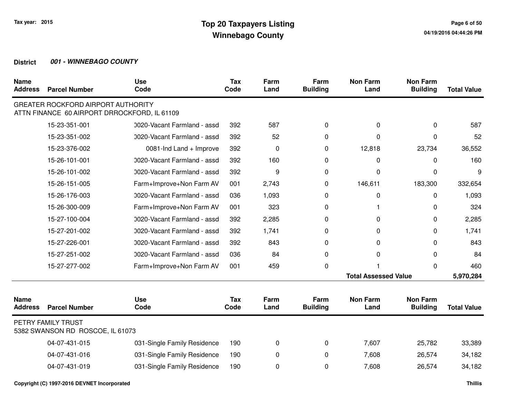| <b>Name</b><br><b>Address</b> | <b>Parcel Number</b>                                                                      | <b>Use</b><br>Code          | <b>Tax</b><br>Code | Farm<br>Land | Farm<br><b>Building</b> | <b>Non Farm</b><br>Land     | <b>Non Farm</b><br><b>Building</b> | <b>Total Value</b> |
|-------------------------------|-------------------------------------------------------------------------------------------|-----------------------------|--------------------|--------------|-------------------------|-----------------------------|------------------------------------|--------------------|
|                               | <b>GREATER ROCKFORD AIRPORT AUTHORITY</b><br>ATTN FINANCE 60 AIRPORT DRROCKFORD, IL 61109 |                             |                    |              |                         |                             |                                    |                    |
|                               | 15-23-351-001                                                                             | 0020-Vacant Farmland - assd | 392                | 587          | 0                       | $\mathbf{0}$                | 0                                  | 587                |
|                               | 15-23-351-002                                                                             | 0020-Vacant Farmland - assd | 392                | 52           | 0                       | $\Omega$                    | 0                                  | 52                 |
|                               | 15-23-376-002                                                                             | 0081-Ind Land + Improve     | 392                | 0            | 0                       | 12,818                      | 23,734                             | 36,552             |
|                               | 15-26-101-001                                                                             | 0020-Vacant Farmland - assd | 392                | 160          | 0                       | $\Omega$                    | 0                                  | 160                |
|                               | 15-26-101-002                                                                             | 0020-Vacant Farmland - assd | 392                | 9            | 0                       | 0                           | $\Omega$                           | 9                  |
|                               | 15-26-151-005                                                                             | Farm+Improve+Non Farm AV    | 001                | 2,743        | 0                       | 146,611                     | 183,300                            | 332,654            |
|                               | 15-26-176-003                                                                             | 0020-Vacant Farmland - assd | 036                | 1,093        | 0                       | 0                           | 0                                  | 1,093              |
|                               | 15-26-300-009                                                                             | Farm+Improve+Non Farm AV    | 001                | 323          | $\Omega$                |                             | 0                                  | 324                |
|                               | 15-27-100-004                                                                             | 0020-Vacant Farmland - assd | 392                | 2,285        | 0                       | 0                           | 0                                  | 2,285              |
|                               | 15-27-201-002                                                                             | 0020-Vacant Farmland - assd | 392                | 1,741        | $\Omega$                | $\mathbf{0}$                | 0                                  | 1,741              |
|                               | 15-27-226-001                                                                             | 0020-Vacant Farmland - assd | 392                | 843          | 0                       | 0                           | 0                                  | 843                |
|                               | 15-27-251-002                                                                             | 0020-Vacant Farmland - assd | 036                | 84           | 0                       | $\mathbf 0$                 | 0                                  | 84                 |
|                               | 15-27-277-002                                                                             | Farm+Improve+Non Farm AV    | 001                | 459          | $\pmb{0}$               |                             | 0                                  | 460                |
|                               |                                                                                           |                             |                    |              |                         | <b>Total Assessed Value</b> |                                    | 5,970,284          |
| <b>Name</b><br><b>Address</b> | <b>Parcel Number</b>                                                                      | <b>Use</b><br>Code          | <b>Tax</b><br>Code | Farm<br>Land | Farm<br><b>Building</b> | <b>Non Farm</b><br>Land     | <b>Non Farm</b><br><b>Building</b> | <b>Total Value</b> |
|                               | PETRY FAMILY TRUST<br>5382 SWANSON RD ROSCOE, IL 61073                                    |                             |                    |              |                         |                             |                                    |                    |
|                               | 04-07-431-015                                                                             | 031-Single Family Residence | 190                | 0            | $\mathbf 0$             | 7,607                       | 25,782                             | 33,389             |
|                               | 04-07-431-016                                                                             | 031-Single Family Residence | 190                | 0            | 0                       | 7,608                       | 26,574                             | 34,182             |
|                               | 04-07-431-019                                                                             | 031-Single Family Residence | 190                | 0            | 0                       | 7,608                       | 26,574                             | 34,182             |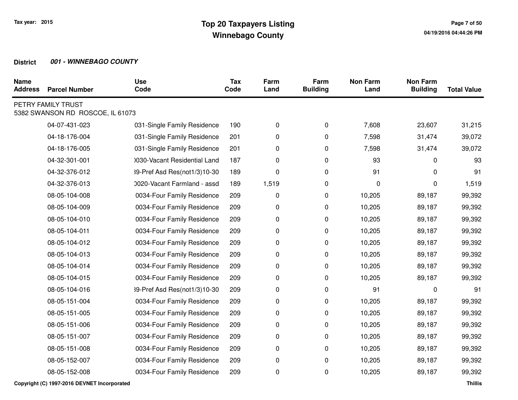| <b>Name</b><br><b>Address</b> | <b>Parcel Number</b>                                   | <b>Use</b><br>Code           | <b>Tax</b><br>Code | Farm<br>Land | Farm<br><b>Building</b> | <b>Non Farm</b><br>Land | <b>Non Farm</b><br><b>Building</b> | <b>Total Value</b> |
|-------------------------------|--------------------------------------------------------|------------------------------|--------------------|--------------|-------------------------|-------------------------|------------------------------------|--------------------|
|                               | PETRY FAMILY TRUST<br>5382 SWANSON RD ROSCOE, IL 61073 |                              |                    |              |                         |                         |                                    |                    |
|                               | 04-07-431-023                                          | 031-Single Family Residence  | 190                | 0            | 0                       | 7,608                   | 23,607                             | 31,215             |
|                               | 04-18-176-004                                          | 031-Single Family Residence  | 201                | 0            | 0                       | 7,598                   | 31,474                             | 39,072             |
|                               | 04-18-176-005                                          | 031-Single Family Residence  | 201                | 0            | 0                       | 7,598                   | 31,474                             | 39,072             |
|                               | 04-32-301-001                                          | 1030-Vacant Residential Land | 187                | 0            | 0                       | 93                      | $\Omega$                           | 93                 |
|                               | 04-32-376-012                                          | 39-Pref Asd Res(not1/3)10-30 | 189                | 0            | 0                       | 91                      | 0                                  | 91                 |
|                               | 04-32-376-013                                          | 0020-Vacant Farmland - assd  | 189                | 1,519        | 0                       | 0                       | 0                                  | 1,519              |
|                               | 08-05-104-008                                          | 0034-Four Family Residence   | 209                | 0            | 0                       | 10,205                  | 89,187                             | 99,392             |
|                               | 08-05-104-009                                          | 0034-Four Family Residence   | 209                | 0            | 0                       | 10,205                  | 89,187                             | 99,392             |
|                               | 08-05-104-010                                          | 0034-Four Family Residence   | 209                | 0            | 0                       | 10,205                  | 89,187                             | 99,392             |
|                               | 08-05-104-011                                          | 0034-Four Family Residence   | 209                | 0            | $\mathbf 0$             | 10,205                  | 89,187                             | 99,392             |
|                               | 08-05-104-012                                          | 0034-Four Family Residence   | 209                | 0            | 0                       | 10,205                  | 89,187                             | 99,392             |
|                               | 08-05-104-013                                          | 0034-Four Family Residence   | 209                | 0            | 0                       | 10,205                  | 89,187                             | 99,392             |
|                               | 08-05-104-014                                          | 0034-Four Family Residence   | 209                | 0            | 0                       | 10,205                  | 89,187                             | 99,392             |
|                               | 08-05-104-015                                          | 0034-Four Family Residence   | 209                | 0            | 0                       | 10,205                  | 89,187                             | 99,392             |
|                               | 08-05-104-016                                          | 39-Pref Asd Res(not1/3)10-30 | 209                | 0            | $\pmb{0}$               | 91                      | 0                                  | 91                 |
|                               | 08-05-151-004                                          | 0034-Four Family Residence   | 209                | 0            | $\pmb{0}$               | 10,205                  | 89,187                             | 99,392             |
|                               | 08-05-151-005                                          | 0034-Four Family Residence   | 209                | 0            | 0                       | 10,205                  | 89,187                             | 99,392             |
|                               | 08-05-151-006                                          | 0034-Four Family Residence   | 209                | 0            | 0                       | 10,205                  | 89,187                             | 99,392             |
|                               | 08-05-151-007                                          | 0034-Four Family Residence   | 209                | 0            | 0                       | 10,205                  | 89,187                             | 99,392             |
|                               | 08-05-151-008                                          | 0034-Four Family Residence   | 209                | 0            | 0                       | 10,205                  | 89,187                             | 99,392             |
|                               | 08-05-152-007                                          | 0034-Four Family Residence   | 209                | 0            | 0                       | 10,205                  | 89,187                             | 99,392             |
|                               | 08-05-152-008                                          | 0034-Four Family Residence   | 209                | 0            | 0                       | 10,205                  | 89,187                             | 99,392             |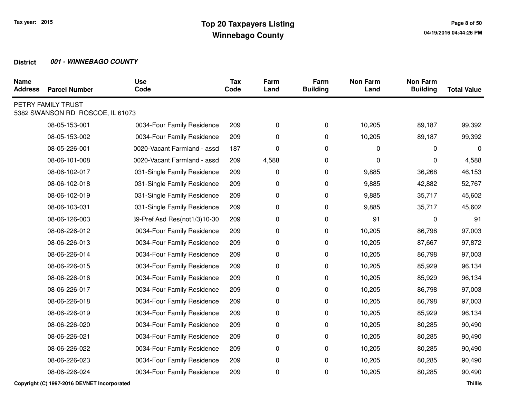| <b>Name</b><br><b>Address</b> | <b>Parcel Number</b>                                   | <b>Use</b><br>Code           | <b>Tax</b><br>Code | Farm<br>Land | Farm<br><b>Building</b> | <b>Non Farm</b><br>Land | <b>Non Farm</b><br><b>Building</b> | <b>Total Value</b> |
|-------------------------------|--------------------------------------------------------|------------------------------|--------------------|--------------|-------------------------|-------------------------|------------------------------------|--------------------|
|                               | PETRY FAMILY TRUST<br>5382 SWANSON RD ROSCOE, IL 61073 |                              |                    |              |                         |                         |                                    |                    |
|                               | 08-05-153-001                                          | 0034-Four Family Residence   | 209                | 0            | 0                       | 10,205                  | 89,187                             | 99,392             |
|                               | 08-05-153-002                                          | 0034-Four Family Residence   | 209                | 0            | 0                       | 10,205                  | 89,187                             | 99,392             |
|                               | 08-05-226-001                                          | 0020-Vacant Farmland - assd  | 187                | 0            | $\pmb{0}$               | 0                       | $\Omega$                           | $\mathbf 0$        |
|                               | 08-06-101-008                                          | 0020-Vacant Farmland - assd  | 209                | 4,588        | 0                       | 0                       | 0                                  | 4,588              |
|                               | 08-06-102-017                                          | 031-Single Family Residence  | 209                | 0            | 0                       | 9,885                   | 36,268                             | 46,153             |
|                               | 08-06-102-018                                          | 031-Single Family Residence  | 209                | 0            | 0                       | 9,885                   | 42,882                             | 52,767             |
|                               | 08-06-102-019                                          | 031-Single Family Residence  | 209                | 0            | 0                       | 9,885                   | 35,717                             | 45,602             |
|                               | 08-06-103-031                                          | 031-Single Family Residence  | 209                | 0            | 0                       | 9,885                   | 35,717                             | 45,602             |
|                               | 08-06-126-003                                          | 39-Pref Asd Res(not1/3)10-30 | 209                | 0            | 0                       | 91                      | $\Omega$                           | 91                 |
|                               | 08-06-226-012                                          | 0034-Four Family Residence   | 209                | 0            | 0                       | 10,205                  | 86,798                             | 97,003             |
|                               | 08-06-226-013                                          | 0034-Four Family Residence   | 209                | 0            | 0                       | 10,205                  | 87,667                             | 97,872             |
|                               | 08-06-226-014                                          | 0034-Four Family Residence   | 209                | 0            | 0                       | 10,205                  | 86,798                             | 97,003             |
|                               | 08-06-226-015                                          | 0034-Four Family Residence   | 209                | 0            | 0                       | 10,205                  | 85,929                             | 96,134             |
|                               | 08-06-226-016                                          | 0034-Four Family Residence   | 209                | 0            | 0                       | 10,205                  | 85,929                             | 96,134             |
|                               | 08-06-226-017                                          | 0034-Four Family Residence   | 209                | 0            | 0                       | 10,205                  | 86,798                             | 97,003             |
|                               | 08-06-226-018                                          | 0034-Four Family Residence   | 209                | 0            | 0                       | 10,205                  | 86,798                             | 97,003             |
|                               | 08-06-226-019                                          | 0034-Four Family Residence   | 209                | 0            | 0                       | 10,205                  | 85,929                             | 96,134             |
|                               | 08-06-226-020                                          | 0034-Four Family Residence   | 209                | 0            | 0                       | 10,205                  | 80,285                             | 90,490             |
|                               | 08-06-226-021                                          | 0034-Four Family Residence   | 209                | 0            | 0                       | 10,205                  | 80,285                             | 90,490             |
|                               | 08-06-226-022                                          | 0034-Four Family Residence   | 209                | 0            | 0                       | 10,205                  | 80,285                             | 90,490             |
|                               | 08-06-226-023                                          | 0034-Four Family Residence   | 209                | 0            | 0                       | 10,205                  | 80,285                             | 90,490             |
|                               | 08-06-226-024                                          | 0034-Four Family Residence   | 209                | 0            | 0                       | 10,205                  | 80,285                             | 90,490             |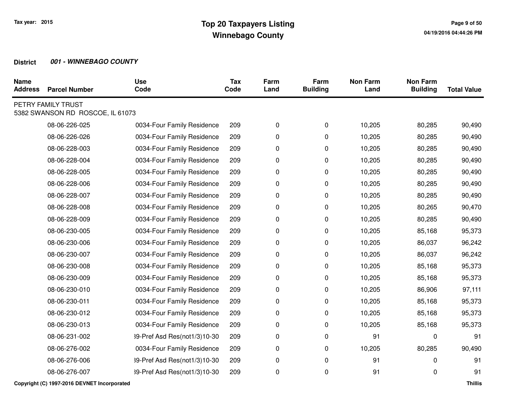| <b>Name</b><br><b>Address</b> | <b>Parcel Number</b>                                   | <b>Use</b><br>Code           | <b>Tax</b><br>Code | Farm<br>Land | Farm<br><b>Building</b> | <b>Non Farm</b><br>Land | <b>Non Farm</b><br><b>Building</b> | <b>Total Value</b> |
|-------------------------------|--------------------------------------------------------|------------------------------|--------------------|--------------|-------------------------|-------------------------|------------------------------------|--------------------|
|                               | PETRY FAMILY TRUST<br>5382 SWANSON RD ROSCOE, IL 61073 |                              |                    |              |                         |                         |                                    |                    |
|                               | 08-06-226-025                                          | 0034-Four Family Residence   | 209                | 0            | 0                       | 10,205                  | 80,285                             | 90,490             |
|                               | 08-06-226-026                                          | 0034-Four Family Residence   | 209                | 0            | 0                       | 10,205                  | 80,285                             | 90,490             |
|                               | 08-06-228-003                                          | 0034-Four Family Residence   | 209                | 0            | 0                       | 10,205                  | 80,285                             | 90,490             |
|                               | 08-06-228-004                                          | 0034-Four Family Residence   | 209                | 0            | $\pmb{0}$               | 10,205                  | 80,285                             | 90,490             |
|                               | 08-06-228-005                                          | 0034-Four Family Residence   | 209                | 0            | 0                       | 10,205                  | 80,285                             | 90,490             |
|                               | 08-06-228-006                                          | 0034-Four Family Residence   | 209                | 0            | 0                       | 10,205                  | 80,285                             | 90,490             |
|                               | 08-06-228-007                                          | 0034-Four Family Residence   | 209                | 0            | 0                       | 10,205                  | 80,285                             | 90,490             |
|                               | 08-06-228-008                                          | 0034-Four Family Residence   | 209                | 0            | 0                       | 10,205                  | 80,265                             | 90,470             |
|                               | 08-06-228-009                                          | 0034-Four Family Residence   | 209                | 0            | 0                       | 10,205                  | 80,285                             | 90,490             |
|                               | 08-06-230-005                                          | 0034-Four Family Residence   | 209                | 0            | 0                       | 10,205                  | 85,168                             | 95,373             |
|                               | 08-06-230-006                                          | 0034-Four Family Residence   | 209                | 0            | 0                       | 10,205                  | 86,037                             | 96,242             |
|                               | 08-06-230-007                                          | 0034-Four Family Residence   | 209                | 0            | 0                       | 10,205                  | 86,037                             | 96,242             |
|                               | 08-06-230-008                                          | 0034-Four Family Residence   | 209                | 0            | 0                       | 10,205                  | 85,168                             | 95,373             |
|                               | 08-06-230-009                                          | 0034-Four Family Residence   | 209                | 0            | 0                       | 10,205                  | 85,168                             | 95,373             |
|                               | 08-06-230-010                                          | 0034-Four Family Residence   | 209                | 0            | 0                       | 10,205                  | 86,906                             | 97,111             |
|                               | 08-06-230-011                                          | 0034-Four Family Residence   | 209                | 0            | 0                       | 10,205                  | 85,168                             | 95,373             |
|                               | 08-06-230-012                                          | 0034-Four Family Residence   | 209                | 0            | $\pmb{0}$               | 10,205                  | 85,168                             | 95,373             |
|                               | 08-06-230-013                                          | 0034-Four Family Residence   | 209                | 0            | 0                       | 10,205                  | 85,168                             | 95,373             |
|                               | 08-06-231-002                                          | 39-Pref Asd Res(not1/3)10-30 | 209                | 0            | 0                       | 91                      | $\Omega$                           | 91                 |
|                               | 08-06-276-002                                          | 0034-Four Family Residence   | 209                | 0            | 0                       | 10,205                  | 80,285                             | 90,490             |
|                               | 08-06-276-006                                          | 39-Pref Asd Res(not1/3)10-30 | 209                | 0            | 0                       | 91                      | 0                                  | 91                 |
|                               | 08-06-276-007                                          | 39-Pref Asd Res(not1/3)10-30 | 209                | 0            | 0                       | 91                      | 0                                  | 91                 |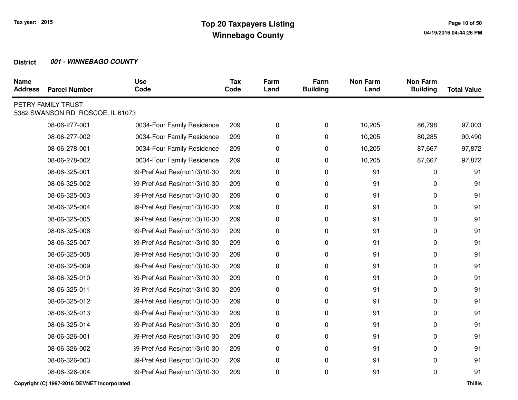| <b>Name</b><br><b>Address</b> | <b>Parcel Number</b>                                   | <b>Use</b><br>Code           | <b>Tax</b><br>Code | Farm<br>Land | Farm<br><b>Building</b> | <b>Non Farm</b><br>Land | <b>Non Farm</b><br><b>Building</b> | <b>Total Value</b> |
|-------------------------------|--------------------------------------------------------|------------------------------|--------------------|--------------|-------------------------|-------------------------|------------------------------------|--------------------|
|                               | PETRY FAMILY TRUST<br>5382 SWANSON RD ROSCOE, IL 61073 |                              |                    |              |                         |                         |                                    |                    |
|                               | 08-06-277-001                                          | 0034-Four Family Residence   | 209                | 0            | 0                       | 10,205                  | 86,798                             | 97,003             |
|                               | 08-06-277-002                                          | 0034-Four Family Residence   | 209                | 0            | 0                       | 10,205                  | 80,285                             | 90,490             |
|                               | 08-06-278-001                                          | 0034-Four Family Residence   | 209                | 0            | 0                       | 10,205                  | 87,667                             | 97,872             |
|                               | 08-06-278-002                                          | 0034-Four Family Residence   | 209                | 0            | 0                       | 10,205                  | 87,667                             | 97,872             |
|                               | 08-06-325-001                                          | 39-Pref Asd Res(not1/3)10-30 | 209                | 0            | 0                       | 91                      | 0                                  | 91                 |
|                               | 08-06-325-002                                          | 39-Pref Asd Res(not1/3)10-30 | 209                | 0            | 0                       | 91                      | 0                                  | 91                 |
|                               | 08-06-325-003                                          | 39-Pref Asd Res(not1/3)10-30 | 209                | 0            | 0                       | 91                      | 0                                  | 91                 |
|                               | 08-06-325-004                                          | 39-Pref Asd Res(not1/3)10-30 | 209                | 0            | 0                       | 91                      | 0                                  | 91                 |
|                               | 08-06-325-005                                          | 39-Pref Asd Res(not1/3)10-30 | 209                | 0            | 0                       | 91                      | 0                                  | 91                 |
|                               | 08-06-325-006                                          | 39-Pref Asd Res(not1/3)10-30 | 209                | 0            | 0                       | 91                      | 0                                  | 91                 |
|                               | 08-06-325-007                                          | 39-Pref Asd Res(not1/3)10-30 | 209                | 0            | 0                       | 91                      | 0                                  | 91                 |
|                               | 08-06-325-008                                          | 39-Pref Asd Res(not1/3)10-30 | 209                | 0            | 0                       | 91                      | 0                                  | 91                 |
|                               | 08-06-325-009                                          | 39-Pref Asd Res(not1/3)10-30 | 209                | 0            | 0                       | 91                      | 0                                  | 91                 |
|                               | 08-06-325-010                                          | 39-Pref Asd Res(not1/3)10-30 | 209                | 0            | 0                       | 91                      | 0                                  | 91                 |
|                               | 08-06-325-011                                          | 39-Pref Asd Res(not1/3)10-30 | 209                | 0            | 0                       | 91                      | 0                                  | 91                 |
|                               | 08-06-325-012                                          | 39-Pref Asd Res(not1/3)10-30 | 209                | 0            | 0                       | 91                      | 0                                  | 91                 |
|                               | 08-06-325-013                                          | 39-Pref Asd Res(not1/3)10-30 | 209                | 0            | 0                       | 91                      | 0                                  | 91                 |
|                               | 08-06-325-014                                          | 39-Pref Asd Res(not1/3)10-30 | 209                | 0            | 0                       | 91                      | 0                                  | 91                 |
|                               | 08-06-326-001                                          | 39-Pref Asd Res(not1/3)10-30 | 209                | 0            | 0                       | 91                      | 0                                  | 91                 |
|                               | 08-06-326-002                                          | 39-Pref Asd Res(not1/3)10-30 | 209                | 0            | 0                       | 91                      | 0                                  | 91                 |
|                               | 08-06-326-003                                          | 39-Pref Asd Res(not1/3)10-30 | 209                | 0            | 0                       | 91                      | 0                                  | 91                 |
|                               | 08-06-326-004                                          | 39-Pref Asd Res(not1/3)10-30 | 209                | 0            | 0                       | 91                      | 0                                  | 91                 |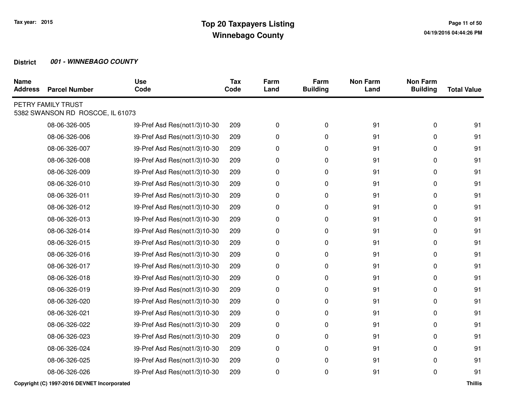| <b>Name</b><br><b>Address</b> | <b>Parcel Number</b>                                   | <b>Use</b><br>Code           | <b>Tax</b><br>Code | Farm<br>Land | Farm<br><b>Building</b> | <b>Non Farm</b><br>Land | <b>Non Farm</b><br><b>Building</b> | <b>Total Value</b> |
|-------------------------------|--------------------------------------------------------|------------------------------|--------------------|--------------|-------------------------|-------------------------|------------------------------------|--------------------|
|                               | PETRY FAMILY TRUST<br>5382 SWANSON RD ROSCOE, IL 61073 |                              |                    |              |                         |                         |                                    |                    |
|                               | 08-06-326-005                                          | 39-Pref Asd Res(not1/3)10-30 | 209                | 0            | 0                       | 91                      | 0                                  | 91                 |
|                               | 08-06-326-006                                          | 39-Pref Asd Res(not1/3)10-30 | 209                | 0            | 0                       | 91                      | 0                                  | 91                 |
|                               | 08-06-326-007                                          | 39-Pref Asd Res(not1/3)10-30 | 209                | 0            | 0                       | 91                      | 0                                  | 91                 |
|                               | 08-06-326-008                                          | 39-Pref Asd Res(not1/3)10-30 | 209                | 0            | 0                       | 91                      | 0                                  | 91                 |
|                               | 08-06-326-009                                          | 39-Pref Asd Res(not1/3)10-30 | 209                | 0            | 0                       | 91                      | 0                                  | 91                 |
|                               | 08-06-326-010                                          | 39-Pref Asd Res(not1/3)10-30 | 209                | 0            | 0                       | 91                      | 0                                  | 91                 |
|                               | 08-06-326-011                                          | 39-Pref Asd Res(not1/3)10-30 | 209                | 0            | 0                       | 91                      | 0                                  | 91                 |
|                               | 08-06-326-012                                          | 39-Pref Asd Res(not1/3)10-30 | 209                | 0            | 0                       | 91                      | 0                                  | 91                 |
|                               | 08-06-326-013                                          | 39-Pref Asd Res(not1/3)10-30 | 209                | 0            | 0                       | 91                      | 0                                  | 91                 |
|                               | 08-06-326-014                                          | 39-Pref Asd Res(not1/3)10-30 | 209                | 0            | 0                       | 91                      | 0                                  | 91                 |
|                               | 08-06-326-015                                          | 39-Pref Asd Res(not1/3)10-30 | 209                | 0            | 0                       | 91                      | 0                                  | 91                 |
|                               | 08-06-326-016                                          | 39-Pref Asd Res(not1/3)10-30 | 209                | 0            | 0                       | 91                      | 0                                  | 91                 |
|                               | 08-06-326-017                                          | 39-Pref Asd Res(not1/3)10-30 | 209                | 0            | 0                       | 91                      | 0                                  | 91                 |
|                               | 08-06-326-018                                          | 39-Pref Asd Res(not1/3)10-30 | 209                | 0            | 0                       | 91                      | 0                                  | 91                 |
|                               | 08-06-326-019                                          | 39-Pref Asd Res(not1/3)10-30 | 209                | 0            | 0                       | 91                      | 0                                  | 91                 |
|                               | 08-06-326-020                                          | 39-Pref Asd Res(not1/3)10-30 | 209                | 0            | 0                       | 91                      | 0                                  | 91                 |
|                               | 08-06-326-021                                          | 39-Pref Asd Res(not1/3)10-30 | 209                | 0            | 0                       | 91                      | 0                                  | 91                 |
|                               | 08-06-326-022                                          | 39-Pref Asd Res(not1/3)10-30 | 209                | 0            | 0                       | 91                      | 0                                  | 91                 |
|                               | 08-06-326-023                                          | 39-Pref Asd Res(not1/3)10-30 | 209                | 0            | 0                       | 91                      | 0                                  | 91                 |
|                               | 08-06-326-024                                          | 39-Pref Asd Res(not1/3)10-30 | 209                | 0            | 0                       | 91                      | 0                                  | 91                 |
|                               | 08-06-326-025                                          | 39-Pref Asd Res(not1/3)10-30 | 209                | 0            | 0                       | 91                      | 0                                  | 91                 |
|                               | 08-06-326-026                                          | 39-Pref Asd Res(not1/3)10-30 | 209                | 0            | 0                       | 91                      | 0                                  | 91                 |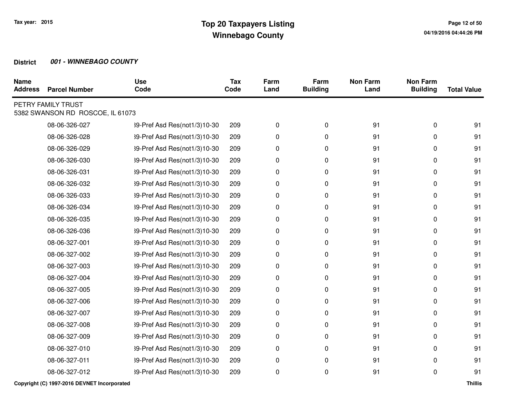| <b>Name</b><br><b>Address</b> | <b>Parcel Number</b>                                   | <b>Use</b><br>Code           | <b>Tax</b><br>Code | Farm<br>Land | Farm<br><b>Building</b> | <b>Non Farm</b><br>Land | <b>Non Farm</b><br><b>Building</b> | <b>Total Value</b> |
|-------------------------------|--------------------------------------------------------|------------------------------|--------------------|--------------|-------------------------|-------------------------|------------------------------------|--------------------|
|                               | PETRY FAMILY TRUST<br>5382 SWANSON RD ROSCOE, IL 61073 |                              |                    |              |                         |                         |                                    |                    |
|                               | 08-06-326-027                                          | 39-Pref Asd Res(not1/3)10-30 | 209                | 0            | 0                       | 91                      | 0                                  | 91                 |
|                               | 08-06-326-028                                          | 39-Pref Asd Res(not1/3)10-30 | 209                | 0            | 0                       | 91                      | 0                                  | 91                 |
|                               | 08-06-326-029                                          | 39-Pref Asd Res(not1/3)10-30 | 209                | 0            | 0                       | 91                      | 0                                  | 91                 |
|                               | 08-06-326-030                                          | 39-Pref Asd Res(not1/3)10-30 | 209                | 0            | 0                       | 91                      | 0                                  | 91                 |
|                               | 08-06-326-031                                          | 39-Pref Asd Res(not1/3)10-30 | 209                | 0            | 0                       | 91                      | 0                                  | 91                 |
|                               | 08-06-326-032                                          | 39-Pref Asd Res(not1/3)10-30 | 209                | 0            | 0                       | 91                      | 0                                  | 91                 |
|                               | 08-06-326-033                                          | 39-Pref Asd Res(not1/3)10-30 | 209                | 0            | 0                       | 91                      | 0                                  | 91                 |
|                               | 08-06-326-034                                          | 39-Pref Asd Res(not1/3)10-30 | 209                | 0            | 0                       | 91                      | 0                                  | 91                 |
|                               | 08-06-326-035                                          | 39-Pref Asd Res(not1/3)10-30 | 209                | 0            | 0                       | 91                      | 0                                  | 91                 |
|                               | 08-06-326-036                                          | 39-Pref Asd Res(not1/3)10-30 | 209                | 0            | 0                       | 91                      | 0                                  | 91                 |
|                               | 08-06-327-001                                          | 39-Pref Asd Res(not1/3)10-30 | 209                | 0            | 0                       | 91                      | 0                                  | 91                 |
|                               | 08-06-327-002                                          | 39-Pref Asd Res(not1/3)10-30 | 209                | 0            | $\pmb{0}$               | 91                      | 0                                  | 91                 |
|                               | 08-06-327-003                                          | 39-Pref Asd Res(not1/3)10-30 | 209                | 0            | 0                       | 91                      | 0                                  | 91                 |
|                               | 08-06-327-004                                          | 39-Pref Asd Res(not1/3)10-30 | 209                | 0            | 0                       | 91                      | 0                                  | 91                 |
|                               | 08-06-327-005                                          | 39-Pref Asd Res(not1/3)10-30 | 209                | 0            | $\pmb{0}$               | 91                      | 0                                  | 91                 |
|                               | 08-06-327-006                                          | 39-Pref Asd Res(not1/3)10-30 | 209                | 0            | 0                       | 91                      | 0                                  | 91                 |
|                               | 08-06-327-007                                          | 39-Pref Asd Res(not1/3)10-30 | 209                | 0            | 0                       | 91                      | 0                                  | 91                 |
|                               | 08-06-327-008                                          | 39-Pref Asd Res(not1/3)10-30 | 209                | 0            | 0                       | 91                      | 0                                  | 91                 |
|                               | 08-06-327-009                                          | 39-Pref Asd Res(not1/3)10-30 | 209                | 0            | 0                       | 91                      | 0                                  | 91                 |
|                               | 08-06-327-010                                          | 39-Pref Asd Res(not1/3)10-30 | 209                | 0            | 0                       | 91                      | 0                                  | 91                 |
|                               | 08-06-327-011                                          | 39-Pref Asd Res(not1/3)10-30 | 209                | 0            | $\pmb{0}$               | 91                      | 0                                  | 91                 |
|                               | 08-06-327-012                                          | 39-Pref Asd Res(not1/3)10-30 | 209                | 0            | 0                       | 91                      | 0                                  | 91                 |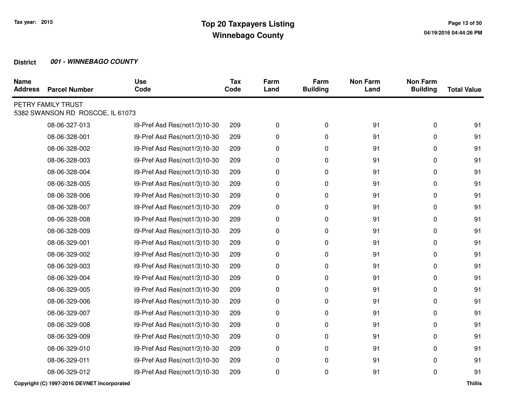| <b>Name</b><br><b>Address</b> | <b>Parcel Number</b>                                   | <b>Use</b><br>Code           | <b>Tax</b><br>Code | Farm<br>Land | Farm<br><b>Building</b> | <b>Non Farm</b><br>Land | <b>Non Farm</b><br><b>Building</b> | <b>Total Value</b> |
|-------------------------------|--------------------------------------------------------|------------------------------|--------------------|--------------|-------------------------|-------------------------|------------------------------------|--------------------|
|                               | PETRY FAMILY TRUST<br>5382 SWANSON RD ROSCOE, IL 61073 |                              |                    |              |                         |                         |                                    |                    |
|                               | 08-06-327-013                                          | 39-Pref Asd Res(not1/3)10-30 | 209                | 0            | 0                       | 91                      | 0                                  | 91                 |
|                               | 08-06-328-001                                          | 39-Pref Asd Res(not1/3)10-30 | 209                | 0            | 0                       | 91                      | 0                                  | 91                 |
|                               | 08-06-328-002                                          | 39-Pref Asd Res(not1/3)10-30 | 209                | 0            | 0                       | 91                      | 0                                  | 91                 |
|                               | 08-06-328-003                                          | 39-Pref Asd Res(not1/3)10-30 | 209                | 0            | 0                       | 91                      | 0                                  | 91                 |
|                               | 08-06-328-004                                          | 39-Pref Asd Res(not1/3)10-30 | 209                | 0            | 0                       | 91                      | 0                                  | 91                 |
|                               | 08-06-328-005                                          | 39-Pref Asd Res(not1/3)10-30 | 209                | 0            | 0                       | 91                      | 0                                  | 91                 |
|                               | 08-06-328-006                                          | 39-Pref Asd Res(not1/3)10-30 | 209                | 0            | 0                       | 91                      | 0                                  | 91                 |
|                               | 08-06-328-007                                          | 39-Pref Asd Res(not1/3)10-30 | 209                | 0            | 0                       | 91                      | 0                                  | 91                 |
|                               | 08-06-328-008                                          | 39-Pref Asd Res(not1/3)10-30 | 209                | 0            | 0                       | 91                      | 0                                  | 91                 |
|                               | 08-06-328-009                                          | 39-Pref Asd Res(not1/3)10-30 | 209                | 0            | 0                       | 91                      | 0                                  | 91                 |
|                               | 08-06-329-001                                          | 39-Pref Asd Res(not1/3)10-30 | 209                | 0            | 0                       | 91                      | 0                                  | 91                 |
|                               | 08-06-329-002                                          | 39-Pref Asd Res(not1/3)10-30 | 209                | 0            | $\pmb{0}$               | 91                      | 0                                  | 91                 |
|                               | 08-06-329-003                                          | 39-Pref Asd Res(not1/3)10-30 | 209                | 0            | 0                       | 91                      | 0                                  | 91                 |
|                               | 08-06-329-004                                          | 39-Pref Asd Res(not1/3)10-30 | 209                | 0            | 0                       | 91                      | 0                                  | 91                 |
|                               | 08-06-329-005                                          | 39-Pref Asd Res(not1/3)10-30 | 209                | 0            | $\pmb{0}$               | 91                      | 0                                  | 91                 |
|                               | 08-06-329-006                                          | 39-Pref Asd Res(not1/3)10-30 | 209                | 0            | 0                       | 91                      | 0                                  | 91                 |
|                               | 08-06-329-007                                          | 39-Pref Asd Res(not1/3)10-30 | 209                | 0            | 0                       | 91                      | 0                                  | 91                 |
|                               | 08-06-329-008                                          | 39-Pref Asd Res(not1/3)10-30 | 209                | 0            | 0                       | 91                      | 0                                  | 91                 |
|                               | 08-06-329-009                                          | 39-Pref Asd Res(not1/3)10-30 | 209                | 0            | 0                       | 91                      | 0                                  | 91                 |
|                               | 08-06-329-010                                          | 39-Pref Asd Res(not1/3)10-30 | 209                | 0            | 0                       | 91                      | $\Omega$                           | 91                 |
|                               | 08-06-329-011                                          | 39-Pref Asd Res(not1/3)10-30 | 209                | 0            | $\pmb{0}$               | 91                      | 0                                  | 91                 |
|                               | 08-06-329-012                                          | 39-Pref Asd Res(not1/3)10-30 | 209                | 0            | 0                       | 91                      | 0                                  | 91                 |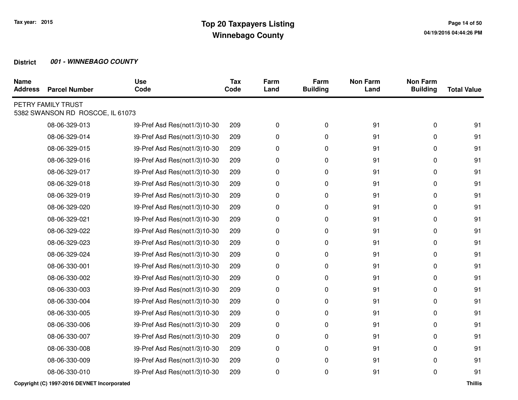| <b>Name</b><br><b>Address</b> | <b>Parcel Number</b>                                   | <b>Use</b><br>Code           | <b>Tax</b><br>Code | Farm<br>Land | Farm<br><b>Building</b> | <b>Non Farm</b><br>Land | <b>Non Farm</b><br><b>Building</b> | <b>Total Value</b> |
|-------------------------------|--------------------------------------------------------|------------------------------|--------------------|--------------|-------------------------|-------------------------|------------------------------------|--------------------|
|                               | PETRY FAMILY TRUST<br>5382 SWANSON RD ROSCOE, IL 61073 |                              |                    |              |                         |                         |                                    |                    |
|                               | 08-06-329-013                                          | 39-Pref Asd Res(not1/3)10-30 | 209                | 0            | 0                       | 91                      | 0                                  | 91                 |
|                               | 08-06-329-014                                          | 39-Pref Asd Res(not1/3)10-30 | 209                | 0            | 0                       | 91                      | 0                                  | 91                 |
|                               | 08-06-329-015                                          | 39-Pref Asd Res(not1/3)10-30 | 209                | 0            | 0                       | 91                      | 0                                  | 91                 |
|                               | 08-06-329-016                                          | 39-Pref Asd Res(not1/3)10-30 | 209                | 0            | 0                       | 91                      | 0                                  | 91                 |
|                               | 08-06-329-017                                          | 39-Pref Asd Res(not1/3)10-30 | 209                | 0            | 0                       | 91                      | 0                                  | 91                 |
|                               | 08-06-329-018                                          | 39-Pref Asd Res(not1/3)10-30 | 209                | 0            | 0                       | 91                      | 0                                  | 91                 |
|                               | 08-06-329-019                                          | 39-Pref Asd Res(not1/3)10-30 | 209                | 0            | 0                       | 91                      | 0                                  | 91                 |
|                               | 08-06-329-020                                          | 39-Pref Asd Res(not1/3)10-30 | 209                | 0            | 0                       | 91                      | 0                                  | 91                 |
|                               | 08-06-329-021                                          | 39-Pref Asd Res(not1/3)10-30 | 209                | 0            | 0                       | 91                      | 0                                  | 91                 |
|                               | 08-06-329-022                                          | 39-Pref Asd Res(not1/3)10-30 | 209                | 0            | 0                       | 91                      | 0                                  | 91                 |
|                               | 08-06-329-023                                          | 39-Pref Asd Res(not1/3)10-30 | 209                | 0            | 0                       | 91                      | 0                                  | 91                 |
|                               | 08-06-329-024                                          | 39-Pref Asd Res(not1/3)10-30 | 209                | 0            | $\pmb{0}$               | 91                      | 0                                  | 91                 |
|                               | 08-06-330-001                                          | 39-Pref Asd Res(not1/3)10-30 | 209                | 0            | 0                       | 91                      | 0                                  | 91                 |
|                               | 08-06-330-002                                          | 39-Pref Asd Res(not1/3)10-30 | 209                | 0            | 0                       | 91                      | 0                                  | 91                 |
|                               | 08-06-330-003                                          | 39-Pref Asd Res(not1/3)10-30 | 209                | 0            | $\pmb{0}$               | 91                      | 0                                  | 91                 |
|                               | 08-06-330-004                                          | 39-Pref Asd Res(not1/3)10-30 | 209                | 0            | 0                       | 91                      | 0                                  | 91                 |
|                               | 08-06-330-005                                          | 39-Pref Asd Res(not1/3)10-30 | 209                | 0            | 0                       | 91                      | 0                                  | 91                 |
|                               | 08-06-330-006                                          | 39-Pref Asd Res(not1/3)10-30 | 209                | 0            | 0                       | 91                      | 0                                  | 91                 |
|                               | 08-06-330-007                                          | 39-Pref Asd Res(not1/3)10-30 | 209                | 0            | 0                       | 91                      | 0                                  | 91                 |
|                               | 08-06-330-008                                          | 39-Pref Asd Res(not1/3)10-30 | 209                | 0            | 0                       | 91                      | $\Omega$                           | 91                 |
|                               | 08-06-330-009                                          | 39-Pref Asd Res(not1/3)10-30 | 209                | 0            | $\pmb{0}$               | 91                      | 0                                  | 91                 |
|                               | 08-06-330-010                                          | 39-Pref Asd Res(not1/3)10-30 | 209                | 0            | 0                       | 91                      | 0                                  | 91                 |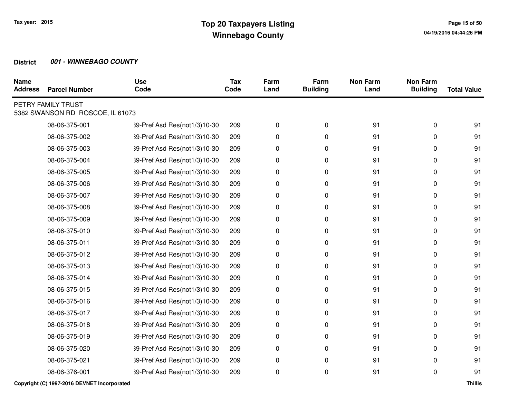| <b>Name</b><br><b>Address</b> | <b>Parcel Number</b>                                   | <b>Use</b><br>Code           | <b>Tax</b><br>Code | Farm<br>Land | Farm<br><b>Building</b> | <b>Non Farm</b><br>Land | <b>Non Farm</b><br><b>Building</b> | <b>Total Value</b> |
|-------------------------------|--------------------------------------------------------|------------------------------|--------------------|--------------|-------------------------|-------------------------|------------------------------------|--------------------|
|                               | PETRY FAMILY TRUST<br>5382 SWANSON RD ROSCOE, IL 61073 |                              |                    |              |                         |                         |                                    |                    |
|                               | 08-06-375-001                                          | 39-Pref Asd Res(not1/3)10-30 | 209                | 0            | 0                       | 91                      | 0                                  | 91                 |
|                               | 08-06-375-002                                          | 39-Pref Asd Res(not1/3)10-30 | 209                | 0            | 0                       | 91                      | 0                                  | 91                 |
|                               | 08-06-375-003                                          | 39-Pref Asd Res(not1/3)10-30 | 209                | 0            | 0                       | 91                      | 0                                  | 91                 |
|                               | 08-06-375-004                                          | 39-Pref Asd Res(not1/3)10-30 | 209                | 0            | 0                       | 91                      | 0                                  | 91                 |
|                               | 08-06-375-005                                          | 39-Pref Asd Res(not1/3)10-30 | 209                | 0            | 0                       | 91                      | 0                                  | 91                 |
|                               | 08-06-375-006                                          | 39-Pref Asd Res(not1/3)10-30 | 209                | 0            | 0                       | 91                      | 0                                  | 91                 |
|                               | 08-06-375-007                                          | 39-Pref Asd Res(not1/3)10-30 | 209                | 0            | 0                       | 91                      | 0                                  | 91                 |
|                               | 08-06-375-008                                          | 39-Pref Asd Res(not1/3)10-30 | 209                | 0            | 0                       | 91                      | 0                                  | 91                 |
|                               | 08-06-375-009                                          | 39-Pref Asd Res(not1/3)10-30 | 209                | 0            | 0                       | 91                      | 0                                  | 91                 |
|                               | 08-06-375-010                                          | 39-Pref Asd Res(not1/3)10-30 | 209                | 0            | 0                       | 91                      | 0                                  | 91                 |
|                               | 08-06-375-011                                          | 39-Pref Asd Res(not1/3)10-30 | 209                | 0            | 0                       | 91                      | 0                                  | 91                 |
|                               | 08-06-375-012                                          | 39-Pref Asd Res(not1/3)10-30 | 209                | 0            | $\pmb{0}$               | 91                      | 0                                  | 91                 |
|                               | 08-06-375-013                                          | 39-Pref Asd Res(not1/3)10-30 | 209                | 0            | 0                       | 91                      | 0                                  | 91                 |
|                               | 08-06-375-014                                          | 39-Pref Asd Res(not1/3)10-30 | 209                | 0            | 0                       | 91                      | 0                                  | 91                 |
|                               | 08-06-375-015                                          | 39-Pref Asd Res(not1/3)10-30 | 209                | 0            | 0                       | 91                      | 0                                  | 91                 |
|                               | 08-06-375-016                                          | 39-Pref Asd Res(not1/3)10-30 | 209                | 0            | 0                       | 91                      | 0                                  | 91                 |
|                               | 08-06-375-017                                          | 39-Pref Asd Res(not1/3)10-30 | 209                | 0            | 0                       | 91                      | 0                                  | 91                 |
|                               | 08-06-375-018                                          | 39-Pref Asd Res(not1/3)10-30 | 209                | 0            | 0                       | 91                      | 0                                  | 91                 |
|                               | 08-06-375-019                                          | 39-Pref Asd Res(not1/3)10-30 | 209                | 0            | 0                       | 91                      | 0                                  | 91                 |
|                               | 08-06-375-020                                          | 39-Pref Asd Res(not1/3)10-30 | 209                | 0            | 0                       | 91                      | 0                                  | 91                 |
|                               | 08-06-375-021                                          | 39-Pref Asd Res(not1/3)10-30 | 209                | 0            | $\pmb{0}$               | 91                      | 0                                  | 91                 |
|                               | 08-06-376-001                                          | 39-Pref Asd Res(not1/3)10-30 | 209                | 0            | 0                       | 91                      | 0                                  | 91                 |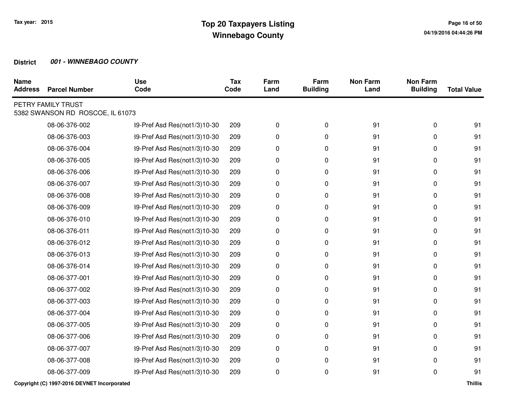| <b>Name</b><br><b>Address</b> | <b>Parcel Number</b>                                   | <b>Use</b><br>Code           | <b>Tax</b><br>Code | Farm<br>Land | Farm<br><b>Building</b> | <b>Non Farm</b><br>Land | <b>Non Farm</b><br><b>Building</b> | <b>Total Value</b> |
|-------------------------------|--------------------------------------------------------|------------------------------|--------------------|--------------|-------------------------|-------------------------|------------------------------------|--------------------|
|                               | PETRY FAMILY TRUST<br>5382 SWANSON RD ROSCOE, IL 61073 |                              |                    |              |                         |                         |                                    |                    |
|                               | 08-06-376-002                                          | 39-Pref Asd Res(not1/3)10-30 | 209                | 0            | 0                       | 91                      | 0                                  | 91                 |
|                               | 08-06-376-003                                          | 39-Pref Asd Res(not1/3)10-30 | 209                | 0            | 0                       | 91                      | 0                                  | 91                 |
|                               | 08-06-376-004                                          | 39-Pref Asd Res(not1/3)10-30 | 209                | 0            | $\mathbf 0$             | 91                      | 0                                  | 91                 |
|                               | 08-06-376-005                                          | 39-Pref Asd Res(not1/3)10-30 | 209                | 0            | 0                       | 91                      | 0                                  | 91                 |
|                               | 08-06-376-006                                          | 39-Pref Asd Res(not1/3)10-30 | 209                | 0            | 0                       | 91                      | 0                                  | 91                 |
|                               | 08-06-376-007                                          | 39-Pref Asd Res(not1/3)10-30 | 209                | 0            | 0                       | 91                      | 0                                  | 91                 |
|                               | 08-06-376-008                                          | 39-Pref Asd Res(not1/3)10-30 | 209                | 0            | 0                       | 91                      | 0                                  | 91                 |
|                               | 08-06-376-009                                          | 39-Pref Asd Res(not1/3)10-30 | 209                | 0            | 0                       | 91                      | 0                                  | 91                 |
|                               | 08-06-376-010                                          | 39-Pref Asd Res(not1/3)10-30 | 209                | 0            | $\mathbf 0$             | 91                      | 0                                  | 91                 |
|                               | 08-06-376-011                                          | 39-Pref Asd Res(not1/3)10-30 | 209                | 0            | 0                       | 91                      | 0                                  | 91                 |
|                               | 08-06-376-012                                          | 39-Pref Asd Res(not1/3)10-30 | 209                | 0            | 0                       | 91                      | 0                                  | 91                 |
|                               | 08-06-376-013                                          | 39-Pref Asd Res(not1/3)10-30 | 209                | 0            | $\pmb{0}$               | 91                      | 0                                  | 91                 |
|                               | 08-06-376-014                                          | 39-Pref Asd Res(not1/3)10-30 | 209                | 0            | 0                       | 91                      | 0                                  | 91                 |
|                               | 08-06-377-001                                          | 39-Pref Asd Res(not1/3)10-30 | 209                | 0            | 0                       | 91                      | 0                                  | 91                 |
|                               | 08-06-377-002                                          | 39-Pref Asd Res(not1/3)10-30 | 209                | 0            | $\pmb{0}$               | 91                      | 0                                  | 91                 |
|                               | 08-06-377-003                                          | 39-Pref Asd Res(not1/3)10-30 | 209                | 0            | 0                       | 91                      | 0                                  | 91                 |
|                               | 08-06-377-004                                          | 39-Pref Asd Res(not1/3)10-30 | 209                | 0            | 0                       | 91                      | 0                                  | 91                 |
|                               | 08-06-377-005                                          | 39-Pref Asd Res(not1/3)10-30 | 209                | 0            | 0                       | 91                      | 0                                  | 91                 |
|                               | 08-06-377-006                                          | 39-Pref Asd Res(not1/3)10-30 | 209                | 0            | $\pmb{0}$               | 91                      | 0                                  | 91                 |
|                               | 08-06-377-007                                          | 39-Pref Asd Res(not1/3)10-30 | 209                | 0            | 0                       | 91                      | 0                                  | 91                 |
|                               | 08-06-377-008                                          | 39-Pref Asd Res(not1/3)10-30 | 209                | 0            | 0                       | 91                      | 0                                  | 91                 |
|                               | 08-06-377-009                                          | 39-Pref Asd Res(not1/3)10-30 | 209                | 0            | $\mathbf 0$             | 91                      | 0                                  | 91                 |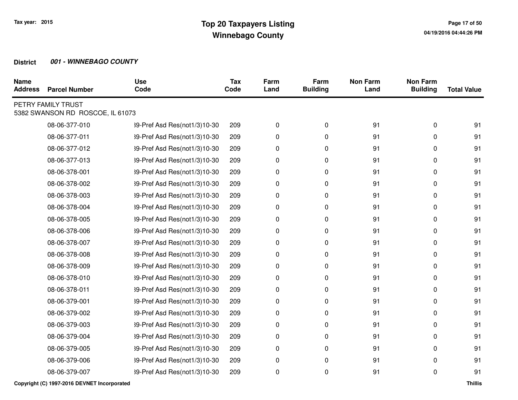| <b>Name</b><br><b>Address</b> | <b>Parcel Number</b>                                   | <b>Use</b><br>Code           | <b>Tax</b><br>Code | Farm<br>Land | Farm<br><b>Building</b> | <b>Non Farm</b><br>Land | <b>Non Farm</b><br><b>Building</b> | <b>Total Value</b> |
|-------------------------------|--------------------------------------------------------|------------------------------|--------------------|--------------|-------------------------|-------------------------|------------------------------------|--------------------|
|                               | PETRY FAMILY TRUST<br>5382 SWANSON RD ROSCOE, IL 61073 |                              |                    |              |                         |                         |                                    |                    |
|                               | 08-06-377-010                                          | 39-Pref Asd Res(not1/3)10-30 | 209                | 0            | 0                       | 91                      | 0                                  | 91                 |
|                               | 08-06-377-011                                          | 39-Pref Asd Res(not1/3)10-30 | 209                | 0            | 0                       | 91                      | 0                                  | 91                 |
|                               | 08-06-377-012                                          | 39-Pref Asd Res(not1/3)10-30 | 209                | 0            | $\mathbf 0$             | 91                      | 0                                  | 91                 |
|                               | 08-06-377-013                                          | 39-Pref Asd Res(not1/3)10-30 | 209                | 0            | 0                       | 91                      | 0                                  | 91                 |
|                               | 08-06-378-001                                          | 39-Pref Asd Res(not1/3)10-30 | 209                | 0            | 0                       | 91                      | 0                                  | 91                 |
|                               | 08-06-378-002                                          | 39-Pref Asd Res(not1/3)10-30 | 209                | 0            | 0                       | 91                      | 0                                  | 91                 |
|                               | 08-06-378-003                                          | 39-Pref Asd Res(not1/3)10-30 | 209                | 0            | 0                       | 91                      | 0                                  | 91                 |
|                               | 08-06-378-004                                          | 39-Pref Asd Res(not1/3)10-30 | 209                | 0            | 0                       | 91                      | 0                                  | 91                 |
|                               | 08-06-378-005                                          | 39-Pref Asd Res(not1/3)10-30 | 209                | 0            | $\mathbf 0$             | 91                      | 0                                  | 91                 |
|                               | 08-06-378-006                                          | 39-Pref Asd Res(not1/3)10-30 | 209                | 0            | 0                       | 91                      | 0                                  | 91                 |
|                               | 08-06-378-007                                          | 39-Pref Asd Res(not1/3)10-30 | 209                | 0            | 0                       | 91                      | 0                                  | 91                 |
|                               | 08-06-378-008                                          | 39-Pref Asd Res(not1/3)10-30 | 209                | 0            | $\pmb{0}$               | 91                      | 0                                  | 91                 |
|                               | 08-06-378-009                                          | 39-Pref Asd Res(not1/3)10-30 | 209                | 0            | 0                       | 91                      | 0                                  | 91                 |
|                               | 08-06-378-010                                          | 39-Pref Asd Res(not1/3)10-30 | 209                | 0            | 0                       | 91                      | 0                                  | 91                 |
|                               | 08-06-378-011                                          | 39-Pref Asd Res(not1/3)10-30 | 209                | 0            | $\pmb{0}$               | 91                      | 0                                  | 91                 |
|                               | 08-06-379-001                                          | 39-Pref Asd Res(not1/3)10-30 | 209                | 0            | 0                       | 91                      | 0                                  | 91                 |
|                               | 08-06-379-002                                          | 39-Pref Asd Res(not1/3)10-30 | 209                | 0            | 0                       | 91                      | 0                                  | 91                 |
|                               | 08-06-379-003                                          | 39-Pref Asd Res(not1/3)10-30 | 209                | 0            | 0                       | 91                      | 0                                  | 91                 |
|                               | 08-06-379-004                                          | 39-Pref Asd Res(not1/3)10-30 | 209                | 0            | $\pmb{0}$               | 91                      | 0                                  | 91                 |
|                               | 08-06-379-005                                          | 39-Pref Asd Res(not1/3)10-30 | 209                | 0            | 0                       | 91                      | 0                                  | 91                 |
|                               | 08-06-379-006                                          | 39-Pref Asd Res(not1/3)10-30 | 209                | 0            | 0                       | 91                      | 0                                  | 91                 |
|                               | 08-06-379-007                                          | 39-Pref Asd Res(not1/3)10-30 | 209                | 0            | $\mathbf 0$             | 91                      | 0                                  | 91                 |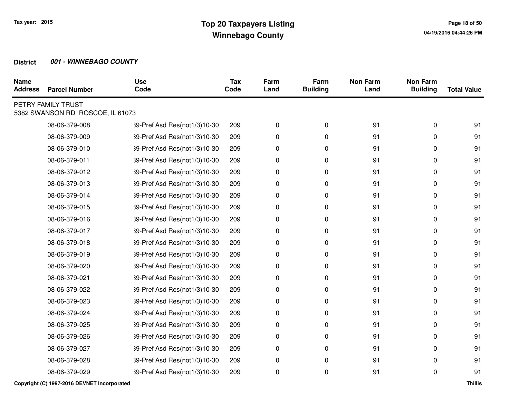| <b>Name</b><br><b>Address</b> | <b>Parcel Number</b>                                   | <b>Use</b><br>Code           | <b>Tax</b><br>Code | Farm<br>Land | Farm<br><b>Building</b> | <b>Non Farm</b><br>Land | <b>Non Farm</b><br><b>Building</b> | <b>Total Value</b> |
|-------------------------------|--------------------------------------------------------|------------------------------|--------------------|--------------|-------------------------|-------------------------|------------------------------------|--------------------|
|                               | PETRY FAMILY TRUST<br>5382 SWANSON RD ROSCOE, IL 61073 |                              |                    |              |                         |                         |                                    |                    |
|                               | 08-06-379-008                                          | 39-Pref Asd Res(not1/3)10-30 | 209                | 0            | 0                       | 91                      | 0                                  | 91                 |
|                               | 08-06-379-009                                          | 39-Pref Asd Res(not1/3)10-30 | 209                | 0            | 0                       | 91                      | 0                                  | 91                 |
|                               | 08-06-379-010                                          | 39-Pref Asd Res(not1/3)10-30 | 209                | 0            | 0                       | 91                      | 0                                  | 91                 |
|                               | 08-06-379-011                                          | 39-Pref Asd Res(not1/3)10-30 | 209                | 0            | 0                       | 91                      | 0                                  | 91                 |
|                               | 08-06-379-012                                          | 39-Pref Asd Res(not1/3)10-30 | 209                | 0            | 0                       | 91                      | 0                                  | 91                 |
|                               | 08-06-379-013                                          | 39-Pref Asd Res(not1/3)10-30 | 209                | 0            | 0                       | 91                      | 0                                  | 91                 |
|                               | 08-06-379-014                                          | 39-Pref Asd Res(not1/3)10-30 | 209                | 0            | 0                       | 91                      | 0                                  | 91                 |
|                               | 08-06-379-015                                          | 39-Pref Asd Res(not1/3)10-30 | 209                | 0            | 0                       | 91                      | 0                                  | 91                 |
|                               | 08-06-379-016                                          | 39-Pref Asd Res(not1/3)10-30 | 209                | 0            | 0                       | 91                      | 0                                  | 91                 |
|                               | 08-06-379-017                                          | 39-Pref Asd Res(not1/3)10-30 | 209                | 0            | 0                       | 91                      | 0                                  | 91                 |
|                               | 08-06-379-018                                          | 39-Pref Asd Res(not1/3)10-30 | 209                | 0            | 0                       | 91                      | 0                                  | 91                 |
|                               | 08-06-379-019                                          | 39-Pref Asd Res(not1/3)10-30 | 209                | 0            | $\pmb{0}$               | 91                      | 0                                  | 91                 |
|                               | 08-06-379-020                                          | 39-Pref Asd Res(not1/3)10-30 | 209                | 0            | 0                       | 91                      | 0                                  | 91                 |
|                               | 08-06-379-021                                          | 39-Pref Asd Res(not1/3)10-30 | 209                | 0            | 0                       | 91                      | 0                                  | 91                 |
|                               | 08-06-379-022                                          | 39-Pref Asd Res(not1/3)10-30 | 209                | 0            | 0                       | 91                      | 0                                  | 91                 |
|                               | 08-06-379-023                                          | 39-Pref Asd Res(not1/3)10-30 | 209                | 0            | 0                       | 91                      | 0                                  | 91                 |
|                               | 08-06-379-024                                          | 39-Pref Asd Res(not1/3)10-30 | 209                | 0            | 0                       | 91                      | 0                                  | 91                 |
|                               | 08-06-379-025                                          | 39-Pref Asd Res(not1/3)10-30 | 209                | 0            | 0                       | 91                      | 0                                  | 91                 |
|                               | 08-06-379-026                                          | 39-Pref Asd Res(not1/3)10-30 | 209                | 0            | 0                       | 91                      | 0                                  | 91                 |
|                               | 08-06-379-027                                          | 39-Pref Asd Res(not1/3)10-30 | 209                | 0            | 0                       | 91                      | $\Omega$                           | 91                 |
|                               | 08-06-379-028                                          | 39-Pref Asd Res(not1/3)10-30 | 209                | 0            | $\pmb{0}$               | 91                      | 0                                  | 91                 |
|                               | 08-06-379-029                                          | 39-Pref Asd Res(not1/3)10-30 | 209                | 0            | 0                       | 91                      | 0                                  | 91                 |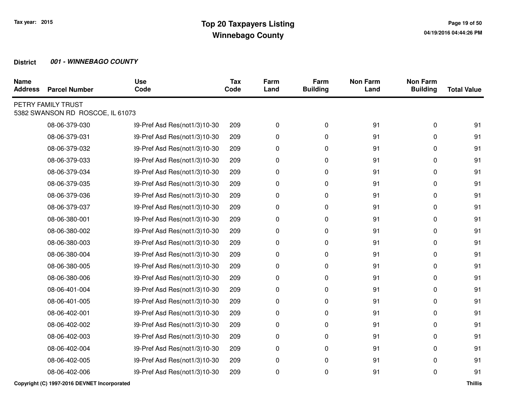| <b>Name</b><br><b>Address</b> | <b>Parcel Number</b>                                   | <b>Use</b><br>Code           | <b>Tax</b><br>Code | Farm<br>Land | Farm<br><b>Building</b> | <b>Non Farm</b><br>Land | <b>Non Farm</b><br><b>Building</b> | <b>Total Value</b> |
|-------------------------------|--------------------------------------------------------|------------------------------|--------------------|--------------|-------------------------|-------------------------|------------------------------------|--------------------|
|                               | PETRY FAMILY TRUST<br>5382 SWANSON RD ROSCOE, IL 61073 |                              |                    |              |                         |                         |                                    |                    |
|                               | 08-06-379-030                                          | 39-Pref Asd Res(not1/3)10-30 | 209                | 0            | 0                       | 91                      | 0                                  | 91                 |
|                               | 08-06-379-031                                          | 39-Pref Asd Res(not1/3)10-30 | 209                | 0            | 0                       | 91                      | 0                                  | 91                 |
|                               | 08-06-379-032                                          | 39-Pref Asd Res(not1/3)10-30 | 209                | 0            | 0                       | 91                      | 0                                  | 91                 |
|                               | 08-06-379-033                                          | 39-Pref Asd Res(not1/3)10-30 | 209                | 0            | 0                       | 91                      | 0                                  | 91                 |
|                               | 08-06-379-034                                          | 39-Pref Asd Res(not1/3)10-30 | 209                | 0            | 0                       | 91                      | 0                                  | 91                 |
|                               | 08-06-379-035                                          | 39-Pref Asd Res(not1/3)10-30 | 209                | 0            | 0                       | 91                      | 0                                  | 91                 |
|                               | 08-06-379-036                                          | 39-Pref Asd Res(not1/3)10-30 | 209                | 0            | 0                       | 91                      | 0                                  | 91                 |
|                               | 08-06-379-037                                          | 39-Pref Asd Res(not1/3)10-30 | 209                | 0            | 0                       | 91                      | 0                                  | 91                 |
|                               | 08-06-380-001                                          | 39-Pref Asd Res(not1/3)10-30 | 209                | 0            | 0                       | 91                      | 0                                  | 91                 |
|                               | 08-06-380-002                                          | 39-Pref Asd Res(not1/3)10-30 | 209                | 0            | 0                       | 91                      | 0                                  | 91                 |
|                               | 08-06-380-003                                          | 39-Pref Asd Res(not1/3)10-30 | 209                | 0            | 0                       | 91                      | 0                                  | 91                 |
|                               | 08-06-380-004                                          | 39-Pref Asd Res(not1/3)10-30 | 209                | 0            | 0                       | 91                      | 0                                  | 91                 |
|                               | 08-06-380-005                                          | 39-Pref Asd Res(not1/3)10-30 | 209                | 0            | 0                       | 91                      | 0                                  | 91                 |
|                               | 08-06-380-006                                          | 39-Pref Asd Res(not1/3)10-30 | 209                | 0            | 0                       | 91                      | 0                                  | 91                 |
|                               | 08-06-401-004                                          | 39-Pref Asd Res(not1/3)10-30 | 209                | 0            | 0                       | 91                      | 0                                  | 91                 |
|                               | 08-06-401-005                                          | 39-Pref Asd Res(not1/3)10-30 | 209                | 0            | 0                       | 91                      | 0                                  | 91                 |
|                               | 08-06-402-001                                          | 39-Pref Asd Res(not1/3)10-30 | 209                | 0            | 0                       | 91                      | 0                                  | 91                 |
|                               | 08-06-402-002                                          | 39-Pref Asd Res(not1/3)10-30 | 209                | 0            | 0                       | 91                      | 0                                  | 91                 |
|                               | 08-06-402-003                                          | 39-Pref Asd Res(not1/3)10-30 | 209                | 0            | 0                       | 91                      | 0                                  | 91                 |
|                               | 08-06-402-004                                          | 39-Pref Asd Res(not1/3)10-30 | 209                | 0            | 0                       | 91                      | 0                                  | 91                 |
|                               | 08-06-402-005                                          | 39-Pref Asd Res(not1/3)10-30 | 209                | 0            | 0                       | 91                      | 0                                  | 91                 |
|                               | 08-06-402-006                                          | 39-Pref Asd Res(not1/3)10-30 | 209                | 0            | 0                       | 91                      | 0                                  | 91                 |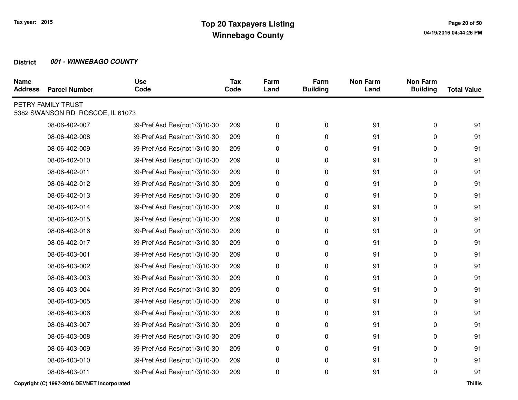| <b>Name</b><br><b>Address</b> | <b>Parcel Number</b>                                   | <b>Use</b><br>Code           | <b>Tax</b><br>Code | Farm<br>Land | Farm<br><b>Building</b> | <b>Non Farm</b><br>Land | <b>Non Farm</b><br><b>Building</b> | <b>Total Value</b> |
|-------------------------------|--------------------------------------------------------|------------------------------|--------------------|--------------|-------------------------|-------------------------|------------------------------------|--------------------|
|                               | PETRY FAMILY TRUST<br>5382 SWANSON RD ROSCOE, IL 61073 |                              |                    |              |                         |                         |                                    |                    |
|                               | 08-06-402-007                                          | 39-Pref Asd Res(not1/3)10-30 | 209                | 0            | 0                       | 91                      | 0                                  | 91                 |
|                               | 08-06-402-008                                          | 39-Pref Asd Res(not1/3)10-30 | 209                | 0            | 0                       | 91                      | 0                                  | 91                 |
|                               | 08-06-402-009                                          | 39-Pref Asd Res(not1/3)10-30 | 209                | 0            | 0                       | 91                      | 0                                  | 91                 |
|                               | 08-06-402-010                                          | 39-Pref Asd Res(not1/3)10-30 | 209                | 0            | 0                       | 91                      | 0                                  | 91                 |
|                               | 08-06-402-011                                          | 39-Pref Asd Res(not1/3)10-30 | 209                | 0            | 0                       | 91                      | 0                                  | 91                 |
|                               | 08-06-402-012                                          | 39-Pref Asd Res(not1/3)10-30 | 209                | 0            | 0                       | 91                      | 0                                  | 91                 |
|                               | 08-06-402-013                                          | 39-Pref Asd Res(not1/3)10-30 | 209                | 0            | 0                       | 91                      | 0                                  | 91                 |
|                               | 08-06-402-014                                          | 39-Pref Asd Res(not1/3)10-30 | 209                | 0            | 0                       | 91                      | 0                                  | 91                 |
|                               | 08-06-402-015                                          | 39-Pref Asd Res(not1/3)10-30 | 209                | 0            | 0                       | 91                      | 0                                  | 91                 |
|                               | 08-06-402-016                                          | 39-Pref Asd Res(not1/3)10-30 | 209                | 0            | 0                       | 91                      | 0                                  | 91                 |
|                               | 08-06-402-017                                          | 39-Pref Asd Res(not1/3)10-30 | 209                | 0            | 0                       | 91                      | 0                                  | 91                 |
|                               | 08-06-403-001                                          | 39-Pref Asd Res(not1/3)10-30 | 209                | 0            | $\pmb{0}$               | 91                      | 0                                  | 91                 |
|                               | 08-06-403-002                                          | 39-Pref Asd Res(not1/3)10-30 | 209                | 0            | 0                       | 91                      | 0                                  | 91                 |
|                               | 08-06-403-003                                          | 39-Pref Asd Res(not1/3)10-30 | 209                | 0            | 0                       | 91                      | 0                                  | 91                 |
|                               | 08-06-403-004                                          | 39-Pref Asd Res(not1/3)10-30 | 209                | 0            | $\pmb{0}$               | 91                      | 0                                  | 91                 |
|                               | 08-06-403-005                                          | 39-Pref Asd Res(not1/3)10-30 | 209                | 0            | 0                       | 91                      | 0                                  | 91                 |
|                               | 08-06-403-006                                          | 39-Pref Asd Res(not1/3)10-30 | 209                | 0            | 0                       | 91                      | 0                                  | 91                 |
|                               | 08-06-403-007                                          | 39-Pref Asd Res(not1/3)10-30 | 209                | 0            | 0                       | 91                      | 0                                  | 91                 |
|                               | 08-06-403-008                                          | 39-Pref Asd Res(not1/3)10-30 | 209                | 0            | 0                       | 91                      | 0                                  | 91                 |
|                               | 08-06-403-009                                          | 39-Pref Asd Res(not1/3)10-30 | 209                | 0            | 0                       | 91                      | $\Omega$                           | 91                 |
|                               | 08-06-403-010                                          | 39-Pref Asd Res(not1/3)10-30 | 209                | 0            | $\pmb{0}$               | 91                      | 0                                  | 91                 |
|                               | 08-06-403-011                                          | 39-Pref Asd Res(not1/3)10-30 | 209                | 0            | 0                       | 91                      | 0                                  | 91                 |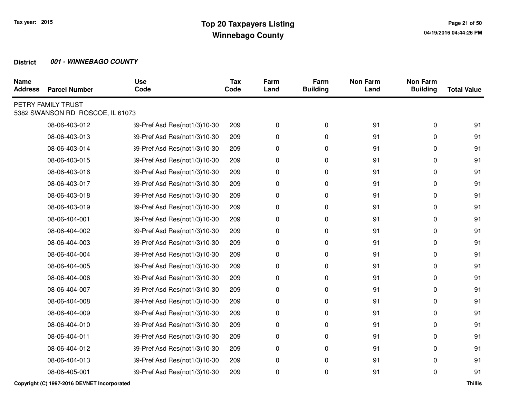| <b>Name</b><br><b>Address</b> | <b>Parcel Number</b>                                   | <b>Use</b><br>Code           | <b>Tax</b><br>Code | Farm<br>Land | Farm<br><b>Building</b> | <b>Non Farm</b><br>Land | <b>Non Farm</b><br><b>Building</b> | <b>Total Value</b> |
|-------------------------------|--------------------------------------------------------|------------------------------|--------------------|--------------|-------------------------|-------------------------|------------------------------------|--------------------|
|                               | PETRY FAMILY TRUST<br>5382 SWANSON RD ROSCOE, IL 61073 |                              |                    |              |                         |                         |                                    |                    |
|                               | 08-06-403-012                                          | 39-Pref Asd Res(not1/3)10-30 | 209                | 0            | 0                       | 91                      | 0                                  | 91                 |
|                               | 08-06-403-013                                          | 39-Pref Asd Res(not1/3)10-30 | 209                | 0            | 0                       | 91                      | 0                                  | 91                 |
|                               | 08-06-403-014                                          | 39-Pref Asd Res(not1/3)10-30 | 209                | 0            | 0                       | 91                      | 0                                  | 91                 |
|                               | 08-06-403-015                                          | 39-Pref Asd Res(not1/3)10-30 | 209                | 0            | 0                       | 91                      | 0                                  | 91                 |
|                               | 08-06-403-016                                          | 39-Pref Asd Res(not1/3)10-30 | 209                | 0            | 0                       | 91                      | 0                                  | 91                 |
|                               | 08-06-403-017                                          | 39-Pref Asd Res(not1/3)10-30 | 209                | 0            | 0                       | 91                      | 0                                  | 91                 |
|                               | 08-06-403-018                                          | 39-Pref Asd Res(not1/3)10-30 | 209                | 0            | 0                       | 91                      | 0                                  | 91                 |
|                               | 08-06-403-019                                          | 39-Pref Asd Res(not1/3)10-30 | 209                | 0            | 0                       | 91                      | 0                                  | 91                 |
|                               | 08-06-404-001                                          | 39-Pref Asd Res(not1/3)10-30 | 209                | 0            | 0                       | 91                      | 0                                  | 91                 |
|                               | 08-06-404-002                                          | 39-Pref Asd Res(not1/3)10-30 | 209                | 0            | 0                       | 91                      | 0                                  | 91                 |
|                               | 08-06-404-003                                          | 39-Pref Asd Res(not1/3)10-30 | 209                | 0            | 0                       | 91                      | 0                                  | 91                 |
|                               | 08-06-404-004                                          | 39-Pref Asd Res(not1/3)10-30 | 209                | 0            | 0                       | 91                      | 0                                  | 91                 |
|                               | 08-06-404-005                                          | 39-Pref Asd Res(not1/3)10-30 | 209                | 0            | 0                       | 91                      | 0                                  | 91                 |
|                               | 08-06-404-006                                          | 39-Pref Asd Res(not1/3)10-30 | 209                | 0            | 0                       | 91                      | 0                                  | 91                 |
|                               | 08-06-404-007                                          | 39-Pref Asd Res(not1/3)10-30 | 209                | 0            | 0                       | 91                      | 0                                  | 91                 |
|                               | 08-06-404-008                                          | 39-Pref Asd Res(not1/3)10-30 | 209                | 0            | 0                       | 91                      | 0                                  | 91                 |
|                               | 08-06-404-009                                          | 39-Pref Asd Res(not1/3)10-30 | 209                | 0            | 0                       | 91                      | 0                                  | 91                 |
|                               | 08-06-404-010                                          | 39-Pref Asd Res(not1/3)10-30 | 209                | 0            | 0                       | 91                      | 0                                  | 91                 |
|                               | 08-06-404-011                                          | 39-Pref Asd Res(not1/3)10-30 | 209                | 0            | 0                       | 91                      | 0                                  | 91                 |
|                               | 08-06-404-012                                          | 39-Pref Asd Res(not1/3)10-30 | 209                | 0            | 0                       | 91                      | 0                                  | 91                 |
|                               | 08-06-404-013                                          | 39-Pref Asd Res(not1/3)10-30 | 209                | 0            | 0                       | 91                      | 0                                  | 91                 |
|                               | 08-06-405-001                                          | 39-Pref Asd Res(not1/3)10-30 | 209                | 0            | 0                       | 91                      | 0                                  | 91                 |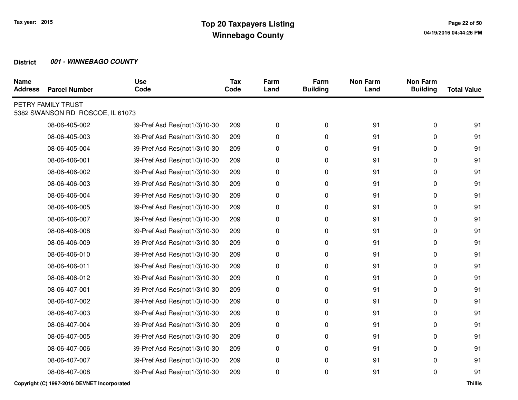| <b>Name</b><br><b>Address</b> | <b>Parcel Number</b>                                   | <b>Use</b><br>Code           | <b>Tax</b><br>Code | Farm<br>Land | Farm<br><b>Building</b> | <b>Non Farm</b><br>Land | <b>Non Farm</b><br><b>Building</b> | <b>Total Value</b> |
|-------------------------------|--------------------------------------------------------|------------------------------|--------------------|--------------|-------------------------|-------------------------|------------------------------------|--------------------|
|                               | PETRY FAMILY TRUST<br>5382 SWANSON RD ROSCOE, IL 61073 |                              |                    |              |                         |                         |                                    |                    |
|                               | 08-06-405-002                                          | 39-Pref Asd Res(not1/3)10-30 | 209                | 0            | 0                       | 91                      | 0                                  | 91                 |
|                               | 08-06-405-003                                          | 39-Pref Asd Res(not1/3)10-30 | 209                | 0            | 0                       | 91                      | 0                                  | 91                 |
|                               | 08-06-405-004                                          | 39-Pref Asd Res(not1/3)10-30 | 209                | 0            | 0                       | 91                      | 0                                  | 91                 |
|                               | 08-06-406-001                                          | 39-Pref Asd Res(not1/3)10-30 | 209                | 0            | 0                       | 91                      | 0                                  | 91                 |
|                               | 08-06-406-002                                          | 39-Pref Asd Res(not1/3)10-30 | 209                | 0            | 0                       | 91                      | 0                                  | 91                 |
|                               | 08-06-406-003                                          | 39-Pref Asd Res(not1/3)10-30 | 209                | 0            | 0                       | 91                      | 0                                  | 91                 |
|                               | 08-06-406-004                                          | 39-Pref Asd Res(not1/3)10-30 | 209                | 0            | 0                       | 91                      | 0                                  | 91                 |
|                               | 08-06-406-005                                          | 39-Pref Asd Res(not1/3)10-30 | 209                | 0            | $\mathbf 0$             | 91                      | 0                                  | 91                 |
|                               | 08-06-406-007                                          | 39-Pref Asd Res(not1/3)10-30 | 209                | 0            | 0                       | 91                      | 0                                  | 91                 |
|                               | 08-06-406-008                                          | 39-Pref Asd Res(not1/3)10-30 | 209                | 0            | 0                       | 91                      | 0                                  | 91                 |
|                               | 08-06-406-009                                          | 39-Pref Asd Res(not1/3)10-30 | 209                | 0            | $\mathbf 0$             | 91                      | 0                                  | 91                 |
|                               | 08-06-406-010                                          | 39-Pref Asd Res(not1/3)10-30 | 209                | 0            | 0                       | 91                      | 0                                  | 91                 |
|                               | 08-06-406-011                                          | 39-Pref Asd Res(not1/3)10-30 | 209                | 0            | 0                       | 91                      | 0                                  | 91                 |
|                               | 08-06-406-012                                          | 39-Pref Asd Res(not1/3)10-30 | 209                | 0            | $\mathbf 0$             | 91                      | 0                                  | 91                 |
|                               | 08-06-407-001                                          | 39-Pref Asd Res(not1/3)10-30 | 209                | 0            | 0                       | 91                      | 0                                  | 91                 |
|                               | 08-06-407-002                                          | 39-Pref Asd Res(not1/3)10-30 | 209                | 0            | 0                       | 91                      | 0                                  | 91                 |
|                               | 08-06-407-003                                          | 39-Pref Asd Res(not1/3)10-30 | 209                | 0            | 0                       | 91                      | 0                                  | 91                 |
|                               | 08-06-407-004                                          | 39-Pref Asd Res(not1/3)10-30 | 209                | 0            | 0                       | 91                      | 0                                  | 91                 |
|                               | 08-06-407-005                                          | 39-Pref Asd Res(not1/3)10-30 | 209                | 0            | 0                       | 91                      | 0                                  | 91                 |
|                               | 08-06-407-006                                          | 39-Pref Asd Res(not1/3)10-30 | 209                | 0            | 0                       | 91                      | 0                                  | 91                 |
|                               | 08-06-407-007                                          | 39-Pref Asd Res(not1/3)10-30 | 209                | 0            | 0                       | 91                      | 0                                  | 91                 |
|                               | 08-06-407-008                                          | 39-Pref Asd Res(not1/3)10-30 | 209                | 0            | 0                       | 91                      | 0                                  | 91                 |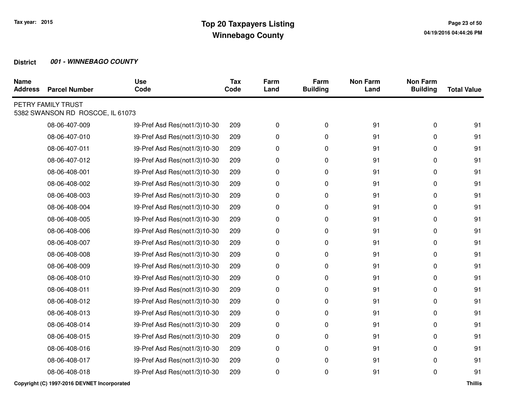| <b>Name</b><br><b>Address</b> | <b>Parcel Number</b>                                   | <b>Use</b><br>Code           | <b>Tax</b><br>Code | Farm<br>Land | Farm<br><b>Building</b> | <b>Non Farm</b><br>Land | <b>Non Farm</b><br><b>Building</b> | <b>Total Value</b> |
|-------------------------------|--------------------------------------------------------|------------------------------|--------------------|--------------|-------------------------|-------------------------|------------------------------------|--------------------|
|                               | PETRY FAMILY TRUST<br>5382 SWANSON RD ROSCOE, IL 61073 |                              |                    |              |                         |                         |                                    |                    |
|                               | 08-06-407-009                                          | 39-Pref Asd Res(not1/3)10-30 | 209                | 0            | 0                       | 91                      | 0                                  | 91                 |
|                               | 08-06-407-010                                          | 39-Pref Asd Res(not1/3)10-30 | 209                | 0            | 0                       | 91                      | 0                                  | 91                 |
|                               | 08-06-407-011                                          | 39-Pref Asd Res(not1/3)10-30 | 209                | 0            | 0                       | 91                      | 0                                  | 91                 |
|                               | 08-06-407-012                                          | 39-Pref Asd Res(not1/3)10-30 | 209                | 0            | 0                       | 91                      | 0                                  | 91                 |
|                               | 08-06-408-001                                          | 39-Pref Asd Res(not1/3)10-30 | 209                | 0            | 0                       | 91                      | 0                                  | 91                 |
|                               | 08-06-408-002                                          | 39-Pref Asd Res(not1/3)10-30 | 209                | 0            | 0                       | 91                      | 0                                  | 91                 |
|                               | 08-06-408-003                                          | 39-Pref Asd Res(not1/3)10-30 | 209                | 0            | 0                       | 91                      | 0                                  | 91                 |
|                               | 08-06-408-004                                          | 39-Pref Asd Res(not1/3)10-30 | 209                | 0            | $\mathbf 0$             | 91                      | 0                                  | 91                 |
|                               | 08-06-408-005                                          | 39-Pref Asd Res(not1/3)10-30 | 209                | 0            | 0                       | 91                      | 0                                  | 91                 |
|                               | 08-06-408-006                                          | 39-Pref Asd Res(not1/3)10-30 | 209                | 0            | 0                       | 91                      | 0                                  | 91                 |
|                               | 08-06-408-007                                          | 39-Pref Asd Res(not1/3)10-30 | 209                | 0            | $\mathbf 0$             | 91                      | 0                                  | 91                 |
|                               | 08-06-408-008                                          | 39-Pref Asd Res(not1/3)10-30 | 209                | 0            | 0                       | 91                      | 0                                  | 91                 |
|                               | 08-06-408-009                                          | 39-Pref Asd Res(not1/3)10-30 | 209                | 0            | 0                       | 91                      | 0                                  | 91                 |
|                               | 08-06-408-010                                          | 39-Pref Asd Res(not1/3)10-30 | 209                | 0            | $\mathbf 0$             | 91                      | 0                                  | 91                 |
|                               | 08-06-408-011                                          | 39-Pref Asd Res(not1/3)10-30 | 209                | 0            | 0                       | 91                      | 0                                  | 91                 |
|                               | 08-06-408-012                                          | 39-Pref Asd Res(not1/3)10-30 | 209                | 0            | 0                       | 91                      | 0                                  | 91                 |
|                               | 08-06-408-013                                          | 39-Pref Asd Res(not1/3)10-30 | 209                | 0            | 0                       | 91                      | 0                                  | 91                 |
|                               | 08-06-408-014                                          | 39-Pref Asd Res(not1/3)10-30 | 209                | 0            | 0                       | 91                      | 0                                  | 91                 |
|                               | 08-06-408-015                                          | 39-Pref Asd Res(not1/3)10-30 | 209                | 0            | 0                       | 91                      | 0                                  | 91                 |
|                               | 08-06-408-016                                          | 39-Pref Asd Res(not1/3)10-30 | 209                | 0            | 0                       | 91                      | 0                                  | 91                 |
|                               | 08-06-408-017                                          | 39-Pref Asd Res(not1/3)10-30 | 209                | 0            | 0                       | 91                      | 0                                  | 91                 |
|                               | 08-06-408-018                                          | 39-Pref Asd Res(not1/3)10-30 | 209                | 0            | 0                       | 91                      | 0                                  | 91                 |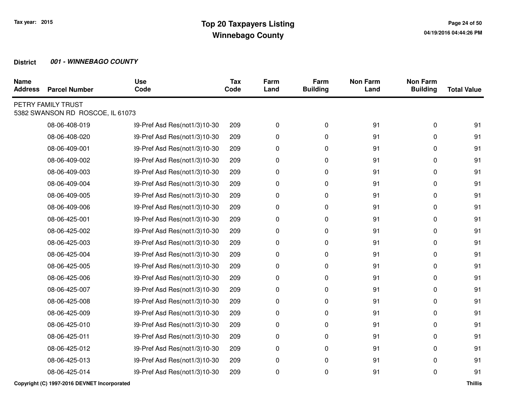| <b>Name</b><br><b>Address</b> | <b>Parcel Number</b>                                   | <b>Use</b><br>Code           | <b>Tax</b><br>Code | Farm<br>Land | Farm<br><b>Building</b> | <b>Non Farm</b><br>Land | <b>Non Farm</b><br><b>Building</b> | <b>Total Value</b> |
|-------------------------------|--------------------------------------------------------|------------------------------|--------------------|--------------|-------------------------|-------------------------|------------------------------------|--------------------|
|                               | PETRY FAMILY TRUST<br>5382 SWANSON RD ROSCOE, IL 61073 |                              |                    |              |                         |                         |                                    |                    |
|                               | 08-06-408-019                                          | 39-Pref Asd Res(not1/3)10-30 | 209                | 0            | 0                       | 91                      | 0                                  | 91                 |
|                               | 08-06-408-020                                          | 39-Pref Asd Res(not1/3)10-30 | 209                | 0            | 0                       | 91                      | 0                                  | 91                 |
|                               | 08-06-409-001                                          | 39-Pref Asd Res(not1/3)10-30 | 209                | 0            | 0                       | 91                      | 0                                  | 91                 |
|                               | 08-06-409-002                                          | 39-Pref Asd Res(not1/3)10-30 | 209                | 0            | 0                       | 91                      | 0                                  | 91                 |
|                               | 08-06-409-003                                          | 39-Pref Asd Res(not1/3)10-30 | 209                | 0            | 0                       | 91                      | 0                                  | 91                 |
|                               | 08-06-409-004                                          | 39-Pref Asd Res(not1/3)10-30 | 209                | 0            | 0                       | 91                      | 0                                  | 91                 |
|                               | 08-06-409-005                                          | 39-Pref Asd Res(not1/3)10-30 | 209                | 0            | 0                       | 91                      | 0                                  | 91                 |
|                               | 08-06-409-006                                          | 39-Pref Asd Res(not1/3)10-30 | 209                | 0            | 0                       | 91                      | 0                                  | 91                 |
|                               | 08-06-425-001                                          | 39-Pref Asd Res(not1/3)10-30 | 209                | 0            | 0                       | 91                      | 0                                  | 91                 |
|                               | 08-06-425-002                                          | 39-Pref Asd Res(not1/3)10-30 | 209                | 0            | 0                       | 91                      | 0                                  | 91                 |
|                               | 08-06-425-003                                          | 39-Pref Asd Res(not1/3)10-30 | 209                | 0            | 0                       | 91                      | 0                                  | 91                 |
|                               | 08-06-425-004                                          | 39-Pref Asd Res(not1/3)10-30 | 209                | 0            | 0                       | 91                      | 0                                  | 91                 |
|                               | 08-06-425-005                                          | 39-Pref Asd Res(not1/3)10-30 | 209                | 0            | 0                       | 91                      | 0                                  | 91                 |
|                               | 08-06-425-006                                          | 39-Pref Asd Res(not1/3)10-30 | 209                | 0            | 0                       | 91                      | 0                                  | 91                 |
|                               | 08-06-425-007                                          | 39-Pref Asd Res(not1/3)10-30 | 209                | 0            | 0                       | 91                      | 0                                  | 91                 |
|                               | 08-06-425-008                                          | 39-Pref Asd Res(not1/3)10-30 | 209                | 0            | 0                       | 91                      | 0                                  | 91                 |
|                               | 08-06-425-009                                          | 39-Pref Asd Res(not1/3)10-30 | 209                | 0            | 0                       | 91                      | 0                                  | 91                 |
|                               | 08-06-425-010                                          | 39-Pref Asd Res(not1/3)10-30 | 209                | 0            | 0                       | 91                      | 0                                  | 91                 |
|                               | 08-06-425-011                                          | 39-Pref Asd Res(not1/3)10-30 | 209                | 0            | 0                       | 91                      | 0                                  | 91                 |
|                               | 08-06-425-012                                          | 39-Pref Asd Res(not1/3)10-30 | 209                | 0            | 0                       | 91                      | 0                                  | 91                 |
|                               | 08-06-425-013                                          | 39-Pref Asd Res(not1/3)10-30 | 209                | 0            | 0                       | 91                      | 0                                  | 91                 |
|                               | 08-06-425-014                                          | 39-Pref Asd Res(not1/3)10-30 | 209                | 0            | 0                       | 91                      | 0                                  | 91                 |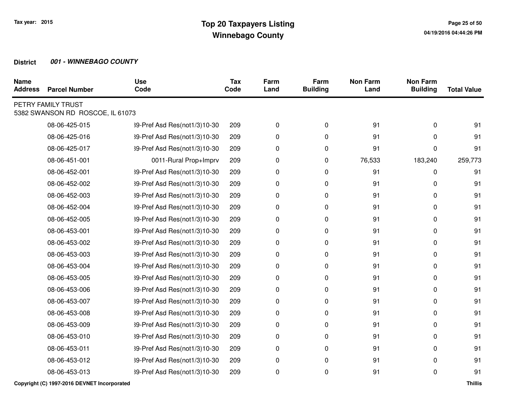| <b>Name</b><br><b>Address</b> | <b>Parcel Number</b>                                   | <b>Use</b><br>Code           | <b>Tax</b><br>Code | Farm<br>Land | Farm<br><b>Building</b> | <b>Non Farm</b><br>Land | <b>Non Farm</b><br><b>Building</b> | <b>Total Value</b> |
|-------------------------------|--------------------------------------------------------|------------------------------|--------------------|--------------|-------------------------|-------------------------|------------------------------------|--------------------|
|                               | PETRY FAMILY TRUST<br>5382 SWANSON RD ROSCOE, IL 61073 |                              |                    |              |                         |                         |                                    |                    |
|                               | 08-06-425-015                                          | 39-Pref Asd Res(not1/3)10-30 | 209                | 0            | 0                       | 91                      | 0                                  | 91                 |
|                               | 08-06-425-016                                          | 39-Pref Asd Res(not1/3)10-30 | 209                | 0            | 0                       | 91                      | 0                                  | 91                 |
|                               | 08-06-425-017                                          | 39-Pref Asd Res(not1/3)10-30 | 209                | 0            | 0                       | 91                      | 0                                  | 91                 |
|                               | 08-06-451-001                                          | 0011-Rural Prop+Imprv        | 209                | 0            | 0                       | 76,533                  | 183,240                            | 259,773            |
|                               | 08-06-452-001                                          | 39-Pref Asd Res(not1/3)10-30 | 209                | 0            | 0                       | 91                      | 0                                  | 91                 |
|                               | 08-06-452-002                                          | 39-Pref Asd Res(not1/3)10-30 | 209                | 0            | 0                       | 91                      | 0                                  | 91                 |
|                               | 08-06-452-003                                          | 39-Pref Asd Res(not1/3)10-30 | 209                | 0            | 0                       | 91                      | 0                                  | 91                 |
|                               | 08-06-452-004                                          | 39-Pref Asd Res(not1/3)10-30 | 209                | 0            | 0                       | 91                      | 0                                  | 91                 |
|                               | 08-06-452-005                                          | 39-Pref Asd Res(not1/3)10-30 | 209                | 0            | 0                       | 91                      | 0                                  | 91                 |
|                               | 08-06-453-001                                          | 39-Pref Asd Res(not1/3)10-30 | 209                | 0            | 0                       | 91                      | 0                                  | 91                 |
|                               | 08-06-453-002                                          | 39-Pref Asd Res(not1/3)10-30 | 209                | 0            | 0                       | 91                      | 0                                  | 91                 |
|                               | 08-06-453-003                                          | 39-Pref Asd Res(not1/3)10-30 | 209                | 0            | 0                       | 91                      | 0                                  | 91                 |
|                               | 08-06-453-004                                          | 39-Pref Asd Res(not1/3)10-30 | 209                | 0            | 0                       | 91                      | 0                                  | 91                 |
|                               | 08-06-453-005                                          | 39-Pref Asd Res(not1/3)10-30 | 209                | 0            | 0                       | 91                      | 0                                  | 91                 |
|                               | 08-06-453-006                                          | 39-Pref Asd Res(not1/3)10-30 | 209                | 0            | $\mathbf 0$             | 91                      | 0                                  | 91                 |
|                               | 08-06-453-007                                          | 39-Pref Asd Res(not1/3)10-30 | 209                | 0            | 0                       | 91                      | 0                                  | 91                 |
|                               | 08-06-453-008                                          | 39-Pref Asd Res(not1/3)10-30 | 209                | 0            | 0                       | 91                      | 0                                  | 91                 |
|                               | 08-06-453-009                                          | 39-Pref Asd Res(not1/3)10-30 | 209                | 0            | 0                       | 91                      | 0                                  | 91                 |
|                               | 08-06-453-010                                          | 39-Pref Asd Res(not1/3)10-30 | 209                | 0            | 0                       | 91                      | 0                                  | 91                 |
|                               | 08-06-453-011                                          | 39-Pref Asd Res(not1/3)10-30 | 209                | 0            | 0                       | 91                      | 0                                  | 91                 |
|                               | 08-06-453-012                                          | 39-Pref Asd Res(not1/3)10-30 | 209                | 0            | $\mathbf 0$             | 91                      | 0                                  | 91                 |
|                               | 08-06-453-013                                          | 39-Pref Asd Res(not1/3)10-30 | 209                | 0            | $\mathbf 0$             | 91                      | 0                                  | 91                 |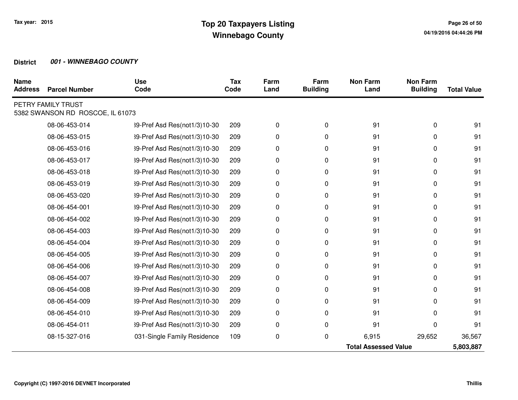| <b>Name</b><br><b>Address</b> | <b>Parcel Number</b>                                   | <b>Use</b><br>Code           | <b>Tax</b><br>Code | Farm<br>Land | Farm<br><b>Building</b> | <b>Non Farm</b><br>Land     | <b>Non Farm</b><br><b>Building</b> | <b>Total Value</b> |
|-------------------------------|--------------------------------------------------------|------------------------------|--------------------|--------------|-------------------------|-----------------------------|------------------------------------|--------------------|
|                               | PETRY FAMILY TRUST<br>5382 SWANSON RD ROSCOE, IL 61073 |                              |                    |              |                         |                             |                                    |                    |
|                               | 08-06-453-014                                          | 39-Pref Asd Res(not1/3)10-30 | 209                | 0            | 0                       | 91                          | 0                                  | 91                 |
|                               | 08-06-453-015                                          | 39-Pref Asd Res(not1/3)10-30 | 209                | 0            | 0                       | 91                          | 0                                  | 91                 |
|                               | 08-06-453-016                                          | 39-Pref Asd Res(not1/3)10-30 | 209                | 0            | 0                       | 91                          | 0                                  | 91                 |
|                               | 08-06-453-017                                          | 39-Pref Asd Res(not1/3)10-30 | 209                | 0            | 0                       | 91                          | 0                                  | 91                 |
|                               | 08-06-453-018                                          | 39-Pref Asd Res(not1/3)10-30 | 209                | 0            | 0                       | 91                          | 0                                  | 91                 |
|                               | 08-06-453-019                                          | 39-Pref Asd Res(not1/3)10-30 | 209                | 0            | 0                       | 91                          | 0                                  | 91                 |
|                               | 08-06-453-020                                          | 39-Pref Asd Res(not1/3)10-30 | 209                | 0            | 0                       | 91                          | 0                                  | 91                 |
|                               | 08-06-454-001                                          | 39-Pref Asd Res(not1/3)10-30 | 209                | 0            | 0                       | 91                          | 0                                  | 91                 |
|                               | 08-06-454-002                                          | 39-Pref Asd Res(not1/3)10-30 | 209                | 0            | 0                       | 91                          | 0                                  | 91                 |
|                               | 08-06-454-003                                          | 39-Pref Asd Res(not1/3)10-30 | 209                | 0            | 0                       | 91                          | 0                                  | 91                 |
|                               | 08-06-454-004                                          | 39-Pref Asd Res(not1/3)10-30 | 209                | 0            | 0                       | 91                          | 0                                  | 91                 |
|                               | 08-06-454-005                                          | 39-Pref Asd Res(not1/3)10-30 | 209                | 0            | 0                       | 91                          | 0                                  | 91                 |
|                               | 08-06-454-006                                          | 39-Pref Asd Res(not1/3)10-30 | 209                | 0            | 0                       | 91                          | 0                                  | 91                 |
|                               | 08-06-454-007                                          | 39-Pref Asd Res(not1/3)10-30 | 209                | 0            | 0                       | 91                          | 0                                  | 91                 |
|                               | 08-06-454-008                                          | 39-Pref Asd Res(not1/3)10-30 | 209                | 0            | 0                       | 91                          | 0                                  | 91                 |
|                               | 08-06-454-009                                          | 39-Pref Asd Res(not1/3)10-30 | 209                | 0            | 0                       | 91                          | 0                                  | 91                 |
|                               | 08-06-454-010                                          | 39-Pref Asd Res(not1/3)10-30 | 209                | 0            | 0                       | 91                          | 0                                  | 91                 |
|                               | 08-06-454-011                                          | 39-Pref Asd Res(not1/3)10-30 | 209                | 0            | 0                       | 91                          | $\Omega$                           | 91                 |
|                               | 08-15-327-016                                          | 031-Single Family Residence  | 109                | 0            | 0                       | 6,915                       | 29,652                             | 36,567             |
|                               |                                                        |                              |                    |              |                         | <b>Total Assessed Value</b> |                                    | 5,803,887          |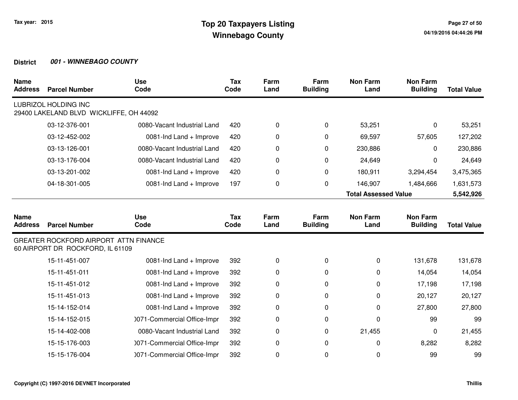| <b>Name</b><br><b>Address</b> | <b>Parcel Number</b>                                                      | <b>Use</b><br>Code          | <b>Tax</b><br>Code | Farm<br>Land | Farm<br><b>Building</b> | <b>Non Farm</b><br>Land     | <b>Non Farm</b><br><b>Building</b> | <b>Total Value</b> |
|-------------------------------|---------------------------------------------------------------------------|-----------------------------|--------------------|--------------|-------------------------|-----------------------------|------------------------------------|--------------------|
|                               | LUBRIZOL HOLDING INC<br>29400 LAKELAND BLVD WICKLIFFE, OH 44092           |                             |                    |              |                         |                             |                                    |                    |
|                               | 03-12-376-001                                                             | 0080-Vacant Industrial Land | 420                | 0            | 0                       | 53,251                      | 0                                  | 53,251             |
|                               | 03-12-452-002                                                             | 0081-Ind Land + Improve     | 420                | 0            | 0                       | 69,597                      | 57,605                             | 127,202            |
|                               | 03-13-126-001                                                             | 0080-Vacant Industrial Land | 420                | 0            | 0                       | 230,886                     | 0                                  | 230,886            |
|                               | 03-13-176-004                                                             | 0080-Vacant Industrial Land | 420                | 0            | 0                       | 24,649                      | 0                                  | 24,649             |
|                               | 03-13-201-002                                                             | 0081-Ind Land + Improve     | 420                | 0            | 0                       | 180,911                     | 3,294,454                          | 3,475,365          |
|                               | 04-18-301-005                                                             | 0081-Ind Land + Improve     | 197                | 0            | 0                       | 146,907                     | 1,484,666                          | 1,631,573          |
|                               |                                                                           |                             |                    |              |                         | <b>Total Assessed Value</b> |                                    | 5,542,926          |
| <b>Name</b><br><b>Address</b> | <b>Parcel Number</b>                                                      | <b>Use</b><br>Code          | Tax<br>Code        | Farm<br>Land | Farm<br><b>Building</b> | <b>Non Farm</b><br>Land     | <b>Non Farm</b><br><b>Building</b> | <b>Total Value</b> |
|                               | GREATER ROCKFORD AIRPORT ATTN FINANCE<br>60 AIRPORT DR ROCKFORD, IL 61109 |                             |                    |              |                         |                             |                                    |                    |
|                               | 15-11-451-007                                                             | 0081-Ind Land + Improve     | 392                | 0            | 0                       | 0                           | 131,678                            | 131,678            |
|                               | 15-11-451-011                                                             | 0081-Ind Land + Improve     | 392                | 0            | 0                       | 0                           | 14,054                             | 14,054             |
|                               | 15-11-451-012                                                             | 0081-Ind Land + Improve     | 392                | 0            | 0                       | 0                           | 17,198                             | 17,198             |
|                               | 15-11-451-013                                                             | 0081-Ind Land + Improve     | 392                | 0            | 0                       | 0                           | 20,127                             | 20,127             |
|                               | 15-14-152-014                                                             | 0081-Ind Land + Improve     | 392                | 0            | 0                       | 0                           | 27,800                             | 27,800             |
|                               | 15-14-152-015                                                             | 0071-Commercial Office-Impr | 392                | 0            | 0                       | 0                           | 99                                 | 99                 |
|                               | 15-14-402-008                                                             | 0080-Vacant Industrial Land | 392                | 0            | 0                       | 21,455                      | 0                                  | 21,455             |
|                               | 15-15-176-003                                                             | 0071-Commercial Office-Impr | 392                | 0            | 0                       | 0                           | 8,282                              | 8,282              |
|                               | 15-15-176-004                                                             | 0071-Commercial Office-Impr | 392                | 0            | 0                       | 0                           | 99                                 | 99                 |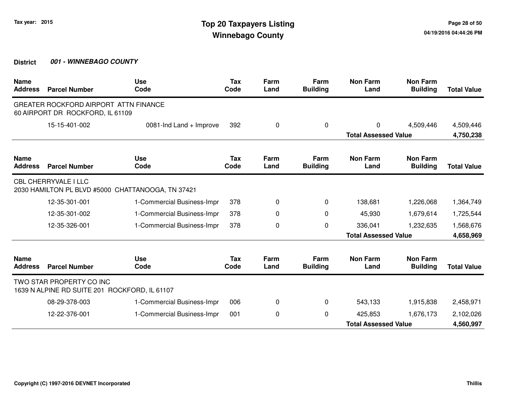| <b>Name</b><br><b>Address</b> | <b>Parcel Number</b>                                                      | <b>Use</b><br>Code                                | <b>Tax</b><br>Code | Farm<br>Land | Farm<br><b>Building</b> | <b>Non Farm</b><br>Land     | <b>Non Farm</b><br><b>Building</b> | <b>Total Value</b> |
|-------------------------------|---------------------------------------------------------------------------|---------------------------------------------------|--------------------|--------------|-------------------------|-----------------------------|------------------------------------|--------------------|
|                               | GREATER ROCKFORD AIRPORT ATTN FINANCE<br>60 AIRPORT DR ROCKFORD, IL 61109 |                                                   |                    |              |                         |                             |                                    |                    |
|                               | 15-15-401-002                                                             | 0081-Ind Land + Improve                           | 392                | 0            | 0                       | 0                           | 4,509,446                          | 4,509,446          |
|                               |                                                                           |                                                   |                    |              |                         | <b>Total Assessed Value</b> |                                    | 4,750,238          |
| <b>Name</b><br><b>Address</b> | <b>Parcel Number</b>                                                      | <b>Use</b><br>Code                                | Tax<br>Code        | Farm<br>Land | Farm<br><b>Building</b> | <b>Non Farm</b><br>Land     | <b>Non Farm</b><br><b>Building</b> | <b>Total Value</b> |
|                               | <b>CBL CHERRYVALE I LLC</b>                                               | 2030 HAMILTON PL BLVD #5000 CHATTANOOGA, TN 37421 |                    |              |                         |                             |                                    |                    |
|                               | 12-35-301-001                                                             | 1-Commercial Business-Impr                        | 378                | 0            | 0                       | 138,681                     | 1,226,068                          | 1,364,749          |
|                               | 12-35-301-002                                                             | 1-Commercial Business-Impr                        | 378                | 0            | 0                       | 45,930                      | 1,679,614                          | 1,725,544          |
|                               | 12-35-326-001                                                             | 1-Commercial Business-Impr                        | 378                | 0            | $\pmb{0}$               | 336,041                     | 1,232,635                          | 1,568,676          |
|                               |                                                                           |                                                   |                    |              |                         | <b>Total Assessed Value</b> |                                    | 4,658,969          |
| <b>Name</b><br><b>Address</b> | <b>Parcel Number</b>                                                      | <b>Use</b><br>Code                                | Tax<br>Code        | Farm<br>Land | Farm<br><b>Building</b> | <b>Non Farm</b><br>Land     | <b>Non Farm</b><br><b>Building</b> | <b>Total Value</b> |
|                               | TWO STAR PROPERTY CO INC<br>1639 N ALPINE RD SUITE 201 ROCKFORD, IL 61107 |                                                   |                    |              |                         |                             |                                    |                    |
|                               | 08-29-378-003                                                             | 1-Commercial Business-Impr                        | 006                | 0            | 0                       | 543,133                     | 1,915,838                          | 2,458,971          |
|                               | 12-22-376-001                                                             | 1-Commercial Business-Impr                        | 001                | 0            | 0                       | 425,853                     | 1,676,173                          | 2,102,026          |
|                               |                                                                           |                                                   |                    |              |                         | <b>Total Assessed Value</b> |                                    | 4,560,997          |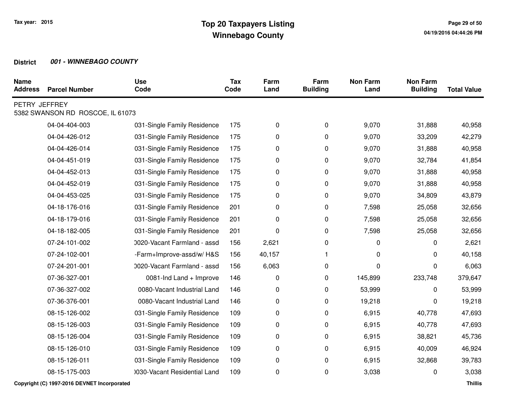| <b>Name</b><br><b>Address</b> | <b>Parcel Number</b>             | <b>Use</b><br>Code           | <b>Tax</b><br>Code | Farm<br>Land | Farm<br><b>Building</b> | <b>Non Farm</b><br>Land | <b>Non Farm</b><br><b>Building</b> | <b>Total Value</b> |
|-------------------------------|----------------------------------|------------------------------|--------------------|--------------|-------------------------|-------------------------|------------------------------------|--------------------|
| PETRY JEFFREY                 | 5382 SWANSON RD ROSCOE, IL 61073 |                              |                    |              |                         |                         |                                    |                    |
|                               | 04-04-404-003                    | 031-Single Family Residence  | 175                | 0            | 0                       | 9,070                   | 31,888                             | 40,958             |
|                               | 04-04-426-012                    | 031-Single Family Residence  | 175                | 0            | 0                       | 9,070                   | 33,209                             | 42,279             |
|                               | 04-04-426-014                    | 031-Single Family Residence  | 175                | 0            | 0                       | 9,070                   | 31,888                             | 40,958             |
|                               | 04-04-451-019                    | 031-Single Family Residence  | 175                | 0            | 0                       | 9,070                   | 32,784                             | 41,854             |
|                               | 04-04-452-013                    | 031-Single Family Residence  | 175                | 0            | 0                       | 9,070                   | 31,888                             | 40,958             |
|                               | 04-04-452-019                    | 031-Single Family Residence  | 175                | 0            | 0                       | 9,070                   | 31,888                             | 40,958             |
|                               | 04-04-453-025                    | 031-Single Family Residence  | 175                | 0            | 0                       | 9,070                   | 34,809                             | 43,879             |
|                               | 04-18-176-016                    | 031-Single Family Residence  | 201                | 0            | 0                       | 7,598                   | 25,058                             | 32,656             |
|                               | 04-18-179-016                    | 031-Single Family Residence  | 201                | 0            | 0                       | 7,598                   | 25,058                             | 32,656             |
|                               | 04-18-182-005                    | 031-Single Family Residence  | 201                | 0            | 0                       | 7,598                   | 25,058                             | 32,656             |
|                               | 07-24-101-002                    | 0020-Vacant Farmland - assd  | 156                | 2,621        | $\pmb{0}$               | 0                       | 0                                  | 2,621              |
|                               | 07-24-102-001                    | -Farm+Improve-assd/w/H&S     | 156                | 40,157       | $\mathbf{1}$            | 0                       | 0                                  | 40,158             |
|                               | 07-24-201-001                    | 0020-Vacant Farmland - assd  | 156                | 6,063        | 0                       | 0                       | 0                                  | 6,063              |
|                               | 07-36-327-001                    | 0081-Ind Land + Improve      | 146                | 0            | 0                       | 145,899                 | 233,748                            | 379,647            |
|                               | 07-36-327-002                    | 0080-Vacant Industrial Land  | 146                | 0            | 0                       | 53,999                  | 0                                  | 53,999             |
|                               | 07-36-376-001                    | 0080-Vacant Industrial Land  | 146                | 0            | 0                       | 19,218                  | 0                                  | 19,218             |
|                               | 08-15-126-002                    | 031-Single Family Residence  | 109                | 0            | 0                       | 6,915                   | 40,778                             | 47,693             |
|                               | 08-15-126-003                    | 031-Single Family Residence  | 109                | 0            | 0                       | 6,915                   | 40,778                             | 47,693             |
|                               | 08-15-126-004                    | 031-Single Family Residence  | 109                | 0            | 0                       | 6,915                   | 38,821                             | 45,736             |
|                               | 08-15-126-010                    | 031-Single Family Residence  | 109                | 0            | 0                       | 6,915                   | 40,009                             | 46,924             |
|                               | 08-15-126-011                    | 031-Single Family Residence  | 109                | 0            | 0                       | 6,915                   | 32,868                             | 39,783             |
|                               | 08-15-175-003                    | 0030-Vacant Residential Land | 109                | 0            | $\pmb{0}$               | 3,038                   | 0                                  | 3,038              |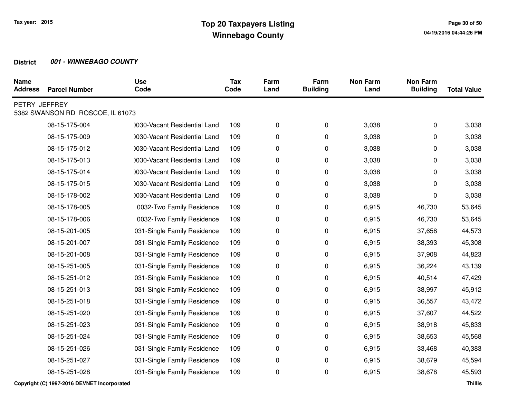| <b>Name</b><br><b>Address</b> | <b>Parcel Number</b>             | <b>Use</b><br>Code           | <b>Tax</b><br>Code | Farm<br>Land | Farm<br><b>Building</b> | <b>Non Farm</b><br>Land | <b>Non Farm</b><br><b>Building</b> | <b>Total Value</b> |
|-------------------------------|----------------------------------|------------------------------|--------------------|--------------|-------------------------|-------------------------|------------------------------------|--------------------|
| PETRY JEFFREY                 | 5382 SWANSON RD ROSCOE, IL 61073 |                              |                    |              |                         |                         |                                    |                    |
|                               | 08-15-175-004                    | 1030-Vacant Residential Land | 109                | 0            | 0                       | 3,038                   | 0                                  | 3,038              |
|                               | 08-15-175-009                    | 1030-Vacant Residential Land | 109                | 0            | 0                       | 3,038                   | 0                                  | 3,038              |
|                               | 08-15-175-012                    | 0030-Vacant Residential Land | 109                | 0            | 0                       | 3,038                   | 0                                  | 3,038              |
|                               | 08-15-175-013                    | 0030-Vacant Residential Land | 109                | 0            | 0                       | 3,038                   | 0                                  | 3,038              |
|                               | 08-15-175-014                    | 0030-Vacant Residential Land | 109                | 0            | 0                       | 3,038                   | 0                                  | 3,038              |
|                               | 08-15-175-015                    | 1030-Vacant Residential Land | 109                | 0            | 0                       | 3,038                   | 0                                  | 3,038              |
|                               | 08-15-178-002                    | 0030-Vacant Residential Land | 109                | 0            | 0                       | 3,038                   | 0                                  | 3,038              |
|                               | 08-15-178-005                    | 0032-Two Family Residence    | 109                | 0            | 0                       | 6,915                   | 46,730                             | 53,645             |
|                               | 08-15-178-006                    | 0032-Two Family Residence    | 109                | 0            | 0                       | 6,915                   | 46,730                             | 53,645             |
|                               | 08-15-201-005                    | 031-Single Family Residence  | 109                | 0            | 0                       | 6,915                   | 37,658                             | 44,573             |
|                               | 08-15-201-007                    | 031-Single Family Residence  | 109                | 0            | 0                       | 6,915                   | 38,393                             | 45,308             |
|                               | 08-15-201-008                    | 031-Single Family Residence  | 109                | 0            | 0                       | 6,915                   | 37,908                             | 44,823             |
|                               | 08-15-251-005                    | 031-Single Family Residence  | 109                | 0            | 0                       | 6,915                   | 36,224                             | 43,139             |
|                               | 08-15-251-012                    | 031-Single Family Residence  | 109                | 0            | 0                       | 6,915                   | 40,514                             | 47,429             |
|                               | 08-15-251-013                    | 031-Single Family Residence  | 109                | 0            | $\pmb{0}$               | 6,915                   | 38,997                             | 45,912             |
|                               | 08-15-251-018                    | 031-Single Family Residence  | 109                | 0            | 0                       | 6,915                   | 36,557                             | 43,472             |
|                               | 08-15-251-020                    | 031-Single Family Residence  | 109                | 0            | 0                       | 6,915                   | 37,607                             | 44,522             |
|                               | 08-15-251-023                    | 031-Single Family Residence  | 109                | 0            | 0                       | 6,915                   | 38,918                             | 45,833             |
|                               | 08-15-251-024                    | 031-Single Family Residence  | 109                | 0            | 0                       | 6,915                   | 38,653                             | 45,568             |
|                               | 08-15-251-026                    | 031-Single Family Residence  | 109                | 0            | 0                       | 6,915                   | 33,468                             | 40,383             |
|                               | 08-15-251-027                    | 031-Single Family Residence  | 109                | 0            | 0                       | 6,915                   | 38,679                             | 45,594             |
|                               | 08-15-251-028                    | 031-Single Family Residence  | 109                | 0            | $\pmb{0}$               | 6,915                   | 38,678                             | 45,593             |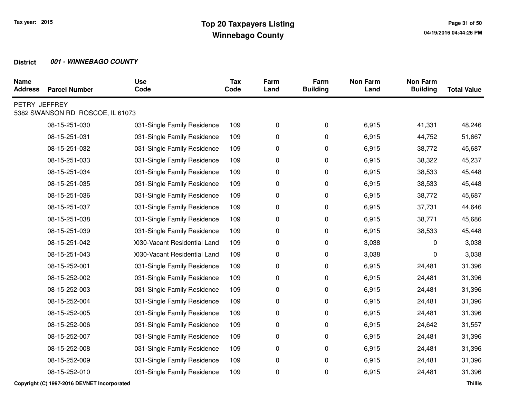| <b>Name</b><br><b>Address</b> | <b>Parcel Number</b>             | <b>Use</b><br>Code           | <b>Tax</b><br>Code | Farm<br>Land | Farm<br><b>Building</b> | <b>Non Farm</b><br>Land | <b>Non Farm</b><br><b>Building</b> | <b>Total Value</b> |
|-------------------------------|----------------------------------|------------------------------|--------------------|--------------|-------------------------|-------------------------|------------------------------------|--------------------|
| PETRY JEFFREY                 | 5382 SWANSON RD ROSCOE, IL 61073 |                              |                    |              |                         |                         |                                    |                    |
|                               | 08-15-251-030                    | 031-Single Family Residence  | 109                | 0            | 0                       | 6,915                   | 41,331                             | 48,246             |
|                               | 08-15-251-031                    | 031-Single Family Residence  | 109                | 0            | 0                       | 6,915                   | 44,752                             | 51,667             |
|                               | 08-15-251-032                    | 031-Single Family Residence  | 109                | 0            | 0                       | 6,915                   | 38,772                             | 45,687             |
|                               | 08-15-251-033                    | 031-Single Family Residence  | 109                | 0            | 0                       | 6,915                   | 38,322                             | 45,237             |
|                               | 08-15-251-034                    | 031-Single Family Residence  | 109                | 0            | 0                       | 6,915                   | 38,533                             | 45,448             |
|                               | 08-15-251-035                    | 031-Single Family Residence  | 109                | 0            | 0                       | 6,915                   | 38,533                             | 45,448             |
|                               | 08-15-251-036                    | 031-Single Family Residence  | 109                | 0            | 0                       | 6,915                   | 38,772                             | 45,687             |
|                               | 08-15-251-037                    | 031-Single Family Residence  | 109                | 0            | 0                       | 6,915                   | 37,731                             | 44,646             |
|                               | 08-15-251-038                    | 031-Single Family Residence  | 109                | 0            | 0                       | 6,915                   | 38,771                             | 45,686             |
|                               | 08-15-251-039                    | 031-Single Family Residence  | 109                | 0            | 0                       | 6,915                   | 38,533                             | 45,448             |
|                               | 08-15-251-042                    | 0030-Vacant Residential Land | 109                | 0            | 0                       | 3,038                   | 0                                  | 3,038              |
|                               | 08-15-251-043                    | 0030-Vacant Residential Land | 109                | 0            | 0                       | 3,038                   | 0                                  | 3,038              |
|                               | 08-15-252-001                    | 031-Single Family Residence  | 109                | 0            | 0                       | 6,915                   | 24,481                             | 31,396             |
|                               | 08-15-252-002                    | 031-Single Family Residence  | 109                | 0            | 0                       | 6,915                   | 24,481                             | 31,396             |
|                               | 08-15-252-003                    | 031-Single Family Residence  | 109                | 0            | 0                       | 6,915                   | 24,481                             | 31,396             |
|                               | 08-15-252-004                    | 031-Single Family Residence  | 109                | 0            | 0                       | 6,915                   | 24,481                             | 31,396             |
|                               | 08-15-252-005                    | 031-Single Family Residence  | 109                | 0            | 0                       | 6,915                   | 24,481                             | 31,396             |
|                               | 08-15-252-006                    | 031-Single Family Residence  | 109                | 0            | 0                       | 6,915                   | 24,642                             | 31,557             |
|                               | 08-15-252-007                    | 031-Single Family Residence  | 109                | 0            | 0                       | 6,915                   | 24,481                             | 31,396             |
|                               | 08-15-252-008                    | 031-Single Family Residence  | 109                | 0            | 0                       | 6,915                   | 24,481                             | 31,396             |
|                               | 08-15-252-009                    | 031-Single Family Residence  | 109                | 0            | 0                       | 6,915                   | 24,481                             | 31,396             |
|                               | 08-15-252-010                    | 031-Single Family Residence  | 109                | 0            | 0                       | 6,915                   | 24,481                             | 31,396             |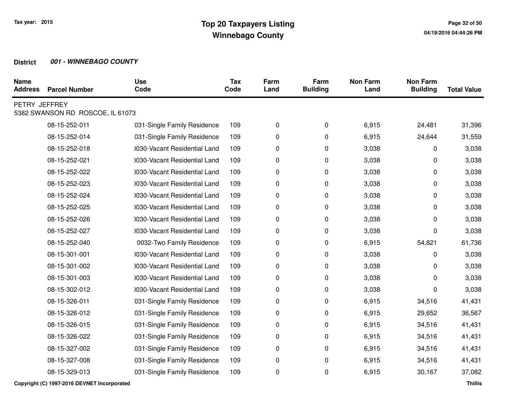| <b>Name</b><br><b>Address</b> | <b>Parcel Number</b>             | <b>Use</b><br>Code           | <b>Tax</b><br>Code | Farm<br>Land | Farm<br><b>Building</b> | <b>Non Farm</b><br>Land | <b>Non Farm</b><br><b>Building</b> | <b>Total Value</b> |
|-------------------------------|----------------------------------|------------------------------|--------------------|--------------|-------------------------|-------------------------|------------------------------------|--------------------|
| PETRY JEFFREY                 | 5382 SWANSON RD ROSCOE, IL 61073 |                              |                    |              |                         |                         |                                    |                    |
|                               | 08-15-252-011                    | 031-Single Family Residence  | 109                | 0            | 0                       | 6,915                   | 24,481                             | 31,396             |
|                               | 08-15-252-014                    | 031-Single Family Residence  | 109                | 0            | 0                       | 6,915                   | 24,644                             | 31,559             |
|                               | 08-15-252-018                    | 0030-Vacant Residential Land | 109                | 0            | 0                       | 3,038                   | 0                                  | 3,038              |
|                               | 08-15-252-021                    | 0030-Vacant Residential Land | 109                | 0            | 0                       | 3,038                   | 0                                  | 3,038              |
|                               | 08-15-252-022                    | 0030-Vacant Residential Land | 109                | 0            | 0                       | 3,038                   | 0                                  | 3,038              |
|                               | 08-15-252-023                    | 0030-Vacant Residential Land | 109                | 0            | 0                       | 3,038                   | 0                                  | 3,038              |
|                               | 08-15-252-024                    | 0030-Vacant Residential Land | 109                | 0            | 0                       | 3,038                   | 0                                  | 3,038              |
|                               | 08-15-252-025                    | 1030-Vacant Residential Land | 109                | 0            | 0                       | 3,038                   | 0                                  | 3,038              |
|                               | 08-15-252-026                    | 0030-Vacant Residential Land | 109                | 0            | 0                       | 3,038                   | 0                                  | 3,038              |
|                               | 08-15-252-027                    | 0030-Vacant Residential Land | 109                | 0            | 0                       | 3,038                   | 0                                  | 3,038              |
|                               | 08-15-252-040                    | 0032-Two Family Residence    | 109                | 0            | 0                       | 6,915                   | 54,821                             | 61,736             |
|                               | 08-15-301-001                    | 0030-Vacant Residential Land | 109                | 0            | 0                       | 3,038                   | 0                                  | 3,038              |
|                               | 08-15-301-002                    | 0030-Vacant Residential Land | 109                | 0            | 0                       | 3,038                   | 0                                  | 3,038              |
|                               | 08-15-301-003                    | 0030-Vacant Residential Land | 109                | 0            | 0                       | 3,038                   | 0                                  | 3,038              |
|                               | 08-15-302-012                    | 0030-Vacant Residential Land | 109                | 0            | 0                       | 3,038                   | 0                                  | 3,038              |
|                               | 08-15-326-011                    | 031-Single Family Residence  | 109                | 0            | 0                       | 6,915                   | 34,516                             | 41,431             |
|                               | 08-15-326-012                    | 031-Single Family Residence  | 109                | 0            | 0                       | 6,915                   | 29,652                             | 36,567             |
|                               | 08-15-326-015                    | 031-Single Family Residence  | 109                | 0            | 0                       | 6,915                   | 34,516                             | 41,431             |
|                               | 08-15-326-022                    | 031-Single Family Residence  | 109                | 0            | 0                       | 6,915                   | 34,516                             | 41,431             |
|                               | 08-15-327-002                    | 031-Single Family Residence  | 109                | 0            | 0                       | 6,915                   | 34,516                             | 41,431             |
|                               | 08-15-327-008                    | 031-Single Family Residence  | 109                | 0            | 0                       | 6,915                   | 34,516                             | 41,431             |
|                               | 08-15-329-013                    | 031-Single Family Residence  | 109                | 0            | 0                       | 6,915                   | 30,167                             | 37,082             |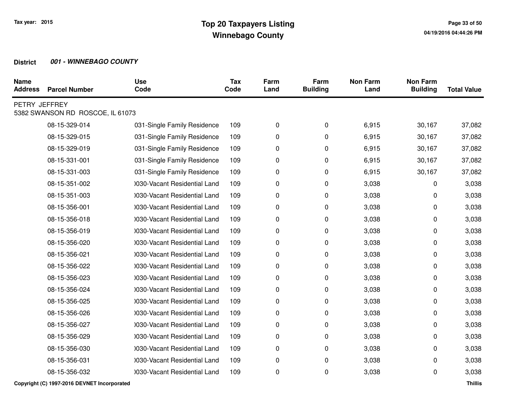| <b>Name</b><br><b>Address</b> | <b>Parcel Number</b>             | <b>Use</b><br>Code           | <b>Tax</b><br>Code | Farm<br>Land | Farm<br><b>Building</b> | <b>Non Farm</b><br>Land | <b>Non Farm</b><br><b>Building</b> | <b>Total Value</b> |
|-------------------------------|----------------------------------|------------------------------|--------------------|--------------|-------------------------|-------------------------|------------------------------------|--------------------|
| PETRY JEFFREY                 | 5382 SWANSON RD ROSCOE, IL 61073 |                              |                    |              |                         |                         |                                    |                    |
|                               | 08-15-329-014                    | 031-Single Family Residence  | 109                | 0            | 0                       | 6,915                   | 30,167                             | 37,082             |
|                               | 08-15-329-015                    | 031-Single Family Residence  | 109                | 0            | 0                       | 6,915                   | 30,167                             | 37,082             |
|                               | 08-15-329-019                    | 031-Single Family Residence  | 109                | 0            | 0                       | 6,915                   | 30,167                             | 37,082             |
|                               | 08-15-331-001                    | 031-Single Family Residence  | 109                | 0            | 0                       | 6,915                   | 30,167                             | 37,082             |
|                               | 08-15-331-003                    | 031-Single Family Residence  | 109                | 0            | 0                       | 6,915                   | 30,167                             | 37,082             |
|                               | 08-15-351-002                    | 0030-Vacant Residential Land | 109                | 0            | 0                       | 3,038                   | 0                                  | 3,038              |
|                               | 08-15-351-003                    | 0030-Vacant Residential Land | 109                | 0            | 0                       | 3,038                   | 0                                  | 3,038              |
|                               | 08-15-356-001                    | 1030-Vacant Residential Land | 109                | 0            | 0                       | 3,038                   | 0                                  | 3,038              |
|                               | 08-15-356-018                    | 1030-Vacant Residential Land | 109                | 0            | 0                       | 3,038                   | 0                                  | 3,038              |
|                               | 08-15-356-019                    | 0030-Vacant Residential Land | 109                | 0            | 0                       | 3,038                   | 0                                  | 3,038              |
|                               | 08-15-356-020                    | 0030-Vacant Residential Land | 109                | 0            | 0                       | 3,038                   | 0                                  | 3,038              |
|                               | 08-15-356-021                    | 0030-Vacant Residential Land | 109                | 0            | 0                       | 3,038                   | 0                                  | 3,038              |
|                               | 08-15-356-022                    | 0030-Vacant Residential Land | 109                | 0            | 0                       | 3,038                   | 0                                  | 3,038              |
|                               | 08-15-356-023                    | 0030-Vacant Residential Land | 109                | 0            | 0                       | 3,038                   | 0                                  | 3,038              |
|                               | 08-15-356-024                    | 1030-Vacant Residential Land | 109                | 0            | 0                       | 3,038                   | 0                                  | 3,038              |
|                               | 08-15-356-025                    | 0030-Vacant Residential Land | 109                | 0            | 0                       | 3,038                   | 0                                  | 3,038              |
|                               | 08-15-356-026                    | 0030-Vacant Residential Land | 109                | 0            | 0                       | 3,038                   | 0                                  | 3,038              |
|                               | 08-15-356-027                    | 0030-Vacant Residential Land | 109                | 0            | 0                       | 3,038                   | 0                                  | 3,038              |
|                               | 08-15-356-029                    | 0030-Vacant Residential Land | 109                | 0            | 0                       | 3,038                   | 0                                  | 3,038              |
|                               | 08-15-356-030                    | 0030-Vacant Residential Land | 109                | 0            | 0                       | 3,038                   | 0                                  | 3,038              |
|                               | 08-15-356-031                    | 0030-Vacant Residential Land | 109                | 0            | 0                       | 3,038                   | 0                                  | 3,038              |
|                               | 08-15-356-032                    | 1030-Vacant Residential Land | 109                | 0            | 0                       | 3,038                   | 0                                  | 3,038              |
|                               |                                  |                              |                    |              |                         |                         |                                    |                    |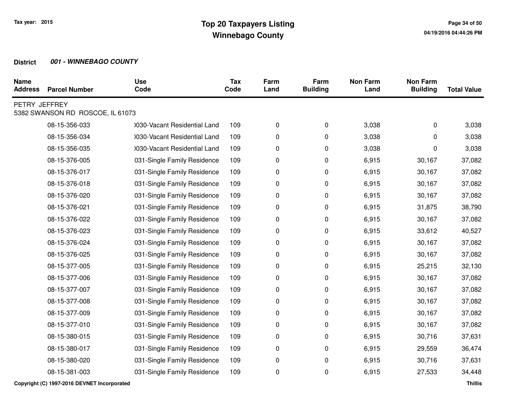| <b>Name</b><br><b>Address</b> | <b>Parcel Number</b>             | <b>Use</b><br>Code           | <b>Tax</b><br>Code | Farm<br>Land | Farm<br><b>Building</b> | <b>Non Farm</b><br>Land | <b>Non Farm</b><br><b>Building</b> | <b>Total Value</b> |
|-------------------------------|----------------------------------|------------------------------|--------------------|--------------|-------------------------|-------------------------|------------------------------------|--------------------|
| PETRY JEFFREY                 | 5382 SWANSON RD ROSCOE, IL 61073 |                              |                    |              |                         |                         |                                    |                    |
|                               | 08-15-356-033                    | 0030-Vacant Residential Land | 109                | 0            | 0                       | 3,038                   | 0                                  | 3,038              |
|                               | 08-15-356-034                    | 0030-Vacant Residential Land | 109                | 0            | 0                       | 3,038                   | 0                                  | 3,038              |
|                               | 08-15-356-035                    | 0030-Vacant Residential Land | 109                | 0            | 0                       | 3,038                   | 0                                  | 3,038              |
|                               | 08-15-376-005                    | 031-Single Family Residence  | 109                | 0            | 0                       | 6,915                   | 30,167                             | 37,082             |
|                               | 08-15-376-017                    | 031-Single Family Residence  | 109                | 0            | 0                       | 6,915                   | 30,167                             | 37,082             |
|                               | 08-15-376-018                    | 031-Single Family Residence  | 109                | 0            | 0                       | 6,915                   | 30,167                             | 37,082             |
|                               | 08-15-376-020                    | 031-Single Family Residence  | 109                | 0            | 0                       | 6,915                   | 30,167                             | 37,082             |
|                               | 08-15-376-021                    | 031-Single Family Residence  | 109                | 0            | 0                       | 6,915                   | 31,875                             | 38,790             |
|                               | 08-15-376-022                    | 031-Single Family Residence  | 109                | 0            | 0                       | 6,915                   | 30,167                             | 37,082             |
|                               | 08-15-376-023                    | 031-Single Family Residence  | 109                | 0            | 0                       | 6,915                   | 33,612                             | 40,527             |
|                               | 08-15-376-024                    | 031-Single Family Residence  | 109                | 0            | 0                       | 6,915                   | 30,167                             | 37,082             |
|                               | 08-15-376-025                    | 031-Single Family Residence  | 109                | 0            | 0                       | 6,915                   | 30,167                             | 37,082             |
|                               | 08-15-377-005                    | 031-Single Family Residence  | 109                | 0            | 0                       | 6,915                   | 25,215                             | 32,130             |
|                               | 08-15-377-006                    | 031-Single Family Residence  | 109                | 0            | 0                       | 6,915                   | 30,167                             | 37,082             |
|                               | 08-15-377-007                    | 031-Single Family Residence  | 109                | 0            | 0                       | 6,915                   | 30,167                             | 37,082             |
|                               | 08-15-377-008                    | 031-Single Family Residence  | 109                | 0            | 0                       | 6,915                   | 30,167                             | 37,082             |
|                               | 08-15-377-009                    | 031-Single Family Residence  | 109                | 0            | 0                       | 6,915                   | 30,167                             | 37,082             |
|                               | 08-15-377-010                    | 031-Single Family Residence  | 109                | 0            | 0                       | 6,915                   | 30,167                             | 37,082             |
|                               | 08-15-380-015                    | 031-Single Family Residence  | 109                | 0            | 0                       | 6,915                   | 30,716                             | 37,631             |
|                               | 08-15-380-017                    | 031-Single Family Residence  | 109                | 0            | 0                       | 6,915                   | 29,559                             | 36,474             |
|                               | 08-15-380-020                    | 031-Single Family Residence  | 109                | 0            | 0                       | 6,915                   | 30,716                             | 37,631             |
|                               | 08-15-381-003                    | 031-Single Family Residence  | 109                | 0            | 0                       | 6,915                   | 27,533                             | 34,448             |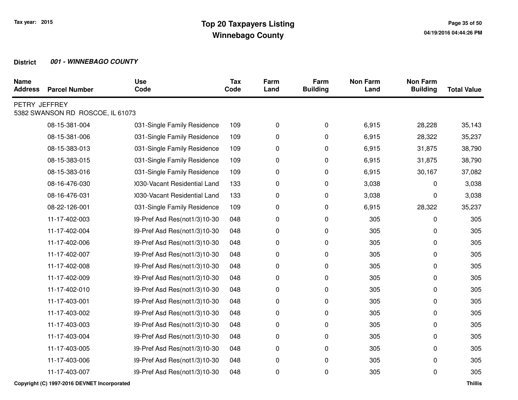| <b>Name</b><br><b>Address</b> | <b>Parcel Number</b>             | <b>Use</b><br>Code           | <b>Tax</b><br>Code | Farm<br>Land | Farm<br><b>Building</b> | <b>Non Farm</b><br>Land | <b>Non Farm</b><br><b>Building</b> | <b>Total Value</b> |
|-------------------------------|----------------------------------|------------------------------|--------------------|--------------|-------------------------|-------------------------|------------------------------------|--------------------|
| PETRY JEFFREY                 | 5382 SWANSON RD ROSCOE, IL 61073 |                              |                    |              |                         |                         |                                    |                    |
|                               | 08-15-381-004                    | 031-Single Family Residence  | 109                | 0            | 0                       | 6,915                   | 28,228                             | 35,143             |
|                               | 08-15-381-006                    | 031-Single Family Residence  | 109                | 0            | 0                       | 6,915                   | 28,322                             | 35,237             |
|                               | 08-15-383-013                    | 031-Single Family Residence  | 109                | 0            | 0                       | 6,915                   | 31,875                             | 38,790             |
|                               | 08-15-383-015                    | 031-Single Family Residence  | 109                | 0            | 0                       | 6,915                   | 31,875                             | 38,790             |
|                               | 08-15-383-016                    | 031-Single Family Residence  | 109                | 0            | 0                       | 6,915                   | 30,167                             | 37,082             |
|                               | 08-16-476-030                    | 0030-Vacant Residential Land | 133                | 0            | 0                       | 3,038                   | 0                                  | 3,038              |
|                               | 08-16-476-031                    | 0030-Vacant Residential Land | 133                | 0            | 0                       | 3,038                   | 0                                  | 3,038              |
|                               | 08-22-126-001                    | 031-Single Family Residence  | 109                | 0            | 0                       | 6,915                   | 28,322                             | 35,237             |
|                               | 11-17-402-003                    | 39-Pref Asd Res(not1/3)10-30 | 048                | 0            | 0                       | 305                     | 0                                  | 305                |
|                               | 11-17-402-004                    | 39-Pref Asd Res(not1/3)10-30 | 048                | 0            | 0                       | 305                     | 0                                  | 305                |
|                               | 11-17-402-006                    | 39-Pref Asd Res(not1/3)10-30 | 048                | 0            | 0                       | 305                     | 0                                  | 305                |
|                               | 11-17-402-007                    | 39-Pref Asd Res(not1/3)10-30 | 048                | 0            | 0                       | 305                     | 0                                  | 305                |
|                               | 11-17-402-008                    | 39-Pref Asd Res(not1/3)10-30 | 048                | 0            | 0                       | 305                     | 0                                  | 305                |
|                               | 11-17-402-009                    | 39-Pref Asd Res(not1/3)10-30 | 048                | 0            | 0                       | 305                     | 0                                  | 305                |
|                               | 11-17-402-010                    | 39-Pref Asd Res(not1/3)10-30 | 048                | 0            | 0                       | 305                     | 0                                  | 305                |
|                               | 11-17-403-001                    | 39-Pref Asd Res(not1/3)10-30 | 048                | 0            | 0                       | 305                     | 0                                  | 305                |
|                               | 11-17-403-002                    | 39-Pref Asd Res(not1/3)10-30 | 048                | 0            | 0                       | 305                     | 0                                  | 305                |
|                               | 11-17-403-003                    | 39-Pref Asd Res(not1/3)10-30 | 048                | 0            | 0                       | 305                     | 0                                  | 305                |
|                               | 11-17-403-004                    | 39-Pref Asd Res(not1/3)10-30 | 048                | 0            | 0                       | 305                     | 0                                  | 305                |
|                               | 11-17-403-005                    | 39-Pref Asd Res(not1/3)10-30 | 048                | 0            | 0                       | 305                     | 0                                  | 305                |
|                               | 11-17-403-006                    | 39-Pref Asd Res(not1/3)10-30 | 048                | 0            | 0                       | 305                     | 0                                  | 305                |
|                               | 11-17-403-007                    | 39-Pref Asd Res(not1/3)10-30 | 048                | 0            | 0                       | 305                     | 0                                  | 305                |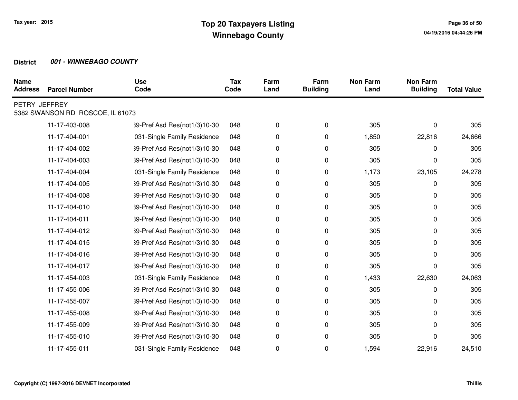| <b>Name</b><br><b>Address</b> | <b>Parcel Number</b>             | <b>Use</b><br>Code           | <b>Tax</b><br>Code | Farm<br>Land | Farm<br><b>Building</b> | <b>Non Farm</b><br>Land | <b>Non Farm</b><br><b>Building</b> | <b>Total Value</b> |
|-------------------------------|----------------------------------|------------------------------|--------------------|--------------|-------------------------|-------------------------|------------------------------------|--------------------|
| PETRY JEFFREY                 | 5382 SWANSON RD ROSCOE, IL 61073 |                              |                    |              |                         |                         |                                    |                    |
|                               | 11-17-403-008                    | 39-Pref Asd Res(not1/3)10-30 | 048                | 0            | 0                       | 305                     | $\Omega$                           | 305                |
|                               | 11-17-404-001                    | 031-Single Family Residence  | 048                | 0            | 0                       | 1,850                   | 22,816                             | 24,666             |
|                               | 11-17-404-002                    | 39-Pref Asd Res(not1/3)10-30 | 048                | 0            | 0                       | 305                     | 0                                  | 305                |
|                               | 11-17-404-003                    | 39-Pref Asd Res(not1/3)10-30 | 048                | 0            | 0                       | 305                     | 0                                  | 305                |
|                               | 11-17-404-004                    | 031-Single Family Residence  | 048                | 0            | 0                       | 1,173                   | 23,105                             | 24,278             |
|                               | 11-17-404-005                    | 39-Pref Asd Res(not1/3)10-30 | 048                | 0            | 0                       | 305                     | 0                                  | 305                |
|                               | 11-17-404-008                    | 39-Pref Asd Res(not1/3)10-30 | 048                | 0            | 0                       | 305                     | 0                                  | 305                |
|                               | 11-17-404-010                    | 39-Pref Asd Res(not1/3)10-30 | 048                | 0            | 0                       | 305                     | 0                                  | 305                |
|                               | 11-17-404-011                    | 39-Pref Asd Res(not1/3)10-30 | 048                | 0            | 0                       | 305                     | 0                                  | 305                |
|                               | 11-17-404-012                    | 39-Pref Asd Res(not1/3)10-30 | 048                | 0            | 0                       | 305                     | 0                                  | 305                |
|                               | 11-17-404-015                    | 39-Pref Asd Res(not1/3)10-30 | 048                | 0            | 0                       | 305                     | 0                                  | 305                |
|                               | 11-17-404-016                    | 39-Pref Asd Res(not1/3)10-30 | 048                | 0            | 0                       | 305                     | 0                                  | 305                |
|                               | 11-17-404-017                    | 39-Pref Asd Res(not1/3)10-30 | 048                | 0            | 0                       | 305                     | 0                                  | 305                |
|                               | 11-17-454-003                    | 031-Single Family Residence  | 048                | 0            | 0                       | 1,433                   | 22,630                             | 24,063             |
|                               | 11-17-455-006                    | 39-Pref Asd Res(not1/3)10-30 | 048                | 0            | 0                       | 305                     | 0                                  | 305                |
|                               | 11-17-455-007                    | 39-Pref Asd Res(not1/3)10-30 | 048                | 0            | 0                       | 305                     | 0                                  | 305                |
|                               | 11-17-455-008                    | 39-Pref Asd Res(not1/3)10-30 | 048                | 0            | 0                       | 305                     | 0                                  | 305                |
|                               | 11-17-455-009                    | 39-Pref Asd Res(not1/3)10-30 | 048                | 0            | 0                       | 305                     | 0                                  | 305                |
|                               | 11-17-455-010                    | 39-Pref Asd Res(not1/3)10-30 | 048                | 0            | 0                       | 305                     | $\Omega$                           | 305                |
|                               | 11-17-455-011                    | 031-Single Family Residence  | 048                | 0            | 0                       | 1,594                   | 22,916                             | 24,510             |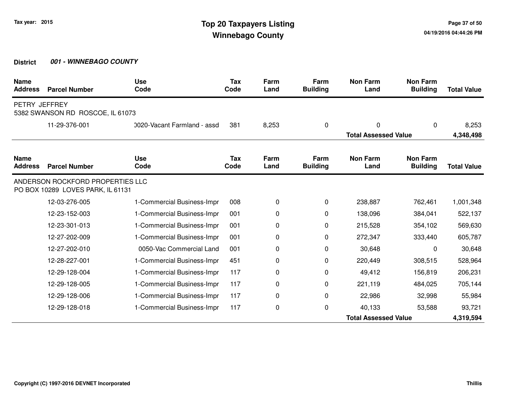| <b>Name</b><br><b>Address</b> | <b>Parcel Number</b>                                                  | <b>Use</b><br>Code          | <b>Tax</b><br>Code | Farm<br>Land | Farm<br><b>Building</b> | <b>Non Farm</b><br>Land     | <b>Non Farm</b><br><b>Building</b> | <b>Total Value</b> |
|-------------------------------|-----------------------------------------------------------------------|-----------------------------|--------------------|--------------|-------------------------|-----------------------------|------------------------------------|--------------------|
| PETRY JEFFREY                 | 5382 SWANSON RD ROSCOE, IL 61073                                      |                             |                    |              |                         |                             |                                    |                    |
|                               | 11-29-376-001                                                         | 0020-Vacant Farmland - assd | 381                | 8,253        | 0                       | 0                           | $\Omega$                           | 8,253              |
|                               |                                                                       |                             |                    |              |                         | <b>Total Assessed Value</b> |                                    | 4,348,498          |
| <b>Name</b><br><b>Address</b> | <b>Parcel Number</b>                                                  | <b>Use</b><br>Code          | Tax<br>Code        | Farm<br>Land | Farm<br><b>Building</b> | <b>Non Farm</b><br>Land     | <b>Non Farm</b><br><b>Building</b> | <b>Total Value</b> |
|                               | ANDERSON ROCKFORD PROPERTIES LLC<br>PO BOX 10289 LOVES PARK, IL 61131 |                             |                    |              |                         |                             |                                    |                    |
|                               | 12-03-276-005                                                         | 1-Commercial Business-Impr  | 008                | 0            | 0                       | 238,887                     | 762,461                            | 1,001,348          |
|                               | 12-23-152-003                                                         | 1-Commercial Business-Impr  | 001                | 0            | $\Omega$                | 138,096                     | 384,041                            | 522,137            |
|                               | 12-23-301-013                                                         | 1-Commercial Business-Impr  | 001                | 0            | 0                       | 215,528                     | 354,102                            | 569,630            |
|                               | 12-27-202-009                                                         | 1-Commercial Business-Impr  | 001                | 0            | 0                       | 272,347                     | 333,440                            | 605,787            |
|                               | 12-27-202-010                                                         | 0050-Vac Commercial Land    | 001                | 0            | 0                       | 30,648                      | 0                                  | 30,648             |
|                               | 12-28-227-001                                                         | 1-Commercial Business-Impr  | 451                | 0            | 0                       | 220,449                     | 308,515                            | 528,964            |
|                               | 12-29-128-004                                                         | 1-Commercial Business-Impr  | 117                | 0            | $\Omega$                | 49,412                      | 156,819                            | 206,231            |
|                               | 12-29-128-005                                                         | 1-Commercial Business-Impr  | 117                | 0            | 0                       | 221,119                     | 484,025                            | 705,144            |
|                               | 12-29-128-006                                                         | 1-Commercial Business-Impr  | 117                | 0            | 0                       | 22,986                      | 32,998                             | 55,984             |
|                               | 12-29-128-018                                                         | 1-Commercial Business-Impr  | 117                | 0            | 0                       | 40,133                      | 53,588                             | 93,721             |
|                               |                                                                       |                             |                    |              |                         | <b>Total Assessed Value</b> |                                    | 4,319,594          |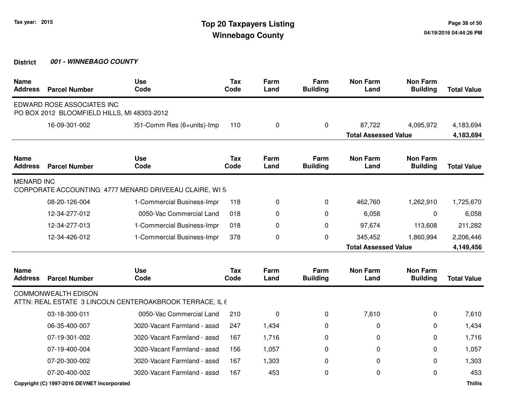| <b>Name</b><br><b>Address</b> | <b>Parcel Number</b>                                                      | <b>Use</b><br>Code                                       | <b>Tax</b><br>Code | Farm<br>Land | Farm<br><b>Building</b> | <b>Non Farm</b><br>Land     | <b>Non Farm</b><br><b>Building</b> | <b>Total Value</b> |
|-------------------------------|---------------------------------------------------------------------------|----------------------------------------------------------|--------------------|--------------|-------------------------|-----------------------------|------------------------------------|--------------------|
|                               | EDWARD ROSE ASSOCIATES INC<br>PO BOX 2012 BLOOMFIELD HILLS, MI 48303-2012 |                                                          |                    |              |                         |                             |                                    |                    |
|                               | 16-09-301-002                                                             | )51-Comm Res (6+units)-Imp                               | 110                | 0            | 0                       | 87,722                      | 4,095,972                          | 4,183,694          |
|                               |                                                                           |                                                          |                    |              |                         | <b>Total Assessed Value</b> |                                    | 4,183,694          |
| <b>Name</b><br><b>Address</b> | <b>Parcel Number</b>                                                      | <b>Use</b><br>Code                                       | Tax<br>Code        | Farm<br>Land | Farm<br><b>Building</b> | <b>Non Farm</b><br>Land     | <b>Non Farm</b><br><b>Building</b> | <b>Total Value</b> |
| <b>MENARD INC</b>             |                                                                           | CORPORATE ACCOUNTING 4777 MENARD DRIVEEAU CLAIRE, WI 5   |                    |              |                         |                             |                                    |                    |
|                               | 08-20-126-004                                                             | 1-Commercial Business-Impr                               | 118                | 0            | 0                       | 462,760                     | 1,262,910                          | 1,725,670          |
|                               | 12-34-277-012                                                             | 0050-Vac Commercial Land                                 | 018                | 0            | 0                       | 6,058                       | $\mathbf{0}$                       | 6,058              |
|                               | 12-34-277-013                                                             | 1-Commercial Business-Impr                               | 018                | 0            | $\Omega$                | 97,674                      | 113,608                            | 211,282            |
|                               | 12-34-426-012                                                             | 1-Commercial Business-Impr                               | 378                | 0            | 0                       | 345,452                     | 1,860,994                          | 2,206,446          |
|                               |                                                                           |                                                          |                    |              |                         | <b>Total Assessed Value</b> |                                    | 4,149,456          |
| <b>Name</b><br><b>Address</b> | <b>Parcel Number</b>                                                      | <b>Use</b><br>Code                                       | <b>Tax</b><br>Code | Farm<br>Land | Farm<br><b>Building</b> | <b>Non Farm</b><br>Land     | <b>Non Farm</b><br><b>Building</b> | <b>Total Value</b> |
|                               | <b>COMMONWEALTH EDISON</b>                                                | ATTN: REAL ESTATE 3 LINCOLN CENTEROAKBROOK TERRACE, IL 6 |                    |              |                         |                             |                                    |                    |
|                               | 03-18-300-011                                                             | 0050-Vac Commercial Land                                 | 210                | 0            | 0                       | 7,610                       | 0                                  | 7,610              |
|                               | 06-35-400-007                                                             | 0020-Vacant Farmland - assd                              | 247                | 1,434        | 0                       | 0                           | 0                                  | 1,434              |
|                               | 07-19-301-002                                                             | 0020-Vacant Farmland - assd                              | 167                | 1,716        | $\Omega$                | 0                           | 0                                  | 1,716              |
|                               | 07-19-400-004                                                             | 0020-Vacant Farmland - assd                              | 156                | 1,057        | 0                       | 0                           | 0                                  | 1,057              |
|                               | 07-20-300-002                                                             | 0020-Vacant Farmland - assd                              | 167                | 1,303        | 0                       | 0                           | 0                                  | 1,303              |
|                               | 07-20-400-002                                                             | 0020-Vacant Farmland - assd                              | 167                | 453          | 0                       | 0                           | $\Omega$                           | 453                |
|                               | Copyright (C) 1997-2016 DEVNET Incorporated                               |                                                          |                    |              |                         |                             |                                    | <b>Thillis</b>     |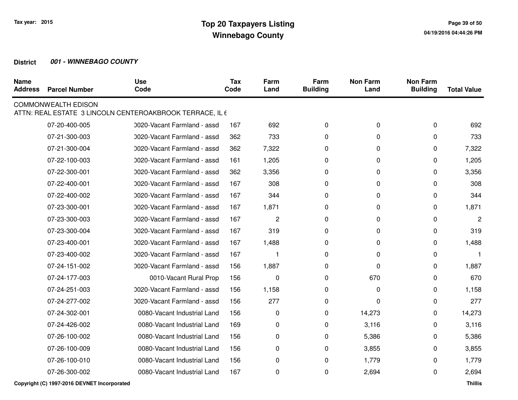| <b>Name</b><br><b>Address</b> | <b>Parcel Number</b>       | <b>Use</b><br>Code                                       | <b>Tax</b><br>Code | Farm<br>Land | Farm<br><b>Building</b> | <b>Non Farm</b><br>Land | <b>Non Farm</b><br><b>Building</b> | <b>Total Value</b> |
|-------------------------------|----------------------------|----------------------------------------------------------|--------------------|--------------|-------------------------|-------------------------|------------------------------------|--------------------|
|                               | <b>COMMONWEALTH EDISON</b> | ATTN: REAL ESTATE 3 LINCOLN CENTEROAKBROOK TERRACE, IL 6 |                    |              |                         |                         |                                    |                    |
|                               | 07-20-400-005              | 0020-Vacant Farmland - assd                              | 167                | 692          | $\mathbf 0$             | 0                       | 0                                  | 692                |
|                               | 07-21-300-003              | 0020-Vacant Farmland - assd                              | 362                | 733          | 0                       | 0                       | 0                                  | 733                |
|                               | 07-21-300-004              | 0020-Vacant Farmland - assd                              | 362                | 7,322        | 0                       | 0                       | $\Omega$                           | 7,322              |
|                               | 07-22-100-003              | 0020-Vacant Farmland - assd                              | 161                | 1,205        | 0                       | 0                       | $\Omega$                           | 1,205              |
|                               | 07-22-300-001              | 0020-Vacant Farmland - assd                              | 362                | 3,356        | 0                       | 0                       | $\Omega$                           | 3,356              |
|                               | 07-22-400-001              | 0020-Vacant Farmland - assd                              | 167                | 308          | 0                       | 0                       | $\Omega$                           | 308                |
|                               | 07-22-400-002              | 0020-Vacant Farmland - assd                              | 167                | 344          | 0                       | 0                       | 0                                  | 344                |
|                               | 07-23-300-001              | 0020-Vacant Farmland - assd                              | 167                | 1,871        | 0                       | 0                       | 0                                  | 1,871              |
|                               | 07-23-300-003              | 0020-Vacant Farmland - assd                              | 167                | 2            | 0                       | 0                       | $\Omega$                           | $\overline{2}$     |
|                               | 07-23-300-004              | 0020-Vacant Farmland - assd                              | 167                | 319          | 0                       | 0                       | 0                                  | 319                |
|                               | 07-23-400-001              | 0020-Vacant Farmland - assd                              | 167                | 1,488        | 0                       | 0                       | 0                                  | 1,488              |
|                               | 07-23-400-002              | 0020-Vacant Farmland - assd                              | 167                |              | 0                       | 0                       | 0                                  |                    |
|                               | 07-24-151-002              | 0020-Vacant Farmland - assd                              | 156                | 1,887        | 0                       | $\mathbf 0$             | 0                                  | 1,887              |
|                               | 07-24-177-003              | 0010-Vacant Rural Prop                                   | 156                | 0            | 0                       | 670                     | $\Omega$                           | 670                |
|                               | 07-24-251-003              | 0020-Vacant Farmland - assd                              | 156                | 1,158        | 0                       | 0                       | 0                                  | 1,158              |
|                               | 07-24-277-002              | 0020-Vacant Farmland - assd                              | 156                | 277          | 0                       | 0                       | $\Omega$                           | 277                |
|                               | 07-24-302-001              | 0080-Vacant Industrial Land                              | 156                | 0            | 0                       | 14,273                  | 0                                  | 14,273             |
|                               | 07-24-426-002              | 0080-Vacant Industrial Land                              | 169                | 0            | 0                       | 3,116                   | 0                                  | 3,116              |
|                               | 07-26-100-002              | 0080-Vacant Industrial Land                              | 156                | 0            | 0                       | 5,386                   | 0                                  | 5,386              |
|                               | 07-26-100-009              | 0080-Vacant Industrial Land                              | 156                | 0            | 0                       | 3,855                   | 0                                  | 3,855              |
|                               | 07-26-100-010              | 0080-Vacant Industrial Land                              | 156                | 0            | 0                       | 1,779                   | 0                                  | 1,779              |
|                               | 07-26-300-002              | 0080-Vacant Industrial Land                              | 167                | 0            | 0                       | 2,694                   | 0                                  | 2,694              |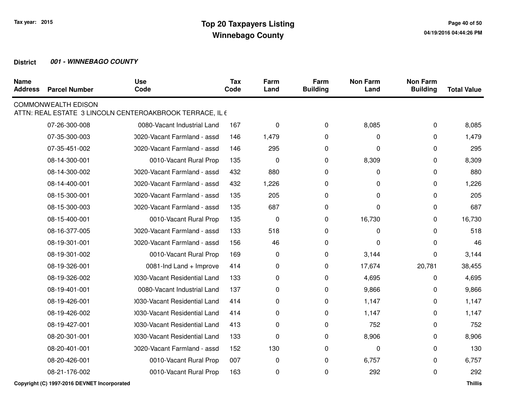| <b>Name</b><br><b>Address</b> | <b>Parcel Number</b>       | <b>Use</b><br>Code                                       | <b>Tax</b><br>Code | Farm<br>Land | Farm<br><b>Building</b> | <b>Non Farm</b><br>Land | <b>Non Farm</b><br><b>Building</b> | <b>Total Value</b> |
|-------------------------------|----------------------------|----------------------------------------------------------|--------------------|--------------|-------------------------|-------------------------|------------------------------------|--------------------|
|                               | <b>COMMONWEALTH EDISON</b> | ATTN: REAL ESTATE 3 LINCOLN CENTEROAKBROOK TERRACE, IL 6 |                    |              |                         |                         |                                    |                    |
|                               | 07-26-300-008              | 0080-Vacant Industrial Land                              | 167                | 0            | 0                       | 8,085                   | 0                                  | 8,085              |
|                               | 07-35-300-003              | 0020-Vacant Farmland - assd                              | 146                | 1,479        | 0                       | 0                       | 0                                  | 1,479              |
|                               | 07-35-451-002              | 0020-Vacant Farmland - assd                              | 146                | 295          | 0                       | 0                       | 0                                  | 295                |
|                               | 08-14-300-001              | 0010-Vacant Rural Prop                                   | 135                | 0            | 0                       | 8,309                   | 0                                  | 8,309              |
|                               | 08-14-300-002              | 0020-Vacant Farmland - assd                              | 432                | 880          | 0                       | 0                       | 0                                  | 880                |
|                               | 08-14-400-001              | 0020-Vacant Farmland - assd                              | 432                | 1,226        | 0                       | 0                       | 0                                  | 1,226              |
|                               | 08-15-300-001              | 0020-Vacant Farmland - assd                              | 135                | 205          | 0                       | 0                       | 0                                  | 205                |
|                               | 08-15-300-003              | 0020-Vacant Farmland - assd                              | 135                | 687          | 0                       | 0                       | 0                                  | 687                |
|                               | 08-15-400-001              | 0010-Vacant Rural Prop                                   | 135                | $\mathbf 0$  | 0                       | 16,730                  | 0                                  | 16,730             |
|                               | 08-16-377-005              | 0020-Vacant Farmland - assd                              | 133                | 518          | 0                       | 0                       | 0                                  | 518                |
|                               | 08-19-301-001              | 0020-Vacant Farmland - assd                              | 156                | 46           | $\mathbf 0$             | 0                       | 0                                  | 46                 |
|                               | 08-19-301-002              | 0010-Vacant Rural Prop                                   | 169                | 0            | 0                       | 3,144                   | 0                                  | 3,144              |
|                               | 08-19-326-001              | 0081-Ind Land + Improve                                  | 414                | 0            | 0                       | 17,674                  | 20,781                             | 38,455             |
|                               | 08-19-326-002              | 1030-Vacant Residential Land                             | 133                | 0            | 0                       | 4,695                   | 0                                  | 4,695              |
|                               | 08-19-401-001              | 0080-Vacant Industrial Land                              | 137                | 0            | 0                       | 9,866                   | 0                                  | 9,866              |
|                               | 08-19-426-001              | 1030-Vacant Residential Land                             | 414                | 0            | 0                       | 1,147                   | 0                                  | 1,147              |
|                               | 08-19-426-002              | 1030-Vacant Residential Land                             | 414                | 0            | 0                       | 1,147                   | 0                                  | 1,147              |
|                               | 08-19-427-001              | 1030-Vacant Residential Land                             | 413                | 0            | 0                       | 752                     | 0                                  | 752                |
|                               | 08-20-301-001              | 0030-Vacant Residential Land                             | 133                | 0            | 0                       | 8,906                   | 0                                  | 8,906              |
|                               | 08-20-401-001              | 0020-Vacant Farmland - assd                              | 152                | 130          | 0                       | 0                       | 0                                  | 130                |
|                               | 08-20-426-001              | 0010-Vacant Rural Prop                                   | 007                | 0            | 0                       | 6,757                   | 0                                  | 6,757              |
|                               | 08-21-176-002              | 0010-Vacant Rural Prop                                   | 163                | 0            | 0                       | 292                     | 0                                  | 292                |

**Copyright (C) 1997-2016 DEVNET Incorporated**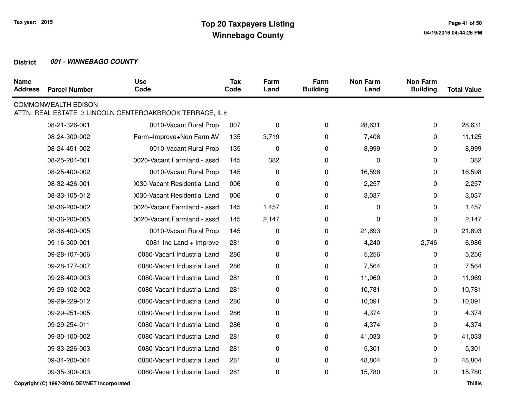| <b>Name</b><br><b>Address</b> | <b>Parcel Number</b>       | <b>Use</b><br>Code                                       | <b>Tax</b><br>Code | Farm<br>Land | Farm<br><b>Building</b> | <b>Non Farm</b><br>Land | <b>Non Farm</b><br><b>Building</b> | <b>Total Value</b> |
|-------------------------------|----------------------------|----------------------------------------------------------|--------------------|--------------|-------------------------|-------------------------|------------------------------------|--------------------|
|                               | <b>COMMONWEALTH EDISON</b> | ATTN: REAL ESTATE 3 LINCOLN CENTEROAKBROOK TERRACE, IL 6 |                    |              |                         |                         |                                    |                    |
|                               | 08-21-326-001              | 0010-Vacant Rural Prop                                   | 007                | 0            | 0                       | 28,631                  | 0                                  | 28,631             |
|                               | 08-24-300-002              | Farm+Improve+Non Farm AV                                 | 135                | 3,719        | 0                       | 7,406                   | 0                                  | 11,125             |
|                               | 08-24-451-002              | 0010-Vacant Rural Prop                                   | 135                | $\mathbf 0$  | 0                       | 8,999                   | 0                                  | 8,999              |
|                               | 08-25-204-001              | 0020-Vacant Farmland - assd                              | 145                | 382          | 0                       | 0                       | 0                                  | 382                |
|                               | 08-25-400-002              | 0010-Vacant Rural Prop                                   | 145                | 0            | 0                       | 16,598                  | 0                                  | 16,598             |
|                               | 08-32-426-001              | 0030-Vacant Residential Land                             | 006                | 0            | 0                       | 2,257                   | 0                                  | 2,257              |
|                               | 08-33-105-012              | 0030-Vacant Residential Land                             | 006                | 0            | 0                       | 3,037                   | 0                                  | 3,037              |
|                               | 08-36-200-002              | 0020-Vacant Farmland - assd                              | 145                | 1,457        | 0                       | 0                       | 0                                  | 1,457              |
|                               | 08-36-200-005              | 0020-Vacant Farmland - assd                              | 145                | 2,147        | 0                       | 0                       | 0                                  | 2,147              |
|                               | 08-36-400-005              | 0010-Vacant Rural Prop                                   | 145                | 0            | 0                       | 21,693                  | 0                                  | 21,693             |
|                               | 09-16-300-001              | 0081-Ind Land + Improve                                  | 281                | 0            | 0                       | 4,240                   | 2,746                              | 6,986              |
|                               | 09-28-107-006              | 0080-Vacant Industrial Land                              | 286                | 0            | 0                       | 5,256                   | 0                                  | 5,256              |
|                               | 09-28-177-007              | 0080-Vacant Industrial Land                              | 286                | 0            | 0                       | 7,564                   | 0                                  | 7,564              |
|                               | 09-28-400-003              | 0080-Vacant Industrial Land                              | 281                | 0            | 0                       | 11,969                  | 0                                  | 11,969             |
|                               | 09-29-102-002              | 0080-Vacant Industrial Land                              | 281                | 0            | 0                       | 10,781                  | 0                                  | 10,781             |
|                               | 09-29-229-012              | 0080-Vacant Industrial Land                              | 286                | 0            | 0                       | 10,091                  | 0                                  | 10,091             |
|                               | 09-29-251-005              | 0080-Vacant Industrial Land                              | 286                | 0            | 0                       | 4,374                   | 0                                  | 4,374              |
|                               | 09-29-254-011              | 0080-Vacant Industrial Land                              | 286                | 0            | 0                       | 4,374                   | 0                                  | 4,374              |
|                               | 09-30-100-002              | 0080-Vacant Industrial Land                              | 281                | 0            | 0                       | 41,033                  | 0                                  | 41,033             |
|                               | 09-33-226-003              | 0080-Vacant Industrial Land                              | 281                | 0            | 0                       | 5,301                   | 0                                  | 5,301              |
|                               | 09-34-200-004              | 0080-Vacant Industrial Land                              | 281                | 0            | 0                       | 48,804                  | 0                                  | 48,804             |
|                               | 09-35-300-003              | 0080-Vacant Industrial Land                              | 281                | 0            | 0                       | 15,780                  | 0                                  | 15,780             |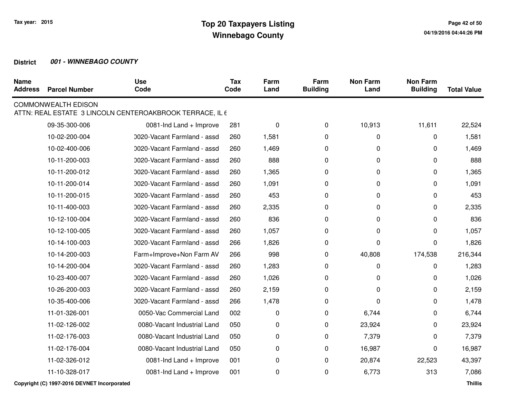| <b>Name</b><br><b>Address</b> | <b>Parcel Number</b>       | <b>Use</b><br>Code                                       | <b>Tax</b><br>Code | Farm<br>Land | Farm<br><b>Building</b> | <b>Non Farm</b><br>Land | <b>Non Farm</b><br><b>Building</b> | <b>Total Value</b> |
|-------------------------------|----------------------------|----------------------------------------------------------|--------------------|--------------|-------------------------|-------------------------|------------------------------------|--------------------|
|                               | <b>COMMONWEALTH EDISON</b> | ATTN: REAL ESTATE 3 LINCOLN CENTEROAKBROOK TERRACE, IL 6 |                    |              |                         |                         |                                    |                    |
|                               | 09-35-300-006              | 0081-Ind Land + Improve                                  | 281                | 0            | $\mathbf 0$             | 10,913                  | 11,611                             | 22,524             |
|                               | 10-02-200-004              | 0020-Vacant Farmland - assd                              | 260                | 1,581        | 0                       | $\pmb{0}$               | 0                                  | 1,581              |
|                               | 10-02-400-006              | 0020-Vacant Farmland - assd                              | 260                | 1,469        | 0                       | 0                       | $\Omega$                           | 1,469              |
|                               | 10-11-200-003              | 0020-Vacant Farmland - assd                              | 260                | 888          | 0                       | 0                       | $\Omega$                           | 888                |
|                               | 10-11-200-012              | 0020-Vacant Farmland - assd                              | 260                | 1,365        | 0                       | 0                       | 0                                  | 1,365              |
|                               | 10-11-200-014              | 0020-Vacant Farmland - assd                              | 260                | 1,091        | 0                       | 0                       | $\Omega$                           | 1,091              |
|                               | 10-11-200-015              | 0020-Vacant Farmland - assd                              | 260                | 453          | 0                       | 0                       | 0                                  | 453                |
|                               | 10-11-400-003              | 0020-Vacant Farmland - assd                              | 260                | 2,335        | 0                       | 0                       | 0                                  | 2,335              |
|                               | 10-12-100-004              | 0020-Vacant Farmland - assd                              | 260                | 836          | $\Omega$                | $\Omega$                | $\Omega$                           | 836                |
|                               | 10-12-100-005              | 0020-Vacant Farmland - assd                              | 260                | 1,057        | $\mathbf 0$             | 0                       | $\Omega$                           | 1,057              |
|                               | 10-14-100-003              | 0020-Vacant Farmland - assd                              | 266                | 1,826        | 0                       | 0                       | $\Omega$                           | 1,826              |
|                               | 10-14-200-003              | Farm+Improve+Non Farm AV                                 | 266                | 998          | 0                       | 40,808                  | 174,538                            | 216,344            |
|                               | 10-14-200-004              | 0020-Vacant Farmland - assd                              | 260                | 1,283        | 0                       | $\pmb{0}$               | 0                                  | 1,283              |
|                               | 10-23-400-007              | 0020-Vacant Farmland - assd                              | 260                | 1,026        | 0                       | 0                       | 0                                  | 1,026              |
|                               | 10-26-200-003              | 0020-Vacant Farmland - assd                              | 260                | 2,159        | 0                       | $\mathbf{0}$            | $\Omega$                           | 2,159              |
|                               | 10-35-400-006              | 0020-Vacant Farmland - assd                              | 266                | 1,478        | 0                       | 0                       | 0                                  | 1,478              |
|                               | 11-01-326-001              | 0050-Vac Commercial Land                                 | 002                | 0            | 0                       | 6,744                   | 0                                  | 6,744              |
|                               | 11-02-126-002              | 0080-Vacant Industrial Land                              | 050                | 0            | 0                       | 23,924                  | 0                                  | 23,924             |
|                               | 11-02-176-003              | 0080-Vacant Industrial Land                              | 050                | 0            | 0                       | 7,379                   | 0                                  | 7,379              |
|                               | 11-02-176-004              | 0080-Vacant Industrial Land                              | 050                | 0            | 0                       | 16,987                  | $\Omega$                           | 16,987             |
|                               | 11-02-326-012              | 0081-Ind Land + Improve                                  | 001                | 0            | 0                       | 20,874                  | 22,523                             | 43,397             |
|                               | 11-10-328-017              | 0081-Ind Land + Improve                                  | 001                | 0            | 0                       | 6,773                   | 313                                | 7,086              |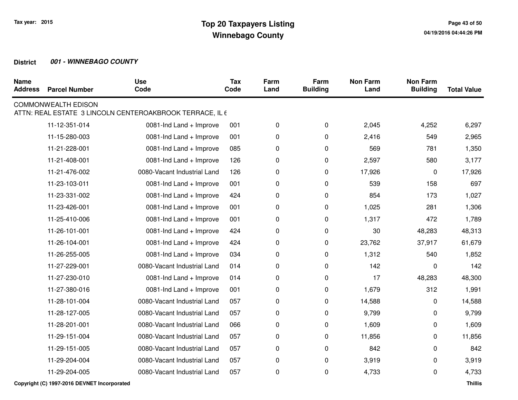| <b>Parcel Number</b> | <b>Use</b><br>Code          | <b>Tax</b><br>Code | Farm<br>Land                                             | Farm<br><b>Building</b> | <b>Non Farm</b><br>Land | <b>Non Farm</b><br><b>Building</b> | <b>Total Value</b> |
|----------------------|-----------------------------|--------------------|----------------------------------------------------------|-------------------------|-------------------------|------------------------------------|--------------------|
|                      |                             |                    |                                                          |                         |                         |                                    |                    |
| 11-12-351-014        | 0081-Ind Land + Improve     | 001                | $\pmb{0}$                                                | 0                       | 2,045                   | 4,252                              | 6,297              |
| 11-15-280-003        | 0081-Ind Land + Improve     | 001                | 0                                                        | 0                       | 2,416                   | 549                                | 2,965              |
| 11-21-228-001        | 0081-Ind Land + Improve     | 085                | 0                                                        | 0                       | 569                     | 781                                | 1,350              |
| 11-21-408-001        | 0081-Ind Land + Improve     | 126                | 0                                                        | 0                       | 2,597                   | 580                                | 3,177              |
| 11-21-476-002        | 0080-Vacant Industrial Land | 126                | 0                                                        | 0                       | 17,926                  | 0                                  | 17,926             |
| 11-23-103-011        | 0081-Ind Land + Improve     | 001                | 0                                                        | 0                       | 539                     | 158                                | 697                |
| 11-23-331-002        | 0081-Ind Land + Improve     | 424                | 0                                                        | $\mathbf 0$             | 854                     | 173                                | 1,027              |
| 11-23-426-001        | 0081-Ind Land + Improve     | 001                | 0                                                        | $\mathbf 0$             | 1,025                   | 281                                | 1,306              |
| 11-25-410-006        | 0081-Ind Land + Improve     | 001                | 0                                                        | $\pmb{0}$               | 1,317                   | 472                                | 1,789              |
| 11-26-101-001        | 0081-Ind Land + Improve     | 424                | 0                                                        | 0                       | 30                      | 48,283                             | 48,313             |
| 11-26-104-001        | 0081-Ind Land + Improve     | 424                | 0                                                        | 0                       | 23,762                  | 37,917                             | 61,679             |
| 11-26-255-005        | 0081-Ind Land + Improve     | 034                | 0                                                        | 0                       | 1,312                   | 540                                | 1,852              |
| 11-27-229-001        | 0080-Vacant Industrial Land | 014                | 0                                                        | 0                       | 142                     | 0                                  | 142                |
| 11-27-230-010        | 0081-Ind Land + Improve     | 014                | 0                                                        | 0                       | 17                      | 48,283                             | 48,300             |
| 11-27-380-016        | 0081-Ind Land + Improve     | 001                | 0                                                        | 0                       | 1,679                   | 312                                | 1,991              |
| 11-28-101-004        | 0080-Vacant Industrial Land | 057                | 0                                                        | 0                       | 14,588                  | 0                                  | 14,588             |
| 11-28-127-005        | 0080-Vacant Industrial Land | 057                | 0                                                        | 0                       | 9,799                   | 0                                  | 9,799              |
| 11-28-201-001        | 0080-Vacant Industrial Land | 066                | 0                                                        | 0                       | 1,609                   | 0                                  | 1,609              |
| 11-29-151-004        | 0080-Vacant Industrial Land | 057                | 0                                                        | $\mathbf 0$             | 11,856                  | 0                                  | 11,856             |
| 11-29-151-005        | 0080-Vacant Industrial Land | 057                | 0                                                        | $\pmb{0}$               | 842                     | 0                                  | 842                |
| 11-29-204-004        | 0080-Vacant Industrial Land | 057                | 0                                                        | 0                       | 3,919                   | 0                                  | 3,919              |
| 11-29-204-005        | 0080-Vacant Industrial Land | 057                | 0                                                        | 0                       | 4,733                   | 0                                  | 4,733              |
|                      | <b>COMMONWEALTH EDISON</b>  |                    | ATTN: REAL ESTATE 3 LINCOLN CENTEROAKBROOK TERRACE, IL 6 |                         |                         |                                    |                    |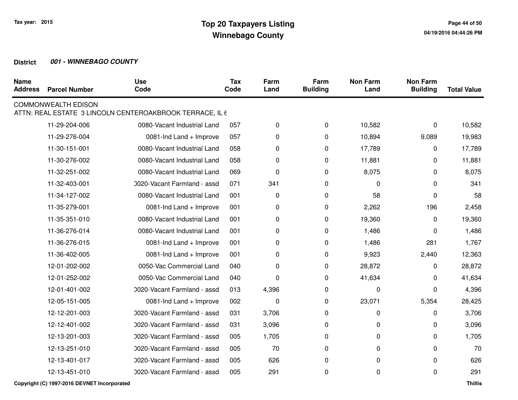| <b>Name</b><br><b>Address</b> | <b>Parcel Number</b>       | <b>Use</b><br>Code                                       | <b>Tax</b><br>Code | Farm<br>Land | Farm<br><b>Building</b> | <b>Non Farm</b><br>Land | <b>Non Farm</b><br><b>Building</b> | <b>Total Value</b> |
|-------------------------------|----------------------------|----------------------------------------------------------|--------------------|--------------|-------------------------|-------------------------|------------------------------------|--------------------|
|                               | <b>COMMONWEALTH EDISON</b> | ATTN: REAL ESTATE 3 LINCOLN CENTEROAKBROOK TERRACE, IL 6 |                    |              |                         |                         |                                    |                    |
|                               | 11-29-204-006              | 0080-Vacant Industrial Land                              | 057                | 0            | 0                       | 10,582                  | 0                                  | 10,582             |
|                               | 11-29-276-004              | 0081-Ind Land + Improve                                  | 057                | 0            | 0                       | 10,894                  | 9,089                              | 19,983             |
|                               | 11-30-151-001              | 0080-Vacant Industrial Land                              | 058                | 0            | 0                       | 17,789                  | 0                                  | 17,789             |
|                               | 11-30-276-002              | 0080-Vacant Industrial Land                              | 058                | 0            | 0                       | 11,881                  | 0                                  | 11,881             |
|                               | 11-32-251-002              | 0080-Vacant Industrial Land                              | 069                | 0            | 0                       | 8,075                   | 0                                  | 8,075              |
|                               | 11-32-403-001              | 0020-Vacant Farmland - assd                              | 071                | 341          | 0                       | 0                       | $\Omega$                           | 341                |
|                               | 11-34-127-002              | 0080-Vacant Industrial Land                              | 001                | 0            | 0                       | 58                      | 0                                  | 58                 |
|                               | 11-35-279-001              | 0081-Ind Land + Improve                                  | 001                | 0            | 0                       | 2,262                   | 196                                | 2,458              |
|                               | 11-35-351-010              | 0080-Vacant Industrial Land                              | 001                | 0            | $\pmb{0}$               | 19,360                  | $\Omega$                           | 19,360             |
|                               | 11-36-276-014              | 0080-Vacant Industrial Land                              | 001                | 0            | 0                       | 1,486                   | 0                                  | 1,486              |
|                               | 11-36-276-015              | 0081-Ind Land + Improve                                  | 001                | 0            | 0                       | 1,486                   | 281                                | 1,767              |
|                               | 11-36-402-005              | 0081-Ind Land + Improve                                  | 001                | 0            | $\pmb{0}$               | 9,923                   | 2,440                              | 12,363             |
|                               | 12-01-202-002              | 0050-Vac Commercial Land                                 | 040                | 0            | 0                       | 28,872                  | 0                                  | 28,872             |
|                               | 12-01-252-002              | 0050-Vac Commercial Land                                 | 040                | 0            | 0                       | 41,634                  | $\Omega$                           | 41,634             |
|                               | 12-01-401-002              | 0020-Vacant Farmland - assd                              | 013                | 4,396        | 0                       | $\pmb{0}$               | $\Omega$                           | 4,396              |
|                               | 12-05-151-005              | 0081-Ind Land + Improve                                  | 002                | 0            | 0                       | 23,071                  | 5,354                              | 28,425             |
|                               | 12-12-201-003              | 0020-Vacant Farmland - assd                              | 031                | 3,706        | 0                       | 0                       | $\Omega$                           | 3,706              |
|                               | 12-12-401-002              | 0020-Vacant Farmland - assd                              | 031                | 3,096        | 0                       | 0                       | 0                                  | 3,096              |
|                               | 12-13-201-003              | 0020-Vacant Farmland - assd                              | 005                | 1,705        | 0                       | 0                       | 0                                  | 1,705              |
|                               | 12-13-251-010              | 0020-Vacant Farmland - assd                              | 005                | 70           | 0                       | 0                       | $\Omega$                           | 70                 |
|                               | 12-13-401-017              | 0020-Vacant Farmland - assd                              | 005                | 626          | $\mathbf 0$             | 0                       | $\Omega$                           | 626                |
|                               | 12-13-451-010              | 0020-Vacant Farmland - assd                              | 005                | 291          | 0                       | 0                       | 0                                  | 291                |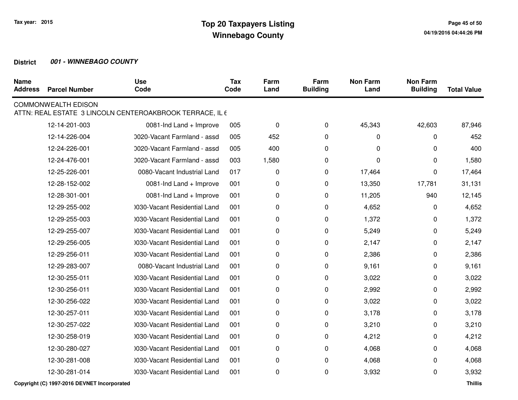| <b>Name</b><br><b>Address</b> | <b>Parcel Number</b>       | <b>Use</b><br>Code                                       | <b>Tax</b><br>Code | Farm<br>Land | Farm<br><b>Building</b> | <b>Non Farm</b><br>Land | <b>Non Farm</b><br><b>Building</b> | <b>Total Value</b> |
|-------------------------------|----------------------------|----------------------------------------------------------|--------------------|--------------|-------------------------|-------------------------|------------------------------------|--------------------|
|                               | <b>COMMONWEALTH EDISON</b> | ATTN: REAL ESTATE 3 LINCOLN CENTEROAKBROOK TERRACE, IL 6 |                    |              |                         |                         |                                    |                    |
|                               | 12-14-201-003              | 0081-Ind Land + Improve                                  | 005                | $\pmb{0}$    | 0                       | 45,343                  | 42,603                             | 87,946             |
|                               | 12-14-226-004              | 0020-Vacant Farmland - assd                              | 005                | 452          | 0                       | $\pmb{0}$               | 0                                  | 452                |
|                               | 12-24-226-001              | 0020-Vacant Farmland - assd                              | 005                | 400          | 0                       | 0                       | $\Omega$                           | 400                |
|                               | 12-24-476-001              | 0020-Vacant Farmland - assd                              | 003                | 1,580        | 0                       | 0                       | 0                                  | 1,580              |
|                               | 12-25-226-001              | 0080-Vacant Industrial Land                              | 017                | 0            | 0                       | 17,464                  | $\Omega$                           | 17,464             |
|                               | 12-28-152-002              | 0081-Ind Land + Improve                                  | 001                | 0            | 0                       | 13,350                  | 17,781                             | 31,131             |
|                               | 12-28-301-001              | 0081-Ind Land + Improve                                  | 001                | 0            | 0                       | 11,205                  | 940                                | 12,145             |
|                               | 12-29-255-002              | 1030-Vacant Residential Land                             | 001                | 0            | 0                       | 4,652                   | 0                                  | 4,652              |
|                               | 12-29-255-003              | 1030-Vacant Residential Land                             | 001                | 0            | 0                       | 1,372                   | 0                                  | 1,372              |
|                               | 12-29-255-007              | 1030-Vacant Residential Land                             | 001                | 0            | $\mathbf 0$             | 5,249                   | 0                                  | 5,249              |
|                               | 12-29-256-005              | 1030-Vacant Residential Land                             | 001                | 0            | 0                       | 2,147                   | 0                                  | 2,147              |
|                               | 12-29-256-011              | 0030-Vacant Residential Land                             | 001                | 0            | 0                       | 2,386                   | 0                                  | 2,386              |
|                               | 12-29-283-007              | 0080-Vacant Industrial Land                              | 001                | 0            | 0                       | 9,161                   | $\Omega$                           | 9,161              |
|                               | 12-30-255-011              | 1030-Vacant Residential Land                             | 001                | 0            | 0                       | 3,022                   | 0                                  | 3,022              |
|                               | 12-30-256-011              | 1030-Vacant Residential Land                             | 001                | 0            | 0                       | 2,992                   | 0                                  | 2,992              |
|                               | 12-30-256-022              | 1030-Vacant Residential Land                             | 001                | 0            | 0                       | 3,022                   | 0                                  | 3,022              |
|                               | 12-30-257-011              | 1030-Vacant Residential Land                             | 001                | 0            | 0                       | 3,178                   | 0                                  | 3,178              |
|                               | 12-30-257-022              | 0030-Vacant Residential Land                             | 001                | 0            | 0                       | 3,210                   | $\Omega$                           | 3,210              |
|                               | 12-30-258-019              | 1030-Vacant Residential Land                             | 001                | 0            | 0                       | 4,212                   | 0                                  | 4,212              |
|                               | 12-30-280-027              | 0030-Vacant Residential Land                             | 001                | 0            | 0                       | 4,068                   | 0                                  | 4,068              |
|                               | 12-30-281-008              | 1030-Vacant Residential Land                             | 001                | 0            | 0                       | 4,068                   | 0                                  | 4,068              |
|                               | 12-30-281-014              | 1030-Vacant Residential Land                             | 001                | 0            | 0                       | 3,932                   | 0                                  | 3,932              |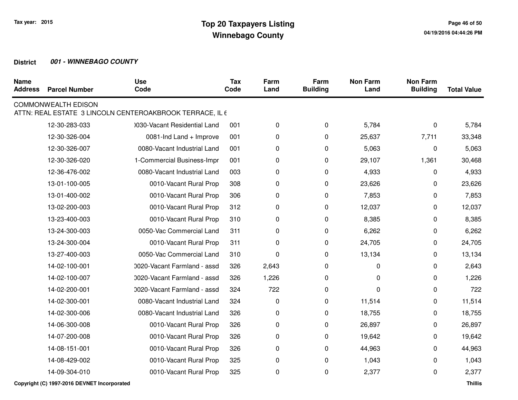| <b>Name</b><br><b>Address</b> | <b>Parcel Number</b>       | <b>Use</b><br>Code                                       | <b>Tax</b><br>Code | Farm<br>Land | Farm<br><b>Building</b> | <b>Non Farm</b><br>Land | <b>Non Farm</b><br><b>Building</b> | <b>Total Value</b> |
|-------------------------------|----------------------------|----------------------------------------------------------|--------------------|--------------|-------------------------|-------------------------|------------------------------------|--------------------|
|                               | <b>COMMONWEALTH EDISON</b> | ATTN: REAL ESTATE 3 LINCOLN CENTEROAKBROOK TERRACE, IL 6 |                    |              |                         |                         |                                    |                    |
|                               | 12-30-283-033              | 0030-Vacant Residential Land                             | 001                | 0            | 0                       | 5,784                   | 0                                  | 5,784              |
|                               | 12-30-326-004              | 0081-Ind Land + Improve                                  | 001                | 0            | 0                       | 25,637                  | 7,711                              | 33,348             |
|                               | 12-30-326-007              | 0080-Vacant Industrial Land                              | 001                | 0            | 0                       | 5,063                   | 0                                  | 5,063              |
|                               | 12-30-326-020              | 1-Commercial Business-Impr                               | 001                | 0            | 0                       | 29,107                  | 1,361                              | 30,468             |
|                               | 12-36-476-002              | 0080-Vacant Industrial Land                              | 003                | 0            | 0                       | 4,933                   | 0                                  | 4,933              |
|                               | 13-01-100-005              | 0010-Vacant Rural Prop                                   | 308                | 0            | 0                       | 23,626                  | 0                                  | 23,626             |
|                               | 13-01-400-002              | 0010-Vacant Rural Prop                                   | 306                | 0            | $\mathbf 0$             | 7,853                   | 0                                  | 7,853              |
|                               | 13-02-200-003              | 0010-Vacant Rural Prop                                   | 312                | 0            | 0                       | 12,037                  | 0                                  | 12,037             |
|                               | 13-23-400-003              | 0010-Vacant Rural Prop                                   | 310                | 0            | 0                       | 8,385                   | 0                                  | 8,385              |
|                               | 13-24-300-003              | 0050-Vac Commercial Land                                 | 311                | 0            | 0                       | 6,262                   | 0                                  | 6,262              |
|                               | 13-24-300-004              | 0010-Vacant Rural Prop                                   | 311                | 0            | 0                       | 24,705                  | 0                                  | 24,705             |
|                               | 13-27-400-003              | 0050-Vac Commercial Land                                 | 310                | 0            | 0                       | 13,134                  | 0                                  | 13,134             |
|                               | 14-02-100-001              | 0020-Vacant Farmland - assd                              | 326                | 2,643        | 0                       | 0                       | 0                                  | 2,643              |
|                               | 14-02-100-007              | 0020-Vacant Farmland - assd                              | 326                | 1,226        | 0                       | 0                       | 0                                  | 1,226              |
|                               | 14-02-200-001              | 0020-Vacant Farmland - assd                              | 324                | 722          | 0                       | 0                       | 0                                  | 722                |
|                               | 14-02-300-001              | 0080-Vacant Industrial Land                              | 324                | 0            | 0                       | 11,514                  | 0                                  | 11,514             |
|                               | 14-02-300-006              | 0080-Vacant Industrial Land                              | 326                | 0            | 0                       | 18,755                  | 0                                  | 18,755             |
|                               | 14-06-300-008              | 0010-Vacant Rural Prop                                   | 326                | 0            | $\mathbf 0$             | 26,897                  | 0                                  | 26,897             |
|                               | 14-07-200-008              | 0010-Vacant Rural Prop                                   | 326                | 0            | 0                       | 19,642                  | 0                                  | 19,642             |
|                               | 14-08-151-001              | 0010-Vacant Rural Prop                                   | 326                | 0            | 0                       | 44,963                  | 0                                  | 44,963             |
|                               | 14-08-429-002              | 0010-Vacant Rural Prop                                   | 325                | 0            | 0                       | 1,043                   | 0                                  | 1,043              |
|                               | 14-09-304-010              | 0010-Vacant Rural Prop                                   | 325                | 0            | 0                       | 2,377                   | 0                                  | 2,377              |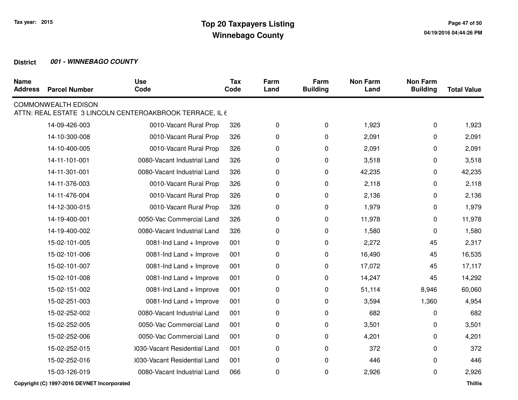| <b>Name</b><br><b>Address</b> | <b>Parcel Number</b>       | <b>Use</b><br>Code                                       | <b>Tax</b><br>Code | Farm<br>Land | Farm<br><b>Building</b> | <b>Non Farm</b><br>Land | <b>Non Farm</b><br><b>Building</b> | <b>Total Value</b> |
|-------------------------------|----------------------------|----------------------------------------------------------|--------------------|--------------|-------------------------|-------------------------|------------------------------------|--------------------|
|                               | <b>COMMONWEALTH EDISON</b> | ATTN: REAL ESTATE 3 LINCOLN CENTEROAKBROOK TERRACE, IL 6 |                    |              |                         |                         |                                    |                    |
|                               | 14-09-426-003              | 0010-Vacant Rural Prop                                   | 326                | 0            | 0                       | 1,923                   | 0                                  | 1,923              |
|                               | 14-10-300-008              | 0010-Vacant Rural Prop                                   | 326                | 0            | 0                       | 2,091                   | 0                                  | 2,091              |
|                               | 14-10-400-005              | 0010-Vacant Rural Prop                                   | 326                | 0            | 0                       | 2,091                   | 0                                  | 2,091              |
|                               | 14-11-101-001              | 0080-Vacant Industrial Land                              | 326                | 0            | 0                       | 3,518                   | 0                                  | 3,518              |
|                               | 14-11-301-001              | 0080-Vacant Industrial Land                              | 326                | 0            | 0                       | 42,235                  | 0                                  | 42,235             |
|                               | 14-11-376-003              | 0010-Vacant Rural Prop                                   | 326                | 0            | 0                       | 2,118                   | 0                                  | 2,118              |
|                               | 14-11-476-004              | 0010-Vacant Rural Prop                                   | 326                | 0            | 0                       | 2,136                   | 0                                  | 2,136              |
|                               | 14-12-300-015              | 0010-Vacant Rural Prop                                   | 326                | 0            | 0                       | 1,979                   | 0                                  | 1,979              |
|                               | 14-19-400-001              | 0050-Vac Commercial Land                                 | 326                | 0            | 0                       | 11,978                  | 0                                  | 11,978             |
|                               | 14-19-400-002              | 0080-Vacant Industrial Land                              | 326                | 0            | 0                       | 1,580                   | 0                                  | 1,580              |
|                               | 15-02-101-005              | 0081-Ind Land + Improve                                  | 001                | 0            | 0                       | 2,272                   | 45                                 | 2,317              |
|                               | 15-02-101-006              | 0081-Ind Land + Improve                                  | 001                | 0            | 0                       | 16,490                  | 45                                 | 16,535             |
|                               | 15-02-101-007              | 0081-Ind Land + Improve                                  | 001                | 0            | 0                       | 17,072                  | 45                                 | 17,117             |
|                               | 15-02-101-008              | 0081-Ind Land + Improve                                  | 001                | 0            | 0                       | 14,247                  | 45                                 | 14,292             |
|                               | 15-02-151-002              | 0081-Ind Land + Improve                                  | 001                | 0            | 0                       | 51,114                  | 8,946                              | 60,060             |
|                               | 15-02-251-003              | 0081-Ind Land + Improve                                  | 001                | 0            | 0                       | 3,594                   | 1,360                              | 4,954              |
|                               | 15-02-252-002              | 0080-Vacant Industrial Land                              | 001                | 0            | 0                       | 682                     | 0                                  | 682                |
|                               | 15-02-252-005              | 0050-Vac Commercial Land                                 | 001                | 0            | 0                       | 3,501                   | 0                                  | 3,501              |
|                               | 15-02-252-006              | 0050-Vac Commercial Land                                 | 001                | 0            | 0                       | 4,201                   | 0                                  | 4,201              |
|                               | 15-02-252-015              | 0030-Vacant Residential Land                             | 001                | 0            | 0                       | 372                     | 0                                  | 372                |
|                               | 15-02-252-016              | 1030-Vacant Residential Land                             | 001                | 0            | 0                       | 446                     | 0                                  | 446                |
|                               | 15-03-126-019              | 0080-Vacant Industrial Land                              | 066                | 0            | 0                       | 2,926                   | 0                                  | 2,926              |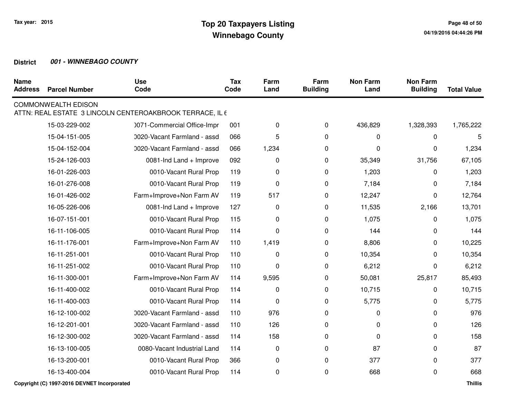| <b>Name</b><br><b>Address</b> | <b>Parcel Number</b>       | <b>Use</b><br>Code                                       | <b>Tax</b><br>Code | Farm<br>Land | Farm<br><b>Building</b> | <b>Non Farm</b><br>Land | <b>Non Farm</b><br><b>Building</b> | <b>Total Value</b> |
|-------------------------------|----------------------------|----------------------------------------------------------|--------------------|--------------|-------------------------|-------------------------|------------------------------------|--------------------|
|                               | <b>COMMONWEALTH EDISON</b> | ATTN: REAL ESTATE 3 LINCOLN CENTEROAKBROOK TERRACE, IL 6 |                    |              |                         |                         |                                    |                    |
|                               | 15-03-229-002              | 0071-Commercial Office-Impr                              | 001                | $\pmb{0}$    | 0                       | 436,829                 | 1,328,393                          | 1,765,222          |
|                               | 15-04-151-005              | 0020-Vacant Farmland - assd                              | 066                | 5            | 0                       | $\pmb{0}$               | 0                                  | 5                  |
|                               | 15-04-152-004              | 0020-Vacant Farmland - assd                              | 066                | 1,234        | 0                       | 0                       | 0                                  | 1,234              |
|                               | 15-24-126-003              | 0081-Ind Land + Improve                                  | 092                | 0            | 0                       | 35,349                  | 31,756                             | 67,105             |
|                               | 16-01-226-003              | 0010-Vacant Rural Prop                                   | 119                | 0            | 0                       | 1,203                   | 0                                  | 1,203              |
|                               | 16-01-276-008              | 0010-Vacant Rural Prop                                   | 119                | 0            | 0                       | 7,184                   | 0                                  | 7,184              |
|                               | 16-01-426-002              | Farm+Improve+Non Farm AV                                 | 119                | 517          | 0                       | 12,247                  | 0                                  | 12,764             |
|                               | 16-05-226-006              | 0081-Ind Land + Improve                                  | 127                | 0            | 0                       | 11,535                  | 2,166                              | 13,701             |
|                               | 16-07-151-001              | 0010-Vacant Rural Prop                                   | 115                | 0            | 0                       | 1,075                   | 0                                  | 1,075              |
|                               | 16-11-106-005              | 0010-Vacant Rural Prop                                   | 114                | 0            | 0                       | 144                     | 0                                  | 144                |
|                               | 16-11-176-001              | Farm+Improve+Non Farm AV                                 | 110                | 1,419        | 0                       | 8,806                   | 0                                  | 10,225             |
|                               | 16-11-251-001              | 0010-Vacant Rural Prop                                   | 110                | 0            | 0                       | 10,354                  | 0                                  | 10,354             |
|                               | 16-11-251-002              | 0010-Vacant Rural Prop                                   | 110                | 0            | 0                       | 6,212                   | 0                                  | 6,212              |
|                               | 16-11-300-001              | Farm+Improve+Non Farm AV                                 | 114                | 9,595        | 0                       | 50,081                  | 25,817                             | 85,493             |
|                               | 16-11-400-002              | 0010-Vacant Rural Prop                                   | 114                | 0            | 0                       | 10,715                  | 0                                  | 10,715             |
|                               | 16-11-400-003              | 0010-Vacant Rural Prop                                   | 114                | 0            | 0                       | 5,775                   | 0                                  | 5,775              |
|                               | 16-12-100-002              | 0020-Vacant Farmland - assd                              | 110                | 976          | 0                       | 0                       | 0                                  | 976                |
|                               | 16-12-201-001              | 0020-Vacant Farmland - assd                              | 110                | 126          | 0                       | 0                       | 0                                  | 126                |
|                               | 16-12-300-002              | 0020-Vacant Farmland - assd                              | 114                | 158          | 0                       | 0                       | 0                                  | 158                |
|                               | 16-13-100-005              | 0080-Vacant Industrial Land                              | 114                | $\pmb{0}$    | 0                       | 87                      | 0                                  | 87                 |
|                               | 16-13-200-001              | 0010-Vacant Rural Prop                                   | 366                | 0            | $\mathbf 0$             | 377                     | 0                                  | 377                |
|                               | 16-13-400-004              | 0010-Vacant Rural Prop                                   | 114                | 0            | 0                       | 668                     | 0                                  | 668                |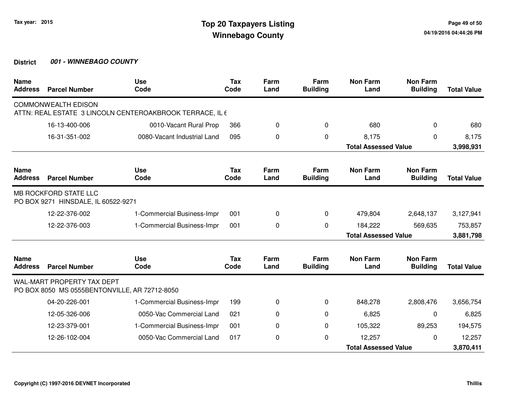| <b>Name</b><br><b>Address</b> | <b>Parcel Number</b>                                                               | <b>Use</b><br>Code                                       | <b>Tax</b><br>Code | Farm<br>Land | Farm<br><b>Building</b> | <b>Non Farm</b><br>Land     | <b>Non Farm</b><br><b>Building</b> | <b>Total Value</b> |
|-------------------------------|------------------------------------------------------------------------------------|----------------------------------------------------------|--------------------|--------------|-------------------------|-----------------------------|------------------------------------|--------------------|
|                               | <b>COMMONWEALTH EDISON</b>                                                         | ATTN: REAL ESTATE 3 LINCOLN CENTEROAKBROOK TERRACE, IL 6 |                    |              |                         |                             |                                    |                    |
|                               | 16-13-400-006                                                                      | 0010-Vacant Rural Prop                                   | 366                | 0            | 0                       | 680                         | 0                                  | 680                |
|                               | 16-31-351-002                                                                      | 0080-Vacant Industrial Land                              | 095                | 0            | $\Omega$                | 8,175                       | 0                                  | 8,175              |
|                               |                                                                                    |                                                          |                    |              |                         | <b>Total Assessed Value</b> |                                    | 3,998,931          |
| <b>Name</b><br><b>Address</b> | <b>Parcel Number</b>                                                               | <b>Use</b><br>Code                                       | <b>Tax</b><br>Code | Farm<br>Land | Farm<br><b>Building</b> | <b>Non Farm</b><br>Land     | <b>Non Farm</b><br><b>Building</b> | <b>Total Value</b> |
|                               | MB ROCKFORD STATE LLC<br>PO BOX 9271 HINSDALE, IL 60522-9271                       |                                                          |                    |              |                         |                             |                                    |                    |
|                               | 12-22-376-002                                                                      | 1-Commercial Business-Impr                               | 001                | 0            | $\mathbf 0$             | 479,804                     | 2,648,137                          | 3,127,941          |
|                               | 12-22-376-003                                                                      | 1-Commercial Business-Impr                               | 001                | $\Omega$     | $\Omega$                | 184,222                     | 569,635                            | 753,857            |
|                               |                                                                                    |                                                          |                    |              |                         | <b>Total Assessed Value</b> |                                    | 3,881,798          |
| <b>Name</b><br><b>Address</b> | <b>Parcel Number</b>                                                               | <b>Use</b><br>Code                                       | <b>Tax</b><br>Code | Farm<br>Land | Farm<br><b>Building</b> | <b>Non Farm</b><br>Land     | <b>Non Farm</b><br><b>Building</b> | <b>Total Value</b> |
|                               | <b>WAL-MART PROPERTY TAX DEPT</b><br>PO BOX 8050 MS 0555BENTONVILLE, AR 72712-8050 |                                                          |                    |              |                         |                             |                                    |                    |
|                               | 04-20-226-001                                                                      | 1-Commercial Business-Impr                               | 199                | 0            | 0                       | 848,278                     | 2,808,476                          | 3,656,754          |
|                               | 12-05-326-006                                                                      | 0050-Vac Commercial Land                                 | 021                | 0            | $\Omega$                | 6,825                       | 0                                  | 6,825              |
|                               | 12-23-379-001                                                                      | 1-Commercial Business-Impr                               | 001                | 0            | 0                       | 105,322                     | 89,253                             | 194,575            |
|                               | 12-26-102-004                                                                      | 0050-Vac Commercial Land                                 | 017                | 0            | 0                       | 12,257                      | $\Omega$                           | 12,257             |
|                               |                                                                                    |                                                          |                    |              |                         | <b>Total Assessed Value</b> |                                    |                    |